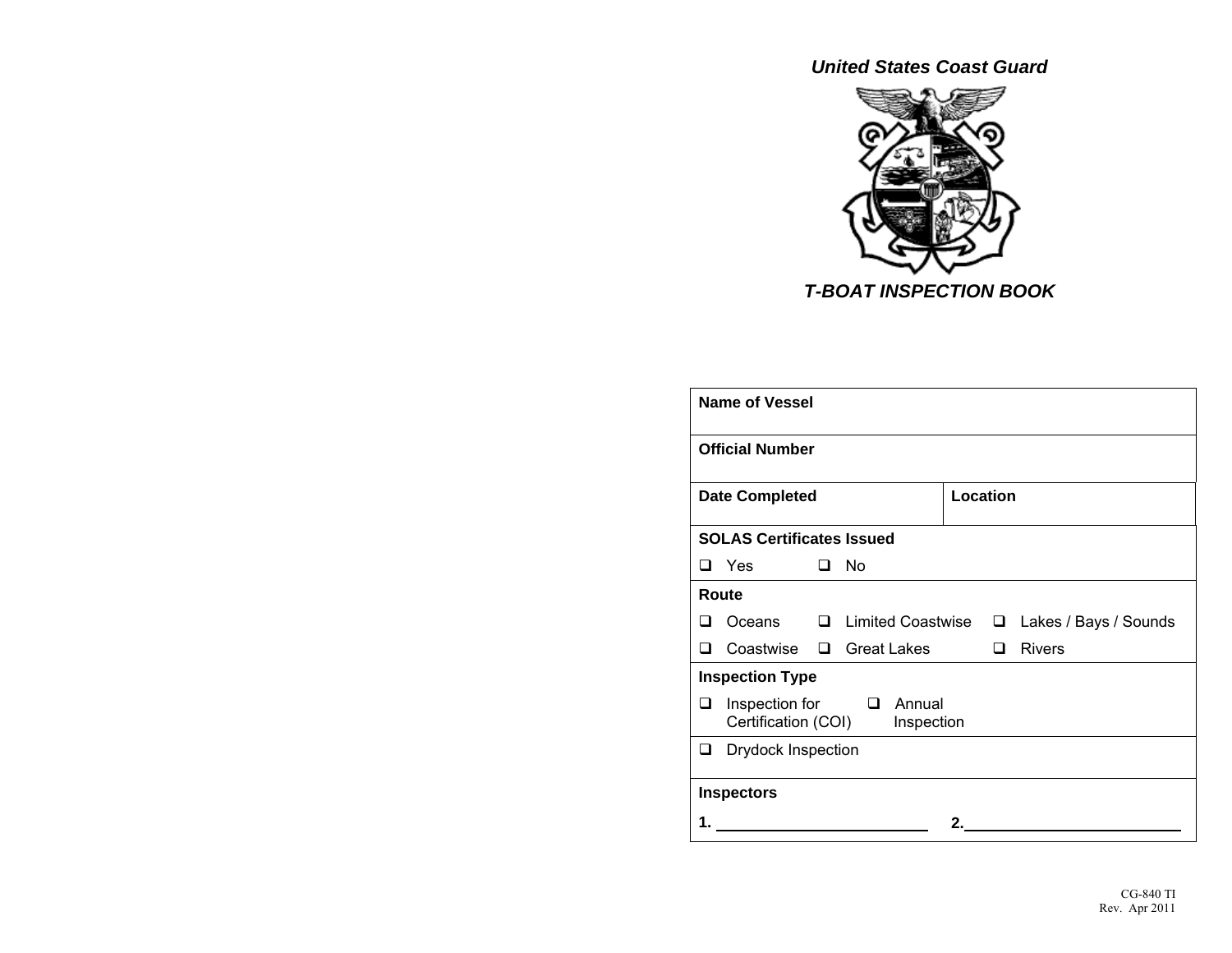*United States Coast Guard* 



| <b>Name of Vessel</b>          |                                                                 |        |                          |    |     |                       |  |  |
|--------------------------------|-----------------------------------------------------------------|--------|--------------------------|----|-----|-----------------------|--|--|
|                                | <b>Official Number</b>                                          |        |                          |    |     |                       |  |  |
|                                | <b>Location</b><br><b>Date Completed</b>                        |        |                          |    |     |                       |  |  |
|                                | <b>SOLAS Certificates Issued</b>                                |        |                          |    |     |                       |  |  |
|                                | □ Yes                                                           | $\Box$ | No                       |    |     |                       |  |  |
|                                | Route                                                           |        |                          |    |     |                       |  |  |
| ப                              | Oceans                                                          | $\Box$ | <b>Limited Coastwise</b> |    | ◻   | Lakes / Bays / Sounds |  |  |
| H                              | Coastwise                                                       |        | $\Box$ Great Lakes       |    | l 1 | <b>Rivers</b>         |  |  |
|                                | <b>Inspection Type</b>                                          |        |                          |    |     |                       |  |  |
| ❏                              | Inspection for<br>□ Annual<br>Certification (COI)<br>Inspection |        |                          |    |     |                       |  |  |
| <b>Drydock Inspection</b><br>❏ |                                                                 |        |                          |    |     |                       |  |  |
|                                | <b>Inspectors</b>                                               |        |                          |    |     |                       |  |  |
|                                |                                                                 |        |                          | 2. |     |                       |  |  |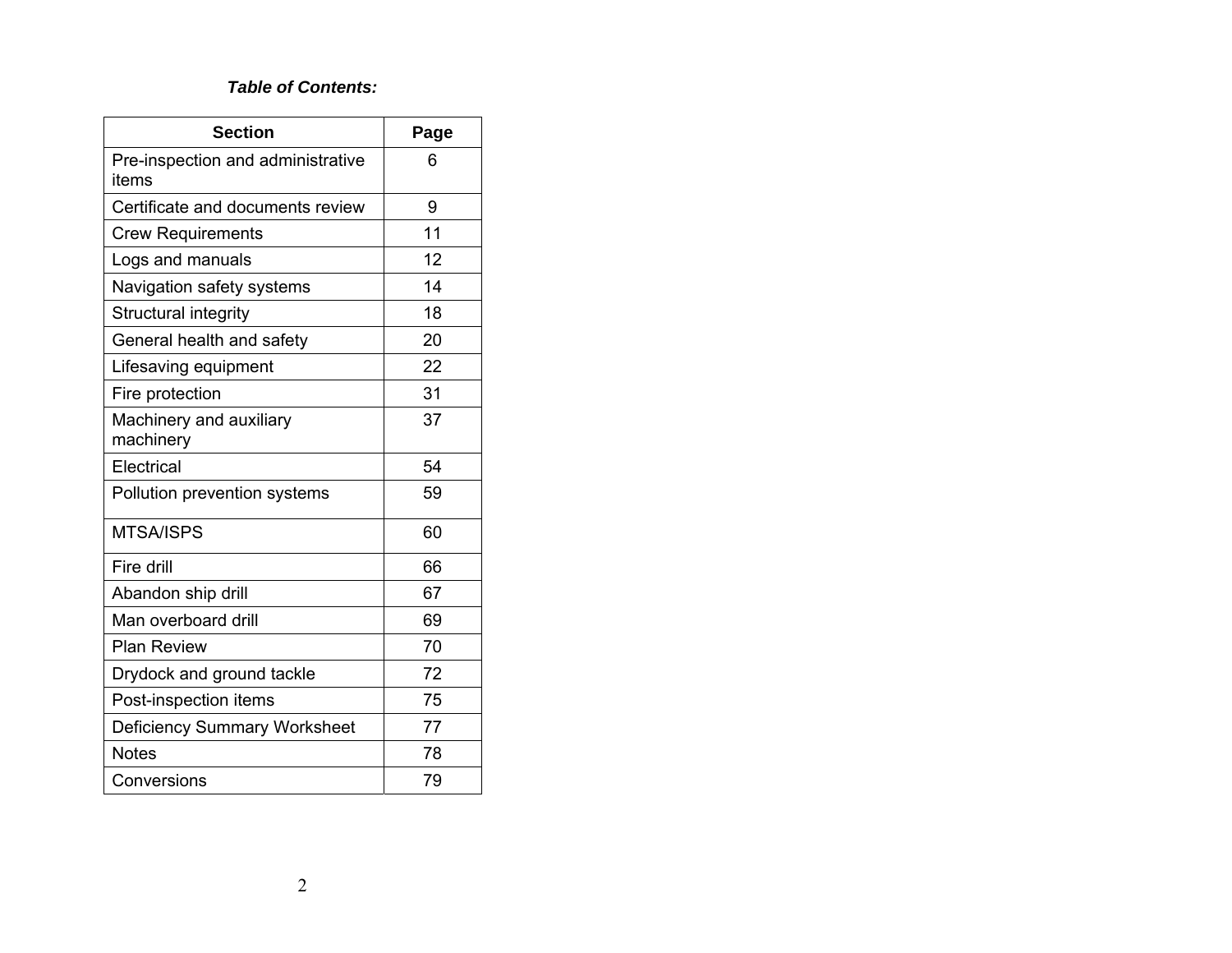#### *Table of Contents:*

| <b>Section</b>                             | Page |
|--------------------------------------------|------|
| Pre-inspection and administrative<br>items | 6    |
| Certificate and documents review           | 9    |
| <b>Crew Requirements</b>                   | 11   |
| Logs and manuals                           | 12   |
| Navigation safety systems                  | 14   |
| Structural integrity                       | 18   |
| General health and safety                  | 20   |
| Lifesaving equipment                       | 22   |
| Fire protection                            | 31   |
| Machinery and auxiliary<br>machinery       | 37   |
| Electrical                                 | 54   |
| Pollution prevention systems               | 59   |
| <b>MTSA/ISPS</b>                           | 60   |
| Fire drill                                 | 66   |
| Abandon ship drill                         | 67   |
| Man overboard drill                        | 69   |
| <b>Plan Review</b>                         | 70   |
| Drydock and ground tackle                  | 72   |
| Post-inspection items                      | 75   |
| <b>Deficiency Summary Worksheet</b>        | 77   |
| <b>Notes</b>                               | 78   |
| Conversions                                | 79   |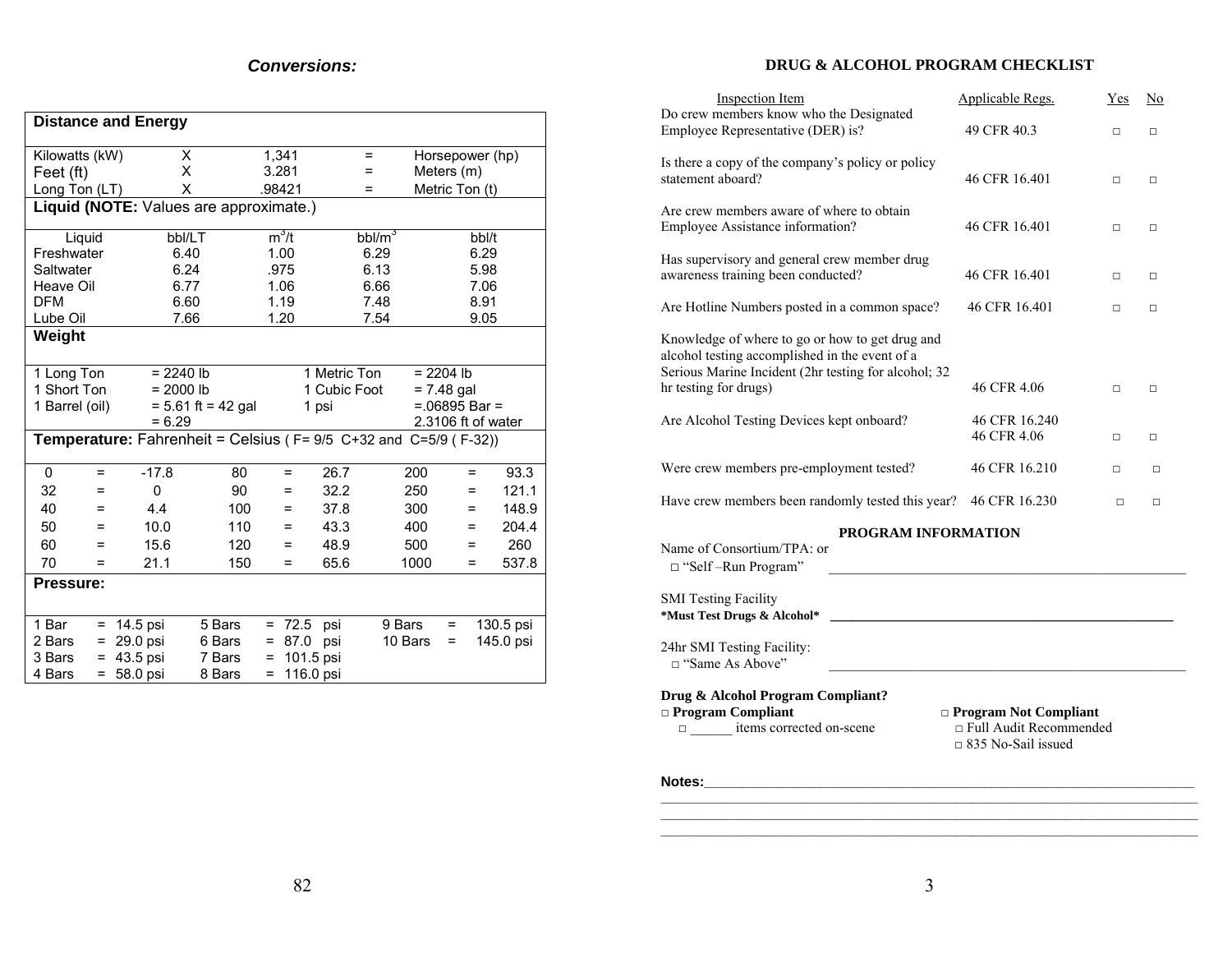| DRUG & ALCOHOL PROGRAM CHECKLIST |  |  |
|----------------------------------|--|--|
|----------------------------------|--|--|

| <b>Distance and Energy</b> |     |                                                    |                      |          |                |              |          |                 |          |                    |           |
|----------------------------|-----|----------------------------------------------------|----------------------|----------|----------------|--------------|----------|-----------------|----------|--------------------|-----------|
|                            |     |                                                    |                      |          |                |              |          |                 |          |                    |           |
| Kilowatts (kW)             |     | X<br>X                                             |                      |          | 1,341<br>3.281 |              | $=$<br>Ξ |                 |          | Horsepower (hp)    |           |
| Feet (ft)                  |     | Χ                                                  |                      |          | .98421         |              | $=$      | Meters (m)      |          |                    |           |
| Long Ton (LT)              |     |                                                    |                      |          |                |              |          |                 |          | Metric Ton (t)     |           |
|                            |     | Liquid (NOTE: Values are approximate.)             |                      |          |                |              |          |                 |          |                    |           |
| Liquid                     |     | bbl/LT                                             |                      |          | $m^3/t$        |              | $bb/m^3$ |                 |          | bbl/t              |           |
| Freshwater                 |     | 6.40                                               |                      |          | 1.00           |              | 6.29     |                 |          | 6.29               |           |
| Saltwater                  |     | 6.24                                               |                      |          | .975           |              | 6.13     |                 |          | 5.98               |           |
| Heave Oil                  |     | 6.77                                               |                      |          | 1.06           |              | 6.66     |                 |          | 7.06               |           |
| <b>DFM</b>                 |     | 6.60                                               |                      |          | 1.19           |              | 7.48     |                 |          | 8.91               |           |
| Lube Oil                   |     | 7.66                                               |                      |          | 1.20           |              | 7.54     |                 |          | 9.05               |           |
| Weight                     |     |                                                    |                      |          |                |              |          |                 |          |                    |           |
|                            |     |                                                    |                      |          |                |              |          |                 |          |                    |           |
| 1 Long Ton                 |     | $= 2240 lb$                                        |                      |          |                | 1 Metric Ton |          | $= 2204 lb$     |          |                    |           |
| 1 Short Ton                |     | $= 2000 lb$                                        |                      |          |                | 1 Cubic Foot |          | $= 7.48$ gal    |          |                    |           |
| 1 Barrel (oil)             |     |                                                    | $= 5.61$ ft = 42 gal |          |                | 1 psi        |          |                 |          | $=.06895$ Bar =    |           |
|                            |     | $= 6.29$                                           |                      |          |                |              |          |                 |          | 2.3106 ft of water |           |
|                            |     | Temperature: Fahrenheit = Celsius (F= 9/5 C+32 and |                      |          |                |              |          | $C=5/9$ (F-32)) |          |                    |           |
| 0                          | $=$ | $-17.8$                                            | 80                   |          | $=$            | 26.7         |          | 200             |          | $=$                | 93.3      |
| 32                         | $=$ | 0                                                  | 90                   |          | $=$            | 32.2         |          | 250             |          | $=$                | 121.1     |
| 40                         | $=$ | 4.4                                                | 100                  |          | Ξ              | 37.8         |          | 300             |          | $=$                | 148.9     |
| 50                         | $=$ | 10.0                                               | 110                  |          | Ξ              | 43.3         |          | 400             |          | $=$                | 204.4     |
| 60                         | $=$ | 15.6                                               | 120                  |          | =              | 48.9         |          | 500             |          | $=$                | 260       |
| 70                         | =   | 21.1                                               | 150                  |          | Ξ              | 65.6         |          | 1000            |          | $=$                | 537.8     |
| Pressure:                  |     |                                                    |                      |          |                |              |          |                 |          |                    |           |
|                            |     |                                                    |                      |          |                |              |          |                 |          |                    |           |
| 1 Bar                      | $=$ | 14.5 psi                                           | 5 Bars               | $\equiv$ | 72.5           | psi          | 9 Bars   |                 | $\equiv$ |                    | 130.5 psi |
| 2 Bars                     | Ξ   | 29.0 psi                                           | 6 Bars               | Ξ        | 87.0           | psi          | 10 Bars  |                 | $=$      |                    | 145.0 psi |
| 3 Bars                     | Ξ   | 43.5 psi                                           | 7 Bars               | Ξ        | 101.5 psi      |              |          |                 |          |                    |           |
| 4 Bars                     | $=$ | 58.0 psi                                           | 8 Bars               | $=$      | 116.0 psi      |              |          |                 |          |                    |           |

| <b>Inspection Item</b>                                                                                                                                    | <b>Applicable Regs.</b>      | Yes    | No     |
|-----------------------------------------------------------------------------------------------------------------------------------------------------------|------------------------------|--------|--------|
| Do crew members know who the Designated<br>Employee Representative (DER) is?                                                                              | 49 CFR 40.3                  | п      | $\Box$ |
| Is there a copy of the company's policy or policy<br>statement aboard?                                                                                    | 46 CFR 16.401                | $\Box$ | $\Box$ |
| Are crew members aware of where to obtain<br>Employee Assistance information?                                                                             | 46 CFR 16.401                | $\Box$ | $\Box$ |
| Has supervisory and general crew member drug<br>awareness training been conducted?                                                                        | 46 CFR 16.401                | п      | $\Box$ |
| Are Hotline Numbers posted in a common space?                                                                                                             | 46 CFR 16.401                | п      | $\Box$ |
| Knowledge of where to go or how to get drug and<br>alcohol testing accomplished in the event of a<br>Serious Marine Incident (2hr testing for alcohol; 32 |                              |        |        |
| hr testing for drugs)                                                                                                                                     | 46 CFR 4.06                  | п      | $\Box$ |
| Are Alcohol Testing Devices kept onboard?                                                                                                                 | 46 CFR 16.240<br>46 CFR 4.06 | $\Box$ | $\Box$ |
| Were crew members pre-employment tested?                                                                                                                  | 46 CFR 16.210                | □      | $\Box$ |
| Have crew members been randomly tested this year?                                                                                                         | 46 CFR 16.230                | п      | П      |
|                                                                                                                                                           |                              |        |        |

#### **PROGRAM INFORMATION**

| Name of Consortium/TPA $\cdot$ or<br>$\Box$ "Self-Run Program"                                         |                                                                                            |
|--------------------------------------------------------------------------------------------------------|--------------------------------------------------------------------------------------------|
| <b>SMI</b> Testing Facility<br>*Must Test Drugs & Alcohol*                                             |                                                                                            |
| 24hr SMI Testing Facility:<br>□ "Same As Above"                                                        |                                                                                            |
| Drug & Alcohol Program Compliant?<br>$\Box$ Program Compliant<br>lacktriangle items corrected on-scene | $\Box$ Program Not Compliant<br>$\Box$ Full Audit Recommended<br>$\Box$ 835 No-Sail issued |
| Notes:                                                                                                 |                                                                                            |

**\_\_\_\_\_\_\_\_\_\_\_\_\_\_\_\_\_\_\_\_\_\_\_\_\_\_\_\_\_\_\_\_\_\_\_\_\_\_\_\_\_\_\_\_\_\_\_\_\_\_\_\_\_\_\_\_\_\_\_\_\_\_\_\_\_\_\_\_\_**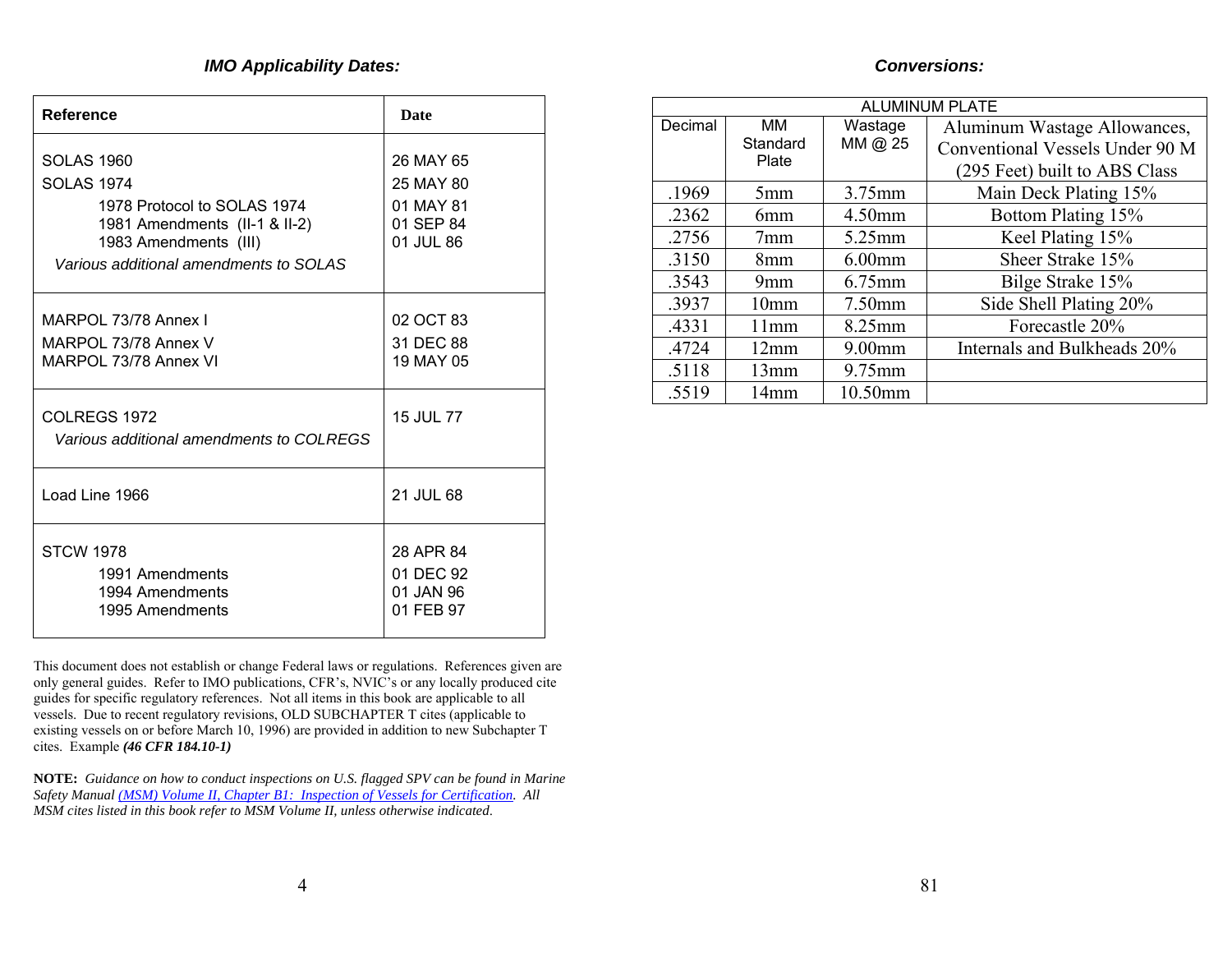### *IMO Applicability Dates:*

| <b>Conversions:</b> |  |
|---------------------|--|
|                     |  |

| Reference                                                                                                                                                          | <b>Date</b>                                                   |
|--------------------------------------------------------------------------------------------------------------------------------------------------------------------|---------------------------------------------------------------|
| SOLAS 1960<br><b>SOLAS 1974</b><br>1978 Protocol to SOLAS 1974<br>1981 Amendments (II-1 & II-2)<br>1983 Amendments (III)<br>Various additional amendments to SOLAS | 26 MAY 65<br>25 MAY 80<br>01 MAY 81<br>01 SEP 84<br>01 JUL 86 |
| MARPOL 73/78 Annex I<br>MARPOL 73/78 Annex V<br>MARPOL 73/78 Annex VI                                                                                              | 02 OCT 83<br>31 DEC 88<br>19 MAY 05                           |
| COLREGS 1972<br>Various additional amendments to COLREGS                                                                                                           | 15 JUL 77                                                     |
| Load Line 1966                                                                                                                                                     | 21 JUL 68                                                     |
| <b>STCW 1978</b><br>1991 Amendments<br>1994 Amendments<br>1995 Amendments                                                                                          | 28 APR 84<br>01 DEC 92<br>01 JAN 96<br>01 FEB 97              |

This document does not establish or change Federal laws or regulations. References given are only general guides. Refer to IMO publications, CFR's, NVIC's or any locally produced cite guides for specific regulatory references. Not all items in this book are applicable to all vessels. Due to recent regulatory revisions, OLD SUBCHAPTER T cites (applicable to existing vessels on or before March 10, 1996) are provided in addition to new Subchapter T cites. Example *(46 CFR 184.10-1)* 

**NOTE:** *Guidance on how to conduct inspections on U.S. flagged SPV can be found in Marine Safety Manual [\(MSM\) Volume II, Chapter B1: Inspection of Vessels for Certification](http://www.uscg.mil/hq/g-m/nmc/pubs/msm/v2/bch1.pdf). All MSM cites listed in this book refer to MSM Volume II, unless otherwise indicated*.

|         | <b>ALUMINUM PLATE</b>   |                    |                                                                                                  |  |  |  |  |
|---------|-------------------------|--------------------|--------------------------------------------------------------------------------------------------|--|--|--|--|
| Decimal | MM<br>Standard<br>Plate | Wastage<br>MM @ 25 | Aluminum Wastage Allowances,<br>Conventional Vessels Under 90 M<br>(295 Feet) built to ABS Class |  |  |  |  |
| .1969   | 5mm                     | 3.75mm             | Main Deck Plating 15%                                                                            |  |  |  |  |
| .2362   | 6 <sub>mm</sub>         | 4.50mm             | Bottom Plating 15%                                                                               |  |  |  |  |
| .2756   | 7 <sub>mm</sub>         | 5.25mm             | Keel Plating 15%                                                                                 |  |  |  |  |
| .3150   | 8mm                     | $6.00$ mm          | Sheer Strake 15%                                                                                 |  |  |  |  |
| .3543   | 9 <sub>mm</sub>         | 6.75mm             | Bilge Strake 15%                                                                                 |  |  |  |  |
| .3937   | 10 <sub>mm</sub>        | 7.50mm             | Side Shell Plating 20%                                                                           |  |  |  |  |
| .4331   | 11mm                    | 8.25mm             | Forecastle 20%                                                                                   |  |  |  |  |
| .4724   | 12mm                    | 9.00mm             | Internals and Bulkheads 20%                                                                      |  |  |  |  |
| .5118   | 13mm                    | 9.75mm             |                                                                                                  |  |  |  |  |
| .5519   | 14mm                    | 10.50mm            |                                                                                                  |  |  |  |  |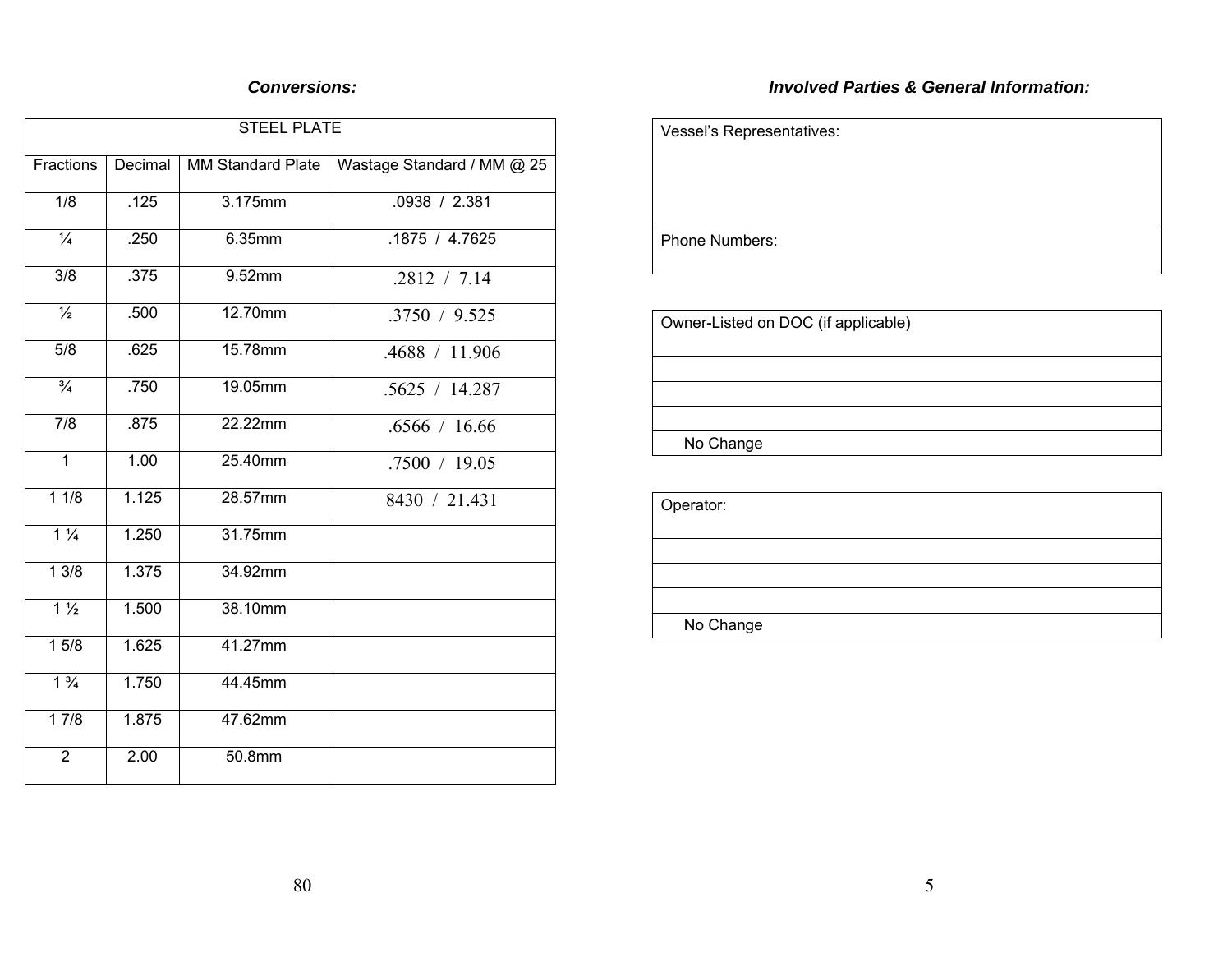#### *Conversions:*

# *Involved Parties & General Information:*

| <b>STEEL PLATE</b> |         |                          |                            |  |  |
|--------------------|---------|--------------------------|----------------------------|--|--|
| Fractions          | Decimal | <b>MM Standard Plate</b> | Wastage Standard / MM @ 25 |  |  |
| $\overline{1/8}$   | .125    | 3.175mm                  | .0938 / 2.381              |  |  |
| $\frac{1}{4}$      | .250    | 6.35mm                   | .1875/4.7625               |  |  |
| $\overline{3/8}$   | .375    | 9.52mm                   | .2812 / 7.14               |  |  |
| $\frac{1}{2}$      | .500    | 12.70mm                  | .3750 / 9.525              |  |  |
| 5/8                | .625    | 15.78mm                  | .4688 / 11.906             |  |  |
| $\frac{3}{4}$      | .750    | 19.05mm                  | .5625 / 14.287             |  |  |
| $\overline{7/8}$   | .875    | 22.22mm                  | .6566 / 16.66              |  |  |
| $\mathbf{1}$       | 1.00    | 25.40mm                  | .7500 / 19.05              |  |  |
| 11/8               | 1.125   | 28.57mm                  | 8430 / 21.431              |  |  |
| $1\frac{1}{4}$     | 1.250   | 31.75mm                  |                            |  |  |
| 13/8               | 1.375   | 34.92mm                  |                            |  |  |
| $1\frac{1}{2}$     | 1.500   | 38.10mm                  |                            |  |  |
| 15/8               | 1.625   | 41.27mm                  |                            |  |  |
| $1\frac{3}{4}$     | 1.750   | 44.45mm                  |                            |  |  |
| 17/8               | 1.875   | 47.62mm                  |                            |  |  |
| $\overline{2}$     | 2.00    | 50.8mm                   |                            |  |  |

| Vessel's Representatives: |  |  |
|---------------------------|--|--|
|                           |  |  |
|                           |  |  |
|                           |  |  |
| <b>Phone Numbers:</b>     |  |  |

Owner-Listed on DOC (if applicable)

No Change

| Operator: |  |
|-----------|--|
|           |  |
|           |  |
|           |  |
| No Change |  |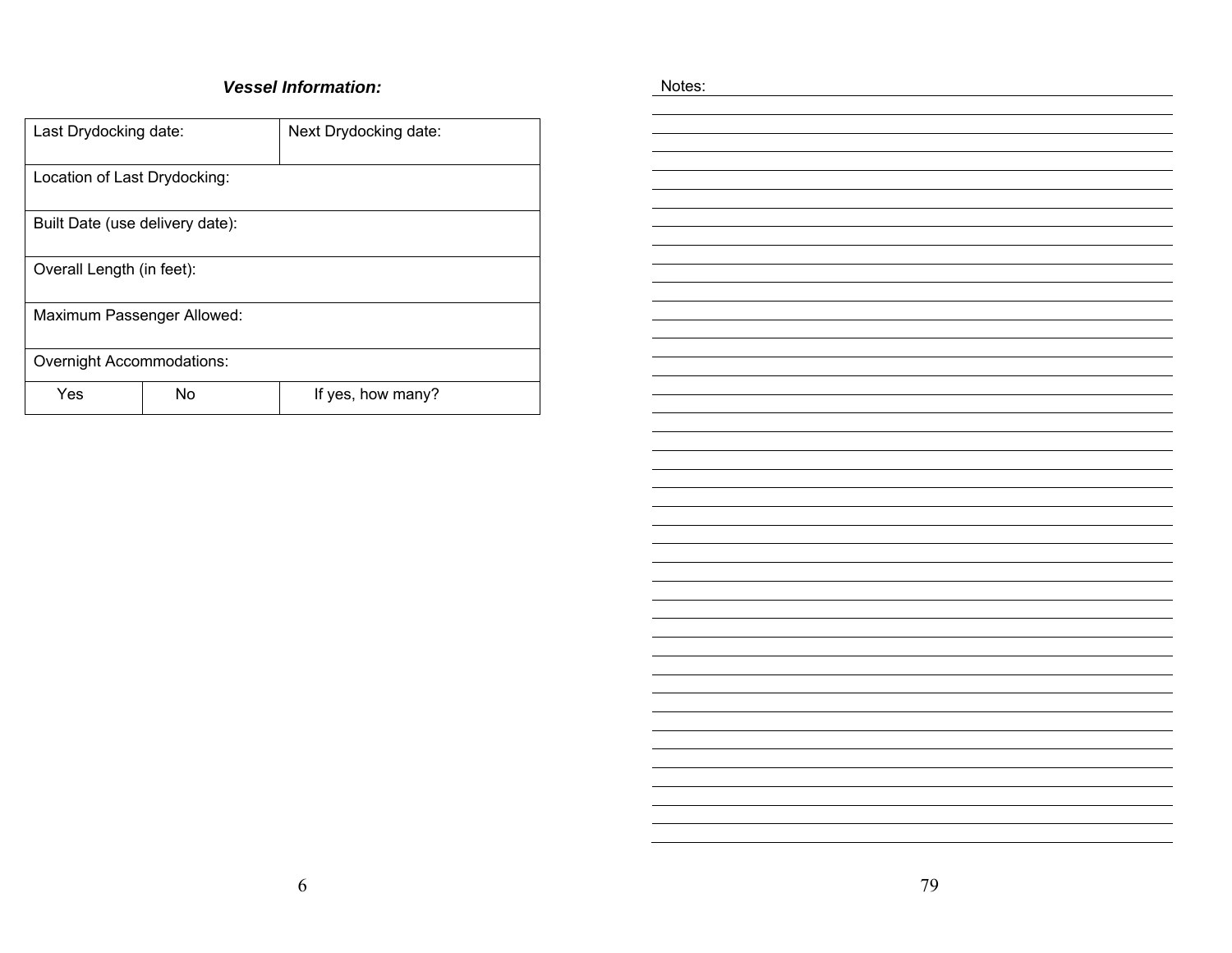#### *Vessel Information:*

| Last Drydocking date:            |                           | Next Drydocking date: |  |  |  |  |
|----------------------------------|---------------------------|-----------------------|--|--|--|--|
| Location of Last Drydocking:     |                           |                       |  |  |  |  |
| Built Date (use delivery date):  |                           |                       |  |  |  |  |
|                                  | Overall Length (in feet): |                       |  |  |  |  |
| Maximum Passenger Allowed:       |                           |                       |  |  |  |  |
| <b>Overnight Accommodations:</b> |                           |                       |  |  |  |  |
| Yes                              | No                        | If yes, how many?     |  |  |  |  |

| 79 |
|----|
|    |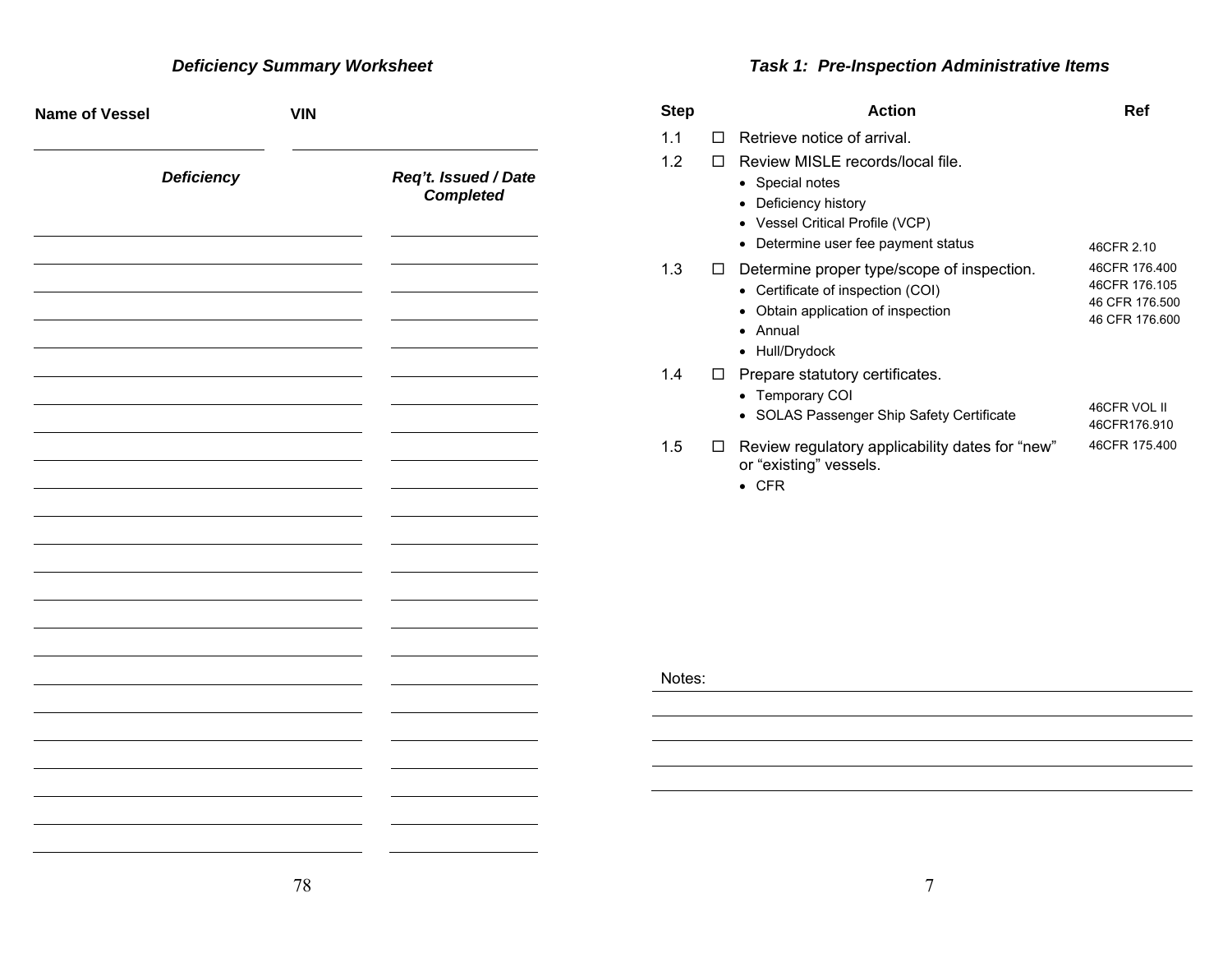# *Deficiency Summary Worksheet*

# *Task 1: Pre-Inspection Administrative Items*

| <b>Name of Vessel</b> | <b>VIN</b> |                                          | <b>Step</b> | <b>Action</b>                                                                                                                                                                                 | Ref                                                                |
|-----------------------|------------|------------------------------------------|-------------|-----------------------------------------------------------------------------------------------------------------------------------------------------------------------------------------------|--------------------------------------------------------------------|
| <b>Deficiency</b>     |            | Req't. Issued / Date<br><b>Completed</b> | 1.1<br>1.2  | $\Box$ Retrieve notice of arrival.<br>□ Review MISLE records/local file.<br>• Special notes<br>• Deficiency history<br>• Vessel Critical Profile (VCP)<br>• Determine user fee payment status | 46CFR 2.10                                                         |
|                       |            |                                          | 1.3         | $\Box$ Determine proper type/scope of inspection.<br>• Certificate of inspection (COI)<br>• Obtain application of inspection<br>• Annual<br>• Hull/Drydock                                    | 46CFR 176.400<br>46CFR 176.105<br>46 CFR 176.500<br>46 CFR 176.600 |
|                       |            |                                          | 1.4         | $\Box$ Prepare statutory certificates.<br>• Temporary COI<br>• SOLAS Passenger Ship Safety Certificate                                                                                        | 46CFR VOL II<br>46CFR176.910                                       |
|                       |            |                                          | 1.5         | □ Review regulatory applicability dates for "new"<br>or "existing" vessels.<br>$\bullet$ CFR                                                                                                  | 46CFR 175.400                                                      |
|                       |            |                                          |             |                                                                                                                                                                                               |                                                                    |
|                       |            |                                          |             |                                                                                                                                                                                               |                                                                    |
|                       |            |                                          | Notes:      |                                                                                                                                                                                               |                                                                    |
|                       |            |                                          |             |                                                                                                                                                                                               |                                                                    |
|                       |            |                                          |             |                                                                                                                                                                                               |                                                                    |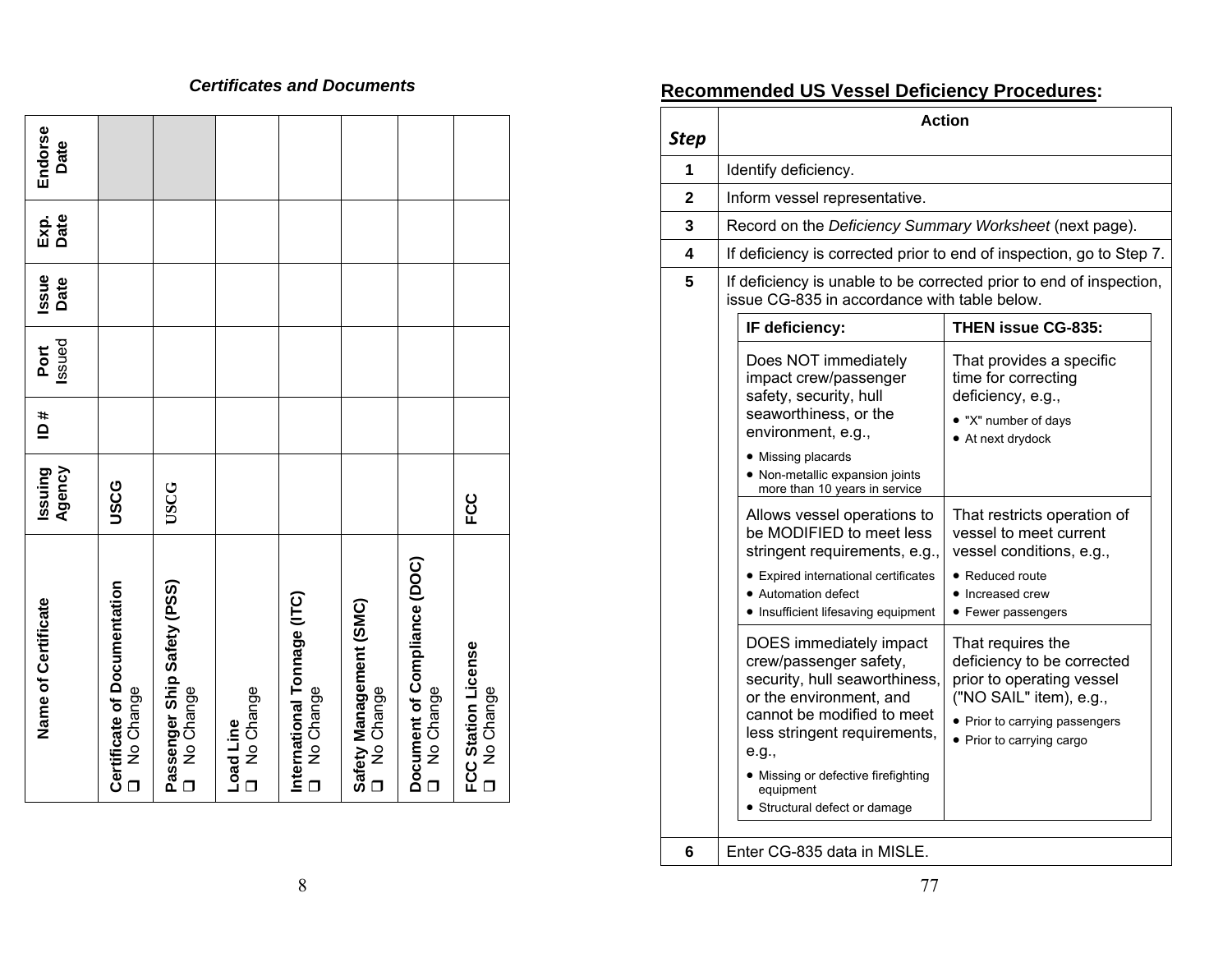#### *Certificates and Documents*

| Name of Certificate                                 | Agency<br>Issuing | # Q | Issued<br>Port | Issue<br>Date | Exp.<br>Date | Endorse<br>Date |
|-----------------------------------------------------|-------------------|-----|----------------|---------------|--------------|-----------------|
| Certificate of Documentation<br>No Change<br>$\Box$ | USCG              |     |                |               |              |                 |
| Passenger Ship Safety (PSS)<br>O No Change          | <b>USCG</b>       |     |                |               |              |                 |
| No Change<br>Load Line                              |                   |     |                |               |              |                 |
| International Tonnage (ITC)<br>O No Change          |                   |     |                |               |              |                 |
| Safety Management (SMC)<br>No Change<br>$\Box$      |                   |     |                |               |              |                 |
| Document of Compliance (DOC)<br>No Change<br>$\Box$ |                   |     |                |               |              |                 |
| FCC Station License<br>No Change                    | <b>CC</b>         |     |                |               |              |                 |

# **Recommended US Vessel Deficiency Procedures:**

| <b>Step</b> |                                                                                                                                                                                                                                                                                                                                                      | <b>Action</b>                                                                                                                                                                                                             |
|-------------|------------------------------------------------------------------------------------------------------------------------------------------------------------------------------------------------------------------------------------------------------------------------------------------------------------------------------------------------------|---------------------------------------------------------------------------------------------------------------------------------------------------------------------------------------------------------------------------|
| 1           | Identify deficiency.                                                                                                                                                                                                                                                                                                                                 |                                                                                                                                                                                                                           |
| 2           | Inform vessel representative.                                                                                                                                                                                                                                                                                                                        |                                                                                                                                                                                                                           |
| 3           | Record on the Deficiency Summary Worksheet (next page).                                                                                                                                                                                                                                                                                              |                                                                                                                                                                                                                           |
| 4           |                                                                                                                                                                                                                                                                                                                                                      | If deficiency is corrected prior to end of inspection, go to Step 7.                                                                                                                                                      |
| 5           | issue CG-835 in accordance with table below.                                                                                                                                                                                                                                                                                                         | If deficiency is unable to be corrected prior to end of inspection,                                                                                                                                                       |
|             | IF deficiency:                                                                                                                                                                                                                                                                                                                                       | <b>THEN issue CG-835:</b>                                                                                                                                                                                                 |
|             | Does NOT immediately<br>impact crew/passenger<br>safety, security, hull<br>seaworthiness, or the<br>environment, e.g.,<br>• Missing placards<br>• Non-metallic expansion joints<br>more than 10 years in service<br>Allows vessel operations to<br>be MODIFIED to meet less<br>stringent requirements, e.g.,<br>• Expired international certificates | That provides a specific<br>time for correcting<br>deficiency, e.g.,<br>• "X" number of days<br>• At next drydock<br>That restricts operation of<br>vessel to meet current<br>vessel conditions, e.g.,<br>• Reduced route |
|             | • Automation defect<br>• Insufficient lifesaving equipment                                                                                                                                                                                                                                                                                           | • Increased crew<br>• Fewer passengers                                                                                                                                                                                    |
|             | DOES immediately impact<br>crew/passenger safety,<br>security, hull seaworthiness,<br>or the environment, and<br>cannot be modified to meet<br>less stringent requirements,<br>e.g.,<br>• Missing or defective firefighting                                                                                                                          | That requires the<br>deficiency to be corrected<br>prior to operating vessel<br>("NO SAIL" item), e.g.,<br>• Prior to carrying passengers<br>• Prior to carrying cargo                                                    |
|             | equipment<br>• Structural defect or damage                                                                                                                                                                                                                                                                                                           |                                                                                                                                                                                                                           |
| 6           | Enter CG-835 data in MISLE.                                                                                                                                                                                                                                                                                                                          |                                                                                                                                                                                                                           |

8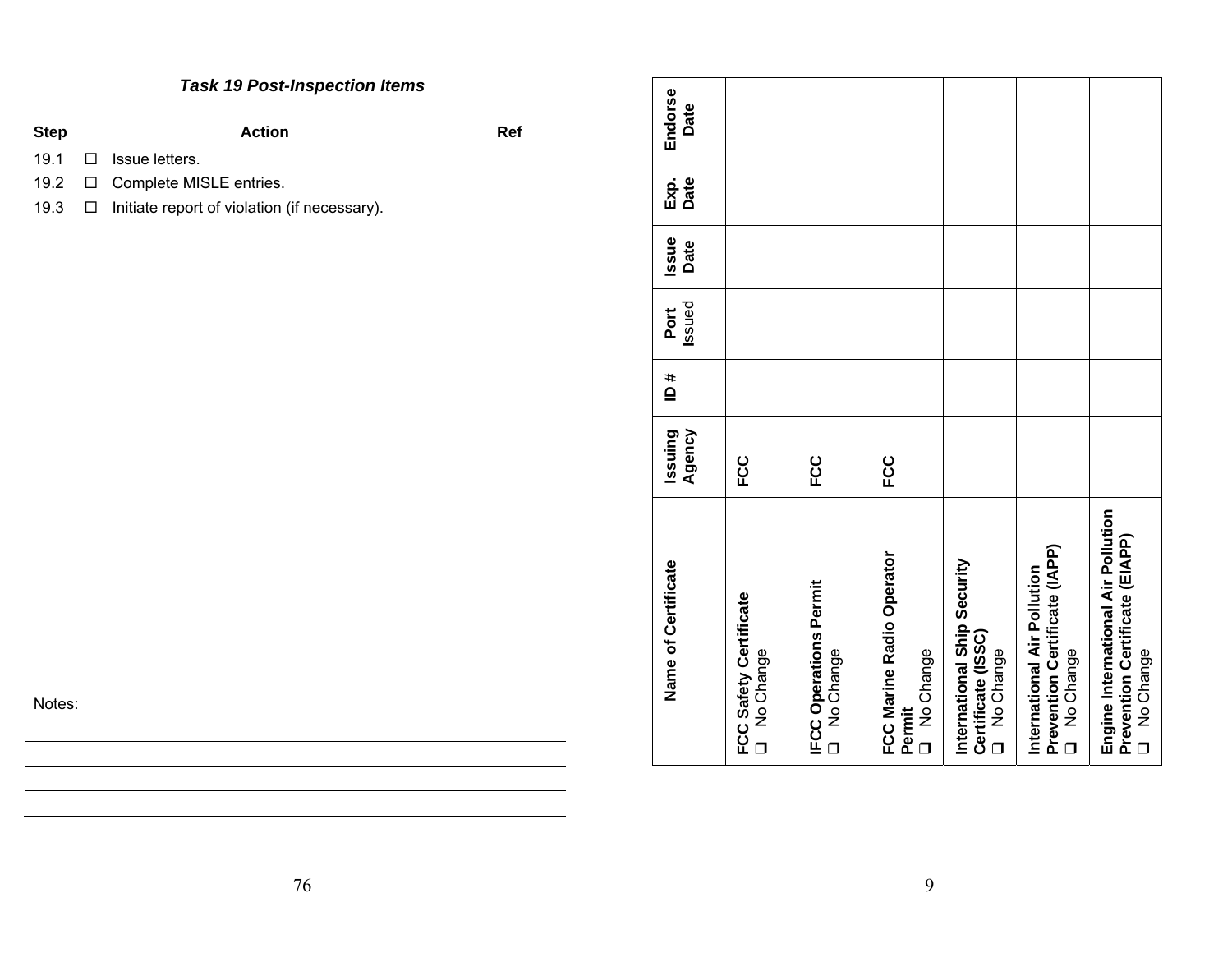# *Task 19 Post-Inspection Items*

| Step | Action                         | Ref |
|------|--------------------------------|-----|
|      | $19.1$ $\Box$ Issue letters.   |     |
|      | 19.2 □ Complete MISLE entries. |     |

19.3 □ Initiate report of violation (if necessary).

| JOTF |  |
|------|--|
|------|--|

| Name of Certificate                                                                 | Agency<br>Issuing | # qı | Issued<br>Port | <b>Issue</b><br>Date | Date<br>Exp. | Endorse<br>Date |
|-------------------------------------------------------------------------------------|-------------------|------|----------------|----------------------|--------------|-----------------|
| FCC Safety Certificate<br>D No Change                                               | ပ္ပ               |      |                |                      |              |                 |
| <b>IFCC Operations Permit</b><br>No Change<br>$\Box$                                | <b>CC</b>         |      |                |                      |              |                 |
| FCC Marine Radio Operator<br>No Change<br>Permit<br>$\Box$                          | <b>CC</b>         |      |                |                      |              |                 |
| International Ship Security<br>Certificate (ISSC)<br>No Change<br>$\Box$            |                   |      |                |                      |              |                 |
| Prevention Certificate (IAPP)<br>International Air Pollution<br>No Change<br>$\Box$ |                   |      |                |                      |              |                 |
| Engine International Air Pollution<br>Prevention Certificate (EIAPP)<br>No Change   |                   |      |                |                      |              |                 |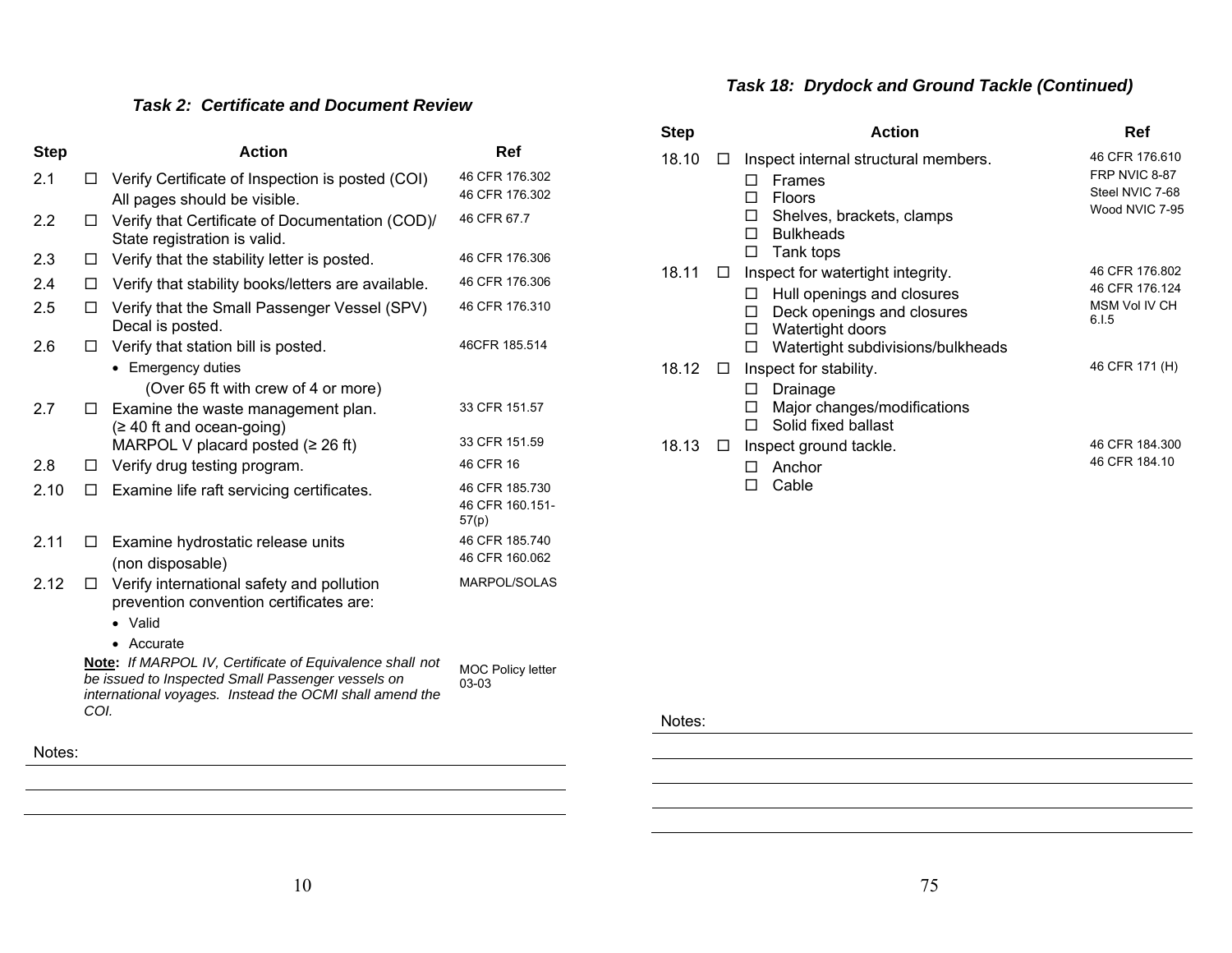# *Task 18: Drydock and Ground Tackle (Continued)*

### *Task 2: Certificate and Document Review*

| <b>Step</b> |        | <b>Action</b>                                                                                                                                                                   | Ref                                        |
|-------------|--------|---------------------------------------------------------------------------------------------------------------------------------------------------------------------------------|--------------------------------------------|
| 2.1         | L I    | Verify Certificate of Inspection is posted (COI)<br>All pages should be visible.                                                                                                | 46 CFR 176.302<br>46 CFR 176.302           |
| 2.2         | $\Box$ | Verify that Certificate of Documentation (COD)/<br>State registration is valid.                                                                                                 | 46 CFR 67.7                                |
| 2.3         | □      | Verify that the stability letter is posted.                                                                                                                                     | 46 CFR 176.306                             |
| 2.4         | □      | Verify that stability books/letters are available.                                                                                                                              | 46 CFR 176.306                             |
| 2.5         | П      | Verify that the Small Passenger Vessel (SPV)<br>Decal is posted.                                                                                                                | 46 CFR 176.310                             |
| 2.6         | ப      | Verify that station bill is posted.<br>• Emergency duties<br>(Over 65 ft with crew of 4 or more)                                                                                | 46CFR 185.514                              |
| 2.7         | □      | Examine the waste management plan.<br>$(≥ 40$ ft and ocean-going)                                                                                                               | 33 CFR 151.57<br>33 CFR 151.59             |
|             |        | MARPOL V placard posted $(≥ 26 ft)$                                                                                                                                             | 46 CFR 16                                  |
| 2.8         | LI     | Verify drug testing program.                                                                                                                                                    |                                            |
| 2.10        | П      | Examine life raft servicing certificates.                                                                                                                                       | 46 CFR 185.730<br>46 CFR 160.151-<br>57(p) |
| 2.11        | ப      | Examine hydrostatic release units<br>(non disposable)                                                                                                                           | 46 CFR 185.740<br>46 CFR 160.062           |
| 2.12        | □      | Verify international safety and pollution<br>prevention convention certificates are:<br>Valid<br>Accurate                                                                       | MARPOL/SOLAS                               |
|             | COI.   | <b>Note:</b> If MARPOL IV, Certificate of Equivalence shall not<br>be issued to Inspected Small Passenger vessels on<br>international voyages. Instead the OCMI shall amend the | <b>MOC Policy letter</b><br>03-03          |

| <b>Step</b> |        | Action                                                                                                                                                                 | Ref                                                                  |
|-------------|--------|------------------------------------------------------------------------------------------------------------------------------------------------------------------------|----------------------------------------------------------------------|
| 18.10       |        | Inspect internal structural members.<br><b>Frames</b><br><b>Floors</b><br>ΙI<br>Shelves, brackets, clamps<br>П<br><b>Bulkheads</b><br>П<br>Tank tops<br>П              | 46 CFR 176.610<br>FRP NVIC 8-87<br>Steel NVIC 7-68<br>Wood NVIC 7-95 |
| 18.11       |        | Inspect for watertight integrity.<br>Hull openings and closures<br>Deck openings and closures<br>ΙI<br>Watertight doors<br>◻<br>Watertight subdivisions/bulkheads<br>П | 46 CFR 176.802<br>46 CFR 176.124<br>MSM Vol IV CH<br>6.1.5           |
| 18.12       | $\Box$ | Inspect for stability.<br>Drainage<br>ΙI<br>Major changes/modifications<br>ΙI<br>Solid fixed ballast<br>П                                                              | 46 CFR 171 (H)                                                       |
| 18.13       |        | Inspect ground tackle.<br>Anchor<br>Cable<br>П                                                                                                                         | 46 CFR 184.300<br>46 CFR 184.10                                      |

Notes: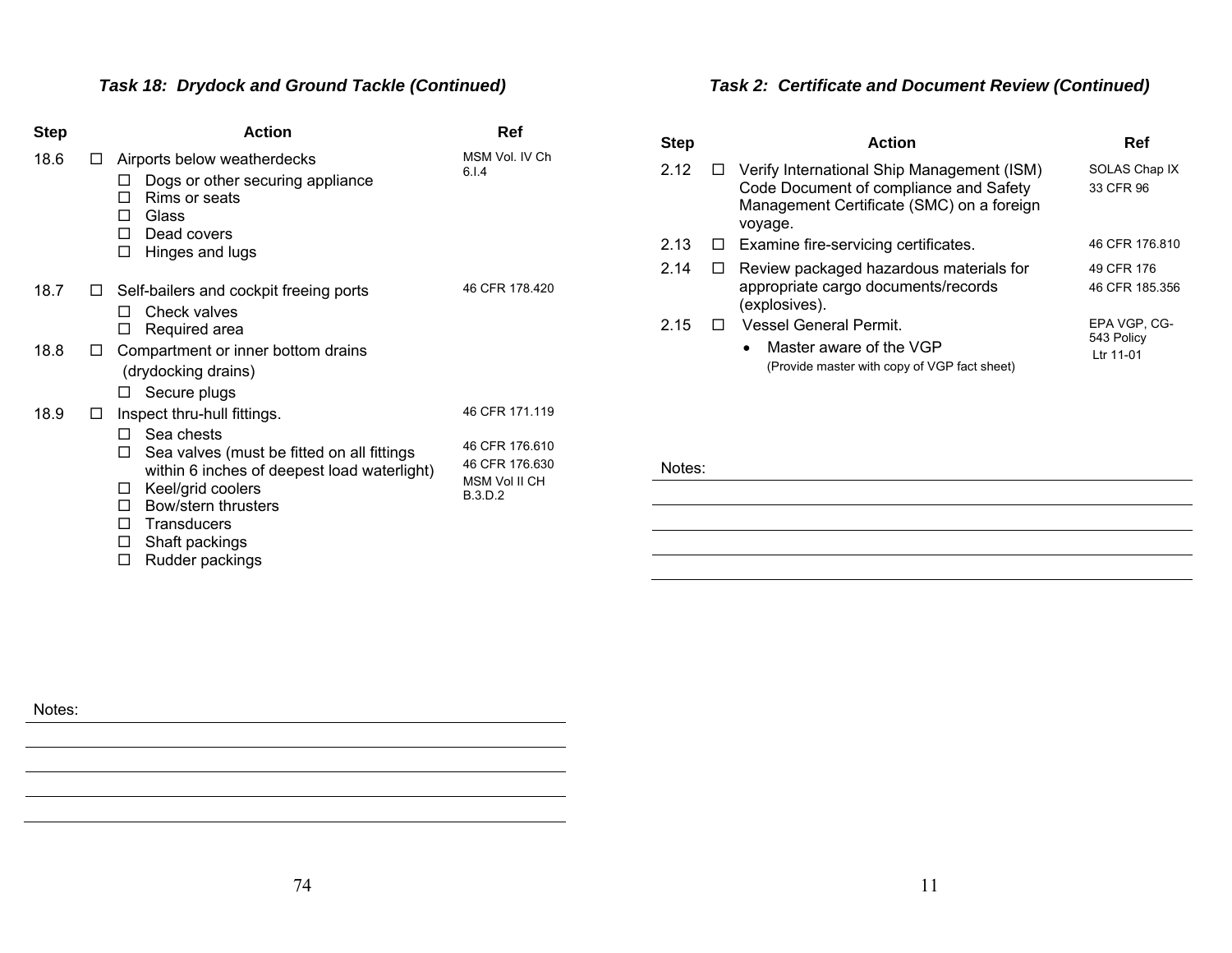# *Task 18: Drydock and Ground Tackle (Continued)*

| <b>Step</b> |          | Action                                                                                                                                                                                                                                             | Ref                                                                                   |
|-------------|----------|----------------------------------------------------------------------------------------------------------------------------------------------------------------------------------------------------------------------------------------------------|---------------------------------------------------------------------------------------|
| 18.6        | LΙ       | Airports below weatherdecks<br>Dogs or other securing appliance<br>Rims or seats<br>П<br>Glass<br>П<br>Dead covers<br>п<br>Hinges and lugs<br>□                                                                                                    | MSM Vol. IV Ch<br>6.1.4                                                               |
| 18.7        | <b>U</b> | Self-bailers and cockpit freeing ports<br>Check valves<br>П<br>Required area<br>□                                                                                                                                                                  | 46 CFR 178.420                                                                        |
| 18.8        | ப        | Compartment or inner bottom drains<br>(drydocking drains)<br>Secure plugs<br>ப                                                                                                                                                                     |                                                                                       |
| 18.9        | LI       | Inspect thru-hull fittings.<br>Sea chests<br>п<br>Sea valves (must be fitted on all fittings<br>П<br>within 6 inches of deepest load waterlight)<br>Keel/grid coolers<br>⊔<br>Bow/stern thrusters<br>П.<br>Transducers<br>П<br>Shaft packings<br>⊔ | 46 CFR 171.119<br>46 CFR 176.610<br>46 CFR 176.630<br>MSM Vol II CH<br><b>B.3.D.2</b> |

□ Rudder packings

# *Task 2: Certificate and Document Review (Continued)*

| <b>Step</b> | <b>Action</b>                                                                                                                                | Ref                                     |
|-------------|----------------------------------------------------------------------------------------------------------------------------------------------|-----------------------------------------|
| 2.12        | Verify International Ship Management (ISM)<br>Code Document of compliance and Safety<br>Management Certificate (SMC) on a foreign<br>voyage. | SOLAS Chap IX<br>33 CFR 96              |
| 2.13        | $\Box$ Examine fire-servicing certificates.                                                                                                  | 46 CFR 176 810                          |
| 2.14        | Review packaged hazardous materials for<br>appropriate cargo documents/records<br>(explosives).                                              | 49 CFR 176<br>46 CFR 185,356            |
| 2.15        | Vessel General Permit.<br>Master aware of the VGP<br>$\bullet$<br>(Provide master with copy of VGP fact sheet)                               | EPA VGP. CG-<br>543 Policy<br>Ltr 11-01 |

#### Notes: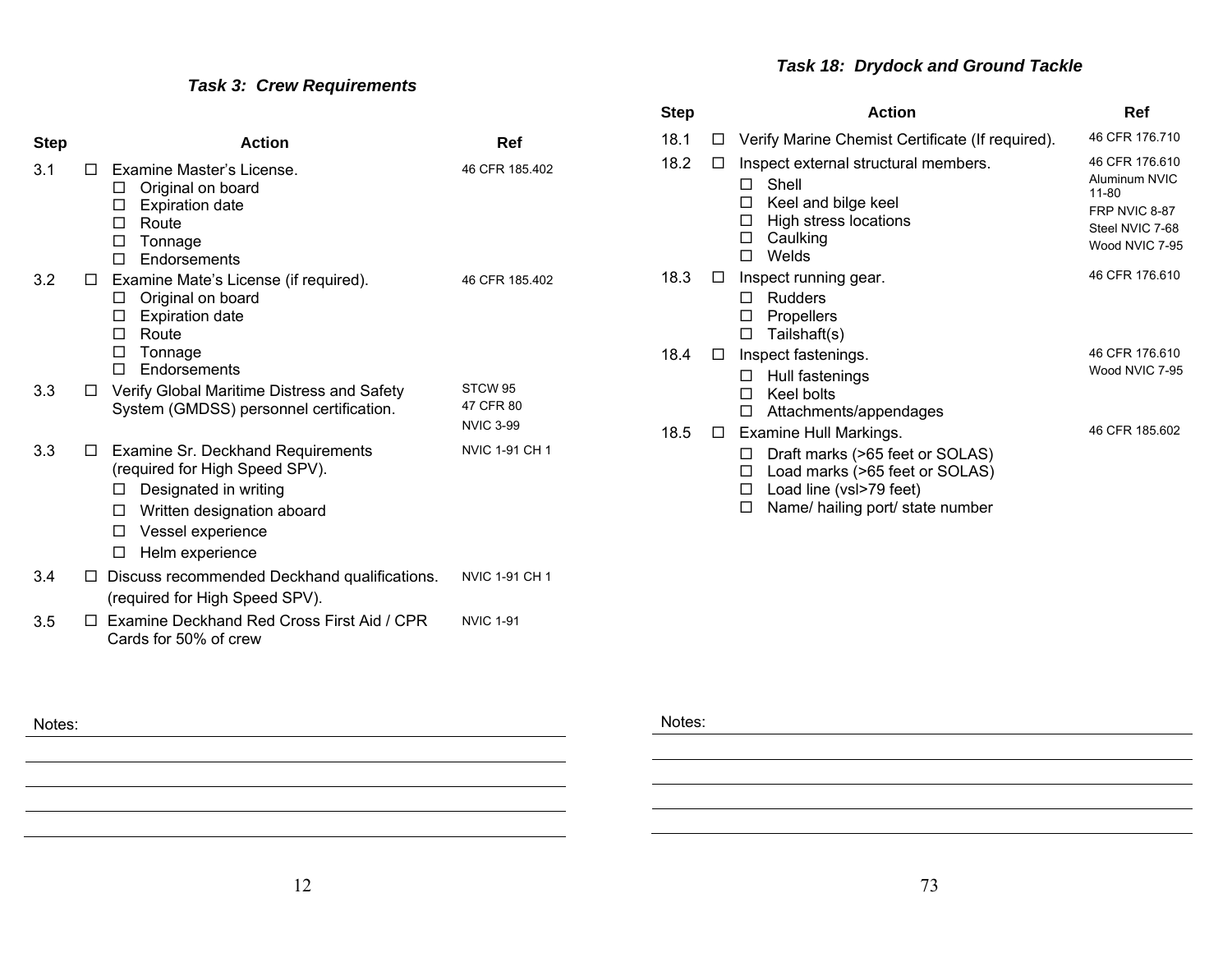# *Task 3: Crew Requirements*

| <b>Step</b> | <b>Action</b>                                                                                                                                                                               | Ref                                                 |
|-------------|---------------------------------------------------------------------------------------------------------------------------------------------------------------------------------------------|-----------------------------------------------------|
| 3.1         | Examine Master's License.<br>$\mathsf{L}$<br>Original on board<br>□<br><b>Expiration date</b><br>□<br>Route<br>п<br>Tonnage<br>□<br>Endorsements<br>п                                       | 46 CFR 185.402                                      |
| 3.2         | Examine Mate's License (if required).<br>□<br>Original on board<br>ப<br><b>Expiration date</b><br>□<br>Route<br>п<br>Tonnage<br>□<br>Endorsements<br>п                                      | 46 CFR 185.402                                      |
| 3.3         | Verify Global Maritime Distress and Safety<br>⊔<br>System (GMDSS) personnel certification.                                                                                                  | STCW <sub>95</sub><br>47 CFR 80<br><b>NVIC 3-99</b> |
| 3.3         | Examine Sr. Deckhand Requirements<br>□<br>(required for High Speed SPV).<br>Designated in writing<br>□<br>Written designation aboard<br>□<br>Vessel experience<br>□<br>Helm experience<br>□ | <b>NVIC 1-91 CH 1</b>                               |
| 3.4         | Discuss recommended Deckhand qualifications.<br>□<br>(required for High Speed SPV).                                                                                                         | <b>NVIC 1-91 CH 1</b>                               |
| 3.5         | Examine Deckhand Red Cross First Aid / CPR<br>П<br>Cards for 50% of crew                                                                                                                    | <b>NVIC 1-91</b>                                    |

# *Task 18: Drydock and Ground Tackle*

| <b>Step</b> |              | <b>Action</b>                                                                                                                             | Ref                                                                                            |
|-------------|--------------|-------------------------------------------------------------------------------------------------------------------------------------------|------------------------------------------------------------------------------------------------|
| 18.1        | $\perp$      | Verify Marine Chemist Certificate (If required).                                                                                          | 46 CFR 176.710                                                                                 |
| 18.2        |              | Inspect external structural members.<br>Shell<br>П<br>Keel and bilge keel<br>ΙI<br>High stress locations<br>ΙI<br>Caulking<br>ΙI<br>Welds | 46 CFR 176,610<br>Aluminum NVIC<br>11-80<br>FRP NVIC 8-87<br>Steel NVIC 7-68<br>Wood NVIC 7-95 |
| 18.3        |              | Inspect running gear.<br><b>Rudders</b><br>ΙI<br><b>Propellers</b><br>Ш<br>Tailshaft(s)<br>П                                              | 46 CFR 176 610                                                                                 |
| 18.4        | LI           | Inspect fastenings.<br>Hull fastenings<br>Keel bolts<br>п<br>Attachments/appendages                                                       | 46 CFR 176.610<br>Wood NVIC 7-95                                                               |
| 18.5        | $\mathsf{L}$ | Examine Hull Markings.<br>Draft marks (>65 feet or SOLAS)<br>Load marks (>65 feet or SOLAS)<br>Load line (vsl>79 feet)                    | 46 CFR 185.602                                                                                 |

 $\Box$  Name/ hailing port/ state number

Notes: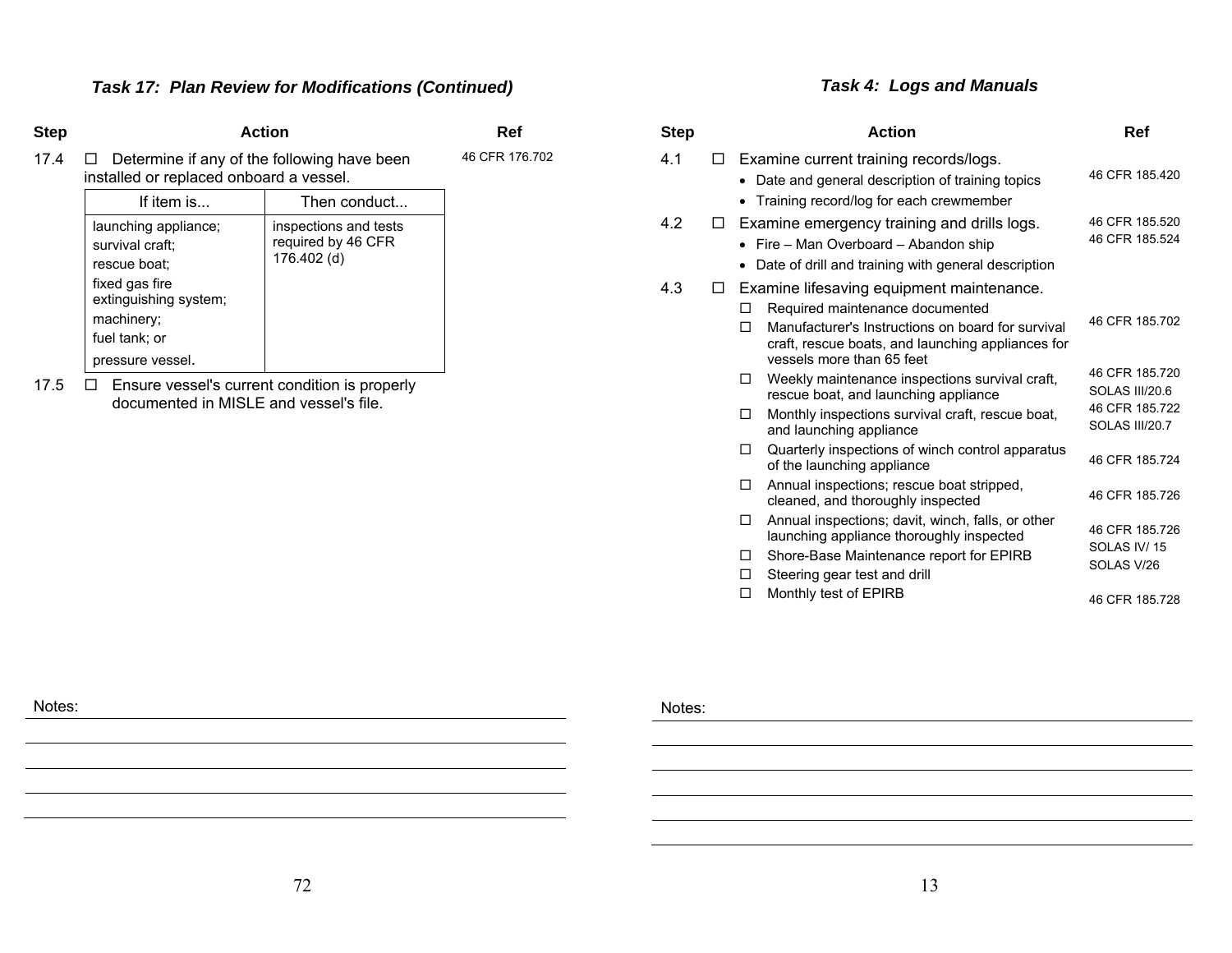### *Task 17: Plan Review for Modifications (Continued)*

#### **Step Action Ref**

46 CFR 176.702

17.4  $\Box$  Determine if any of the following have been installed or replaced onboard a vessel.

| If item is                                                                                                                                            | Then conduct                                               |
|-------------------------------------------------------------------------------------------------------------------------------------------------------|------------------------------------------------------------|
| launching appliance;<br>survival craft:<br>rescue boat:<br>fixed gas fire<br>extinguishing system;<br>machinery;<br>fuel tank; or<br>pressure vessel. | inspections and tests<br>required by 46 CFR<br>176.402 (d) |
|                                                                                                                                                       |                                                            |

17.5  $\Box$  Ensure vessel's current condition is properly documented in MISLE and vessel's file.

# *Task 4: Logs and Manuals*

| Step |   | <b>Action</b>                                                                                                                                                                                                                 | Ref                                                                  |
|------|---|-------------------------------------------------------------------------------------------------------------------------------------------------------------------------------------------------------------------------------|----------------------------------------------------------------------|
| 4.1  | П | Examine current training records/logs.<br>Date and general description of training topics<br>Training record/log for each crewmember                                                                                          | 46 CFR 185.420                                                       |
| 42   | П | Examine emergency training and drills logs.<br>Fire - Man Overboard - Abandon ship<br>Date of drill and training with general description                                                                                     | 46 CFR 185.520<br>46 CFR 185.524                                     |
| 4.3  | □ | Examine lifesaving equipment maintenance.<br>Required maintenance documented<br>п<br>Manufacturer's Instructions on board for survival<br>П<br>craft, rescue boats, and launching appliances for<br>vessels more than 65 feet | 46 CFR 185,702                                                       |
|      |   | Weekly maintenance inspections survival craft,<br>□<br>rescue boat, and launching appliance<br>Monthly inspections survival craft, rescue boat,<br>◘<br>and launching appliance                                               | 46 CFR 185.720<br>SOLAS III/20.6<br>46 CFR 185.722<br>SOLAS III/20.7 |
|      |   | Quarterly inspections of winch control apparatus<br>п<br>of the launching appliance                                                                                                                                           | 46 CFR 185.724                                                       |
|      |   | Annual inspections; rescue boat stripped,<br>п<br>cleaned, and thoroughly inspected                                                                                                                                           | 46 CFR 185.726                                                       |
|      |   | Annual inspections; davit, winch, falls, or other<br>п<br>launching appliance thoroughly inspected<br>Shore-Base Maintenance report for EPIRB<br>п<br>Steering gear test and drill<br>п                                       | 46 CFR 185.726<br>SOLAS IV/15<br>SOLAS V/26                          |
|      |   | Monthly test of EPIRB<br>П                                                                                                                                                                                                    | 46 CFR 185.728                                                       |

Notes: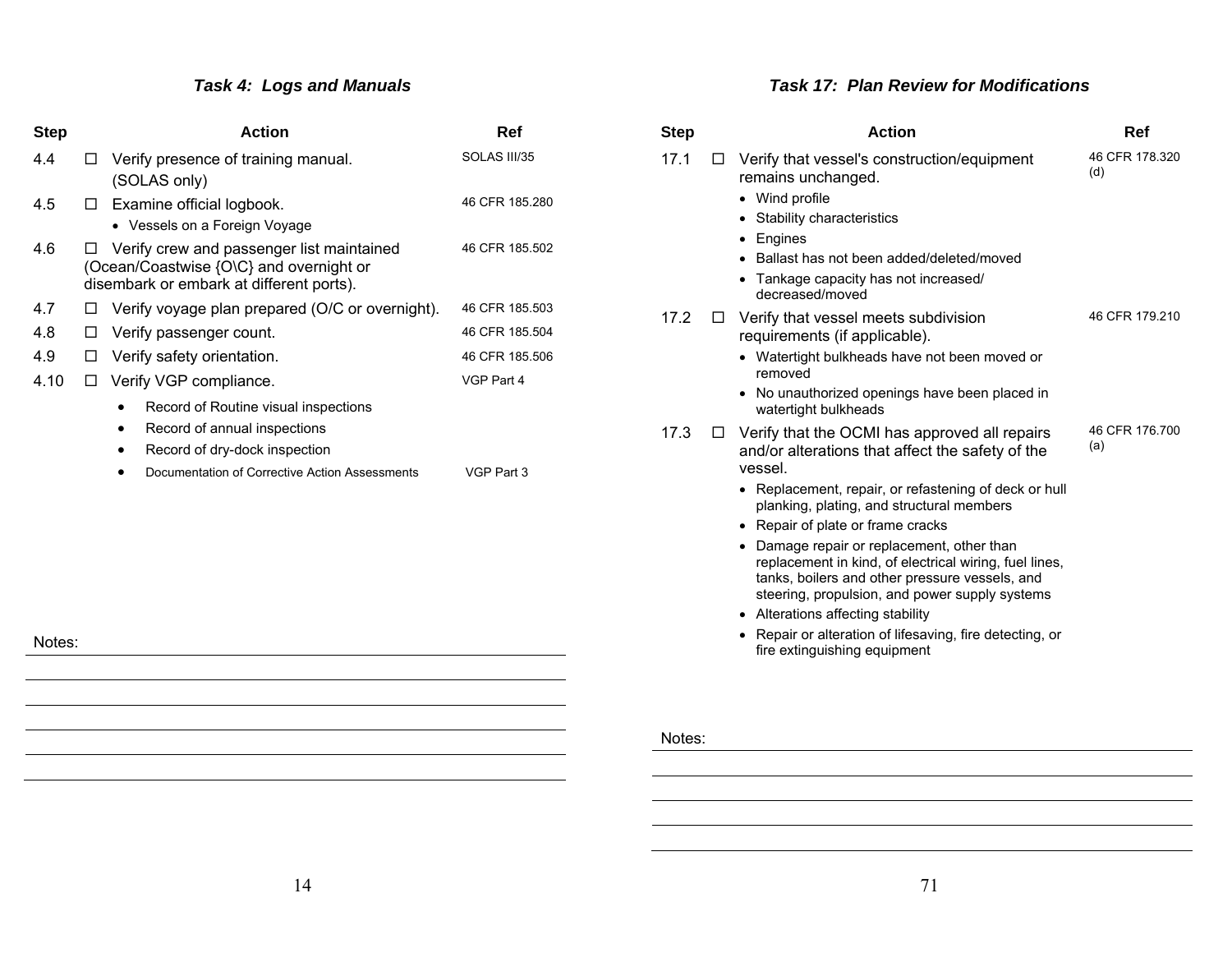# *Task 4: Logs and Manuals*

| <b>Step</b> |   | <b>Action</b>                                                                                                                    | Ref            |
|-------------|---|----------------------------------------------------------------------------------------------------------------------------------|----------------|
| 4.4         | □ | Verify presence of training manual.<br>(SOLAS only)                                                                              | SOLAS III/35   |
| 4.5         | П | Examine official logbook.<br>• Vessels on a Foreign Voyage                                                                       | 46 CFR 185,280 |
| 4.6         |   | Verify crew and passenger list maintained<br>(Ocean/Coastwise {O\C} and overnight or<br>disembark or embark at different ports). | 46 CFR 185.502 |
| 4.7         | □ | Verify voyage plan prepared (O/C or overnight).                                                                                  | 46 CFR 185.503 |
| 4.8         | ⊔ | Verify passenger count.                                                                                                          | 46 CFR 185.504 |
| 4.9         | ப | Verify safety orientation.                                                                                                       | 46 CFR 185.506 |
| 4.10        | П | Verify VGP compliance.                                                                                                           | VGP Part 4     |
|             |   | Record of Routine visual inspections                                                                                             |                |
|             |   | Record of annual inspections<br>٠                                                                                                |                |
|             |   | Record of dry-dock inspection                                                                                                    |                |
|             |   | Documentation of Corrective Action Assessments                                                                                   | VGP Part 3     |
|             |   |                                                                                                                                  |                |
|             |   |                                                                                                                                  |                |
|             |   |                                                                                                                                  |                |
|             |   |                                                                                                                                  |                |

Notes:

#### *Task 17: Plan Review for Modifications*

| 17.1<br>Verify that vessel's construction/equipment<br>П<br>(d)<br>remains unchanged.<br>• Wind profile<br>Stability characteristics<br>• Engines<br>Ballast has not been added/deleted/moved<br>• Tankage capacity has not increased/<br>decreased/moved<br>17.2<br>Verify that vessel meets subdivision<br>ப<br>requirements (if applicable).<br>• Watertight bulkheads have not been moved or<br>removed<br>No unauthorized openings have been placed in<br>$\bullet$<br>watertight bulkheads<br>17.3<br>Verify that the OCMI has approved all repairs<br>⊔<br>(a)<br>and/or alterations that affect the safety of the<br>vessel.<br>• Replacement, repair, or refastening of deck or hull<br>planking, plating, and structural members<br>• Repair of plate or frame cracks<br>• Damage repair or replacement, other than<br>replacement in kind, of electrical wiring, fuel lines,<br>tanks, boilers and other pressure vessels, and<br>steering, propulsion, and power supply systems<br>• Alterations affecting stability<br>• Repair or alteration of lifesaving, fire detecting, or<br>fire extinguishing equipment | <b>Step</b> | <b>Action</b> | Ref            |
|------------------------------------------------------------------------------------------------------------------------------------------------------------------------------------------------------------------------------------------------------------------------------------------------------------------------------------------------------------------------------------------------------------------------------------------------------------------------------------------------------------------------------------------------------------------------------------------------------------------------------------------------------------------------------------------------------------------------------------------------------------------------------------------------------------------------------------------------------------------------------------------------------------------------------------------------------------------------------------------------------------------------------------------------------------------------------------------------------------------------------|-------------|---------------|----------------|
|                                                                                                                                                                                                                                                                                                                                                                                                                                                                                                                                                                                                                                                                                                                                                                                                                                                                                                                                                                                                                                                                                                                              |             |               | 46 CFR 178.320 |
|                                                                                                                                                                                                                                                                                                                                                                                                                                                                                                                                                                                                                                                                                                                                                                                                                                                                                                                                                                                                                                                                                                                              |             |               | 46 CFR 179.210 |
|                                                                                                                                                                                                                                                                                                                                                                                                                                                                                                                                                                                                                                                                                                                                                                                                                                                                                                                                                                                                                                                                                                                              |             |               | 46 CFR 176,700 |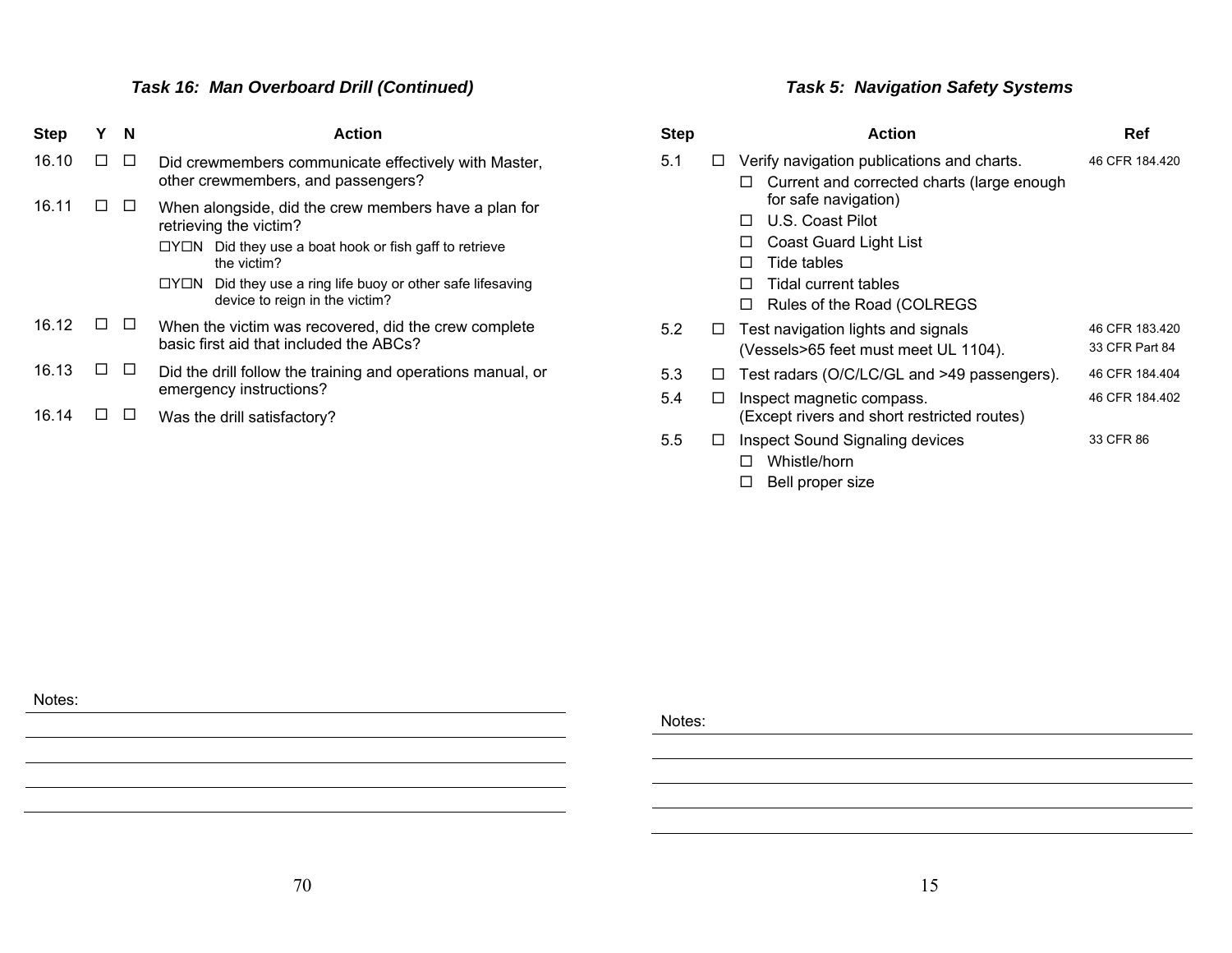# *Task 16: Man Overboard Drill (Continued)*

| <b>Step</b> | Y | N | <b>Action</b>                                                                                    |  |  |
|-------------|---|---|--------------------------------------------------------------------------------------------------|--|--|
| 16.10       |   |   | Did crewmembers communicate effectively with Master,<br>other crewmembers, and passengers?       |  |  |
| 16.11       |   |   | When alongside, did the crew members have a plan for<br>retrieving the victim?                   |  |  |
|             |   |   | Did they use a boat hook or fish gaff to retrieve<br>□Y□N<br>the victim?                         |  |  |
|             |   |   | Did they use a ring life buoy or other safe lifesaving<br>□Y□N<br>device to reign in the victim? |  |  |
| 16.12       |   |   | When the victim was recovered, did the crew complete<br>basic first aid that included the ABCs?  |  |  |
| 16.13       |   |   | Did the drill follow the training and operations manual, or<br>emergency instructions?           |  |  |
| 16.14       |   |   | Was the drill satisfactory?                                                                      |  |  |

# *Task 5: Navigation Safety Systems*

| <b>Step</b> |        | <b>Action</b>                                                                                                                                                                                                                                                               | Ref                              |
|-------------|--------|-----------------------------------------------------------------------------------------------------------------------------------------------------------------------------------------------------------------------------------------------------------------------------|----------------------------------|
| 5.1         |        | Verify navigation publications and charts.<br>Current and corrected charts (large enough<br>□<br>for safe navigation)<br>U.S. Coast Pilot<br>ΙI<br><b>Coast Guard Light List</b><br>ΙI<br>Tide tables<br>ΙI<br>Tidal current tables<br>П<br>Rules of the Road (COLREGS<br>П | 46 CFR 184.420                   |
| 5.2         | ப      | Test navigation lights and signals<br>(Vessels>65 feet must meet UL 1104).                                                                                                                                                                                                  | 46 CFR 183.420<br>33 CFR Part 84 |
| 5.3         | $\Box$ | Test radars (O/C/LC/GL and >49 passengers).                                                                                                                                                                                                                                 | 46 CFR 184.404                   |
| 5.4         | Ħ      | Inspect magnetic compass.<br>(Except rivers and short restricted routes)                                                                                                                                                                                                    | 46 CFR 184.402                   |
| 5.5         |        | <b>Inspect Sound Signaling devices</b><br>Whistle/horn                                                                                                                                                                                                                      | 33 CFR 86                        |

 $\square$  Bell proper size

Notes: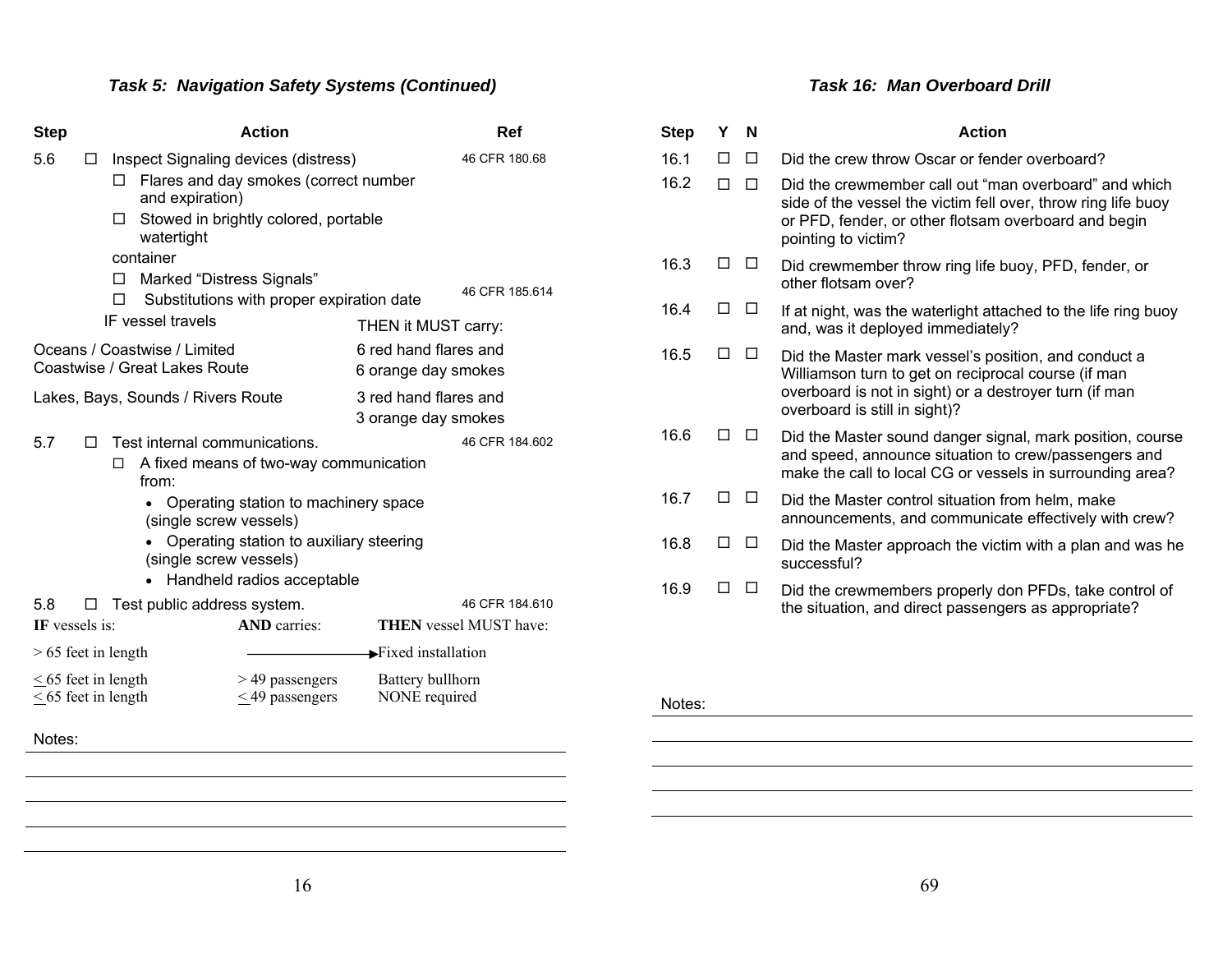# *Task 5: Navigation Safety Systems (Continued)*

| <b>Step</b>                                                                                                                                                                                                               |   |                                 |                                                               | <b>Action</b>                             |                                              | <b>Ref</b>                    |
|---------------------------------------------------------------------------------------------------------------------------------------------------------------------------------------------------------------------------|---|---------------------------------|---------------------------------------------------------------|-------------------------------------------|----------------------------------------------|-------------------------------|
| 5.6                                                                                                                                                                                                                       | П | 46 CFR 180.68<br>46 CFR 185.614 |                                                               |                                           |                                              |                               |
|                                                                                                                                                                                                                           |   | П                               |                                                               | Substitutions with proper expiration date |                                              |                               |
|                                                                                                                                                                                                                           |   |                                 | IF vessel travels                                             |                                           | THEN it MUST carry:                          |                               |
|                                                                                                                                                                                                                           |   |                                 | Oceans / Coastwise / Limited<br>Coastwise / Great Lakes Route |                                           | 6 red hand flares and<br>6 orange day smokes |                               |
|                                                                                                                                                                                                                           |   |                                 | Lakes, Bays, Sounds / Rivers Route                            |                                           | 3 red hand flares and<br>3 orange day smokes |                               |
| 5.7                                                                                                                                                                                                                       | П |                                 | Test internal communications.                                 |                                           |                                              | 46 CFR 184.602                |
| A fixed means of two-way communication<br>□<br>from:<br>Operating station to machinery space<br>(single screw vessels)<br>Operating station to auxiliary steering<br>(single screw vessels)<br>Handheld radios acceptable |   |                                 |                                                               |                                           |                                              |                               |
| 5.8                                                                                                                                                                                                                       | ப |                                 | Test public address system.                                   |                                           |                                              | 46 CFR 184.610                |
| <b>IF</b> vessels is:                                                                                                                                                                                                     |   |                                 |                                                               | <b>AND</b> carries:                       |                                              | <b>THEN</b> vessel MUST have: |
| $\blacktriangleright$ Fixed installation<br>$> 65$ feet in length                                                                                                                                                         |   |                                 |                                                               |                                           |                                              |                               |
| $\leq$ 65 feet in length<br>$\leq$ 65 feet in length                                                                                                                                                                      |   |                                 |                                                               | > 49 passengers<br>$\leq$ 49 passengers   | Battery bullhorn<br>NONE required            |                               |
| Notes:                                                                                                                                                                                                                    |   |                                 |                                                               |                                           |                                              |                               |
|                                                                                                                                                                                                                           |   |                                 |                                                               |                                           |                                              |                               |

#### *Task 16: Man Overboard Drill*

| <b>Step</b> | Y  | N            | <b>Action</b>                                                                                                                                                                                          |
|-------------|----|--------------|--------------------------------------------------------------------------------------------------------------------------------------------------------------------------------------------------------|
| 16.1        | п  | □            | Did the crew throw Oscar or fender overboard?                                                                                                                                                          |
| 16.2        | П  | п            | Did the crewmember call out "man overboard" and which<br>side of the vessel the victim fell over, throw ring life buoy<br>or PFD, fender, or other flotsam overboard and begin<br>pointing to victim?  |
| 16.3        | п  | $\perp$      | Did crewmember throw ring life buoy, PFD, fender, or<br>other flotsam over?                                                                                                                            |
| 16.4        | H  |              | If at night, was the waterlight attached to the life ring buoy<br>and, was it deployed immediately?                                                                                                    |
| 16.5        |    | $\mathsf{L}$ | Did the Master mark vessel's position, and conduct a<br>Williamson turn to get on reciprocal course (if man<br>overboard is not in sight) or a destroyer turn (if man<br>overboard is still in sight)? |
| 16.6        | ΙI |              | Did the Master sound danger signal, mark position, course<br>and speed, announce situation to crew/passengers and<br>make the call to local CG or vessels in surrounding area?                         |
| 16.7        | п  |              | Did the Master control situation from helm, make<br>announcements, and communicate effectively with crew?                                                                                              |
| 16.8        |    | ΙI           | Did the Master approach the victim with a plan and was he<br>successful?                                                                                                                               |
| 16.9        |    |              | Did the crewmembers properly don PFDs, take control of<br>the situation, and direct passengers as appropriate?                                                                                         |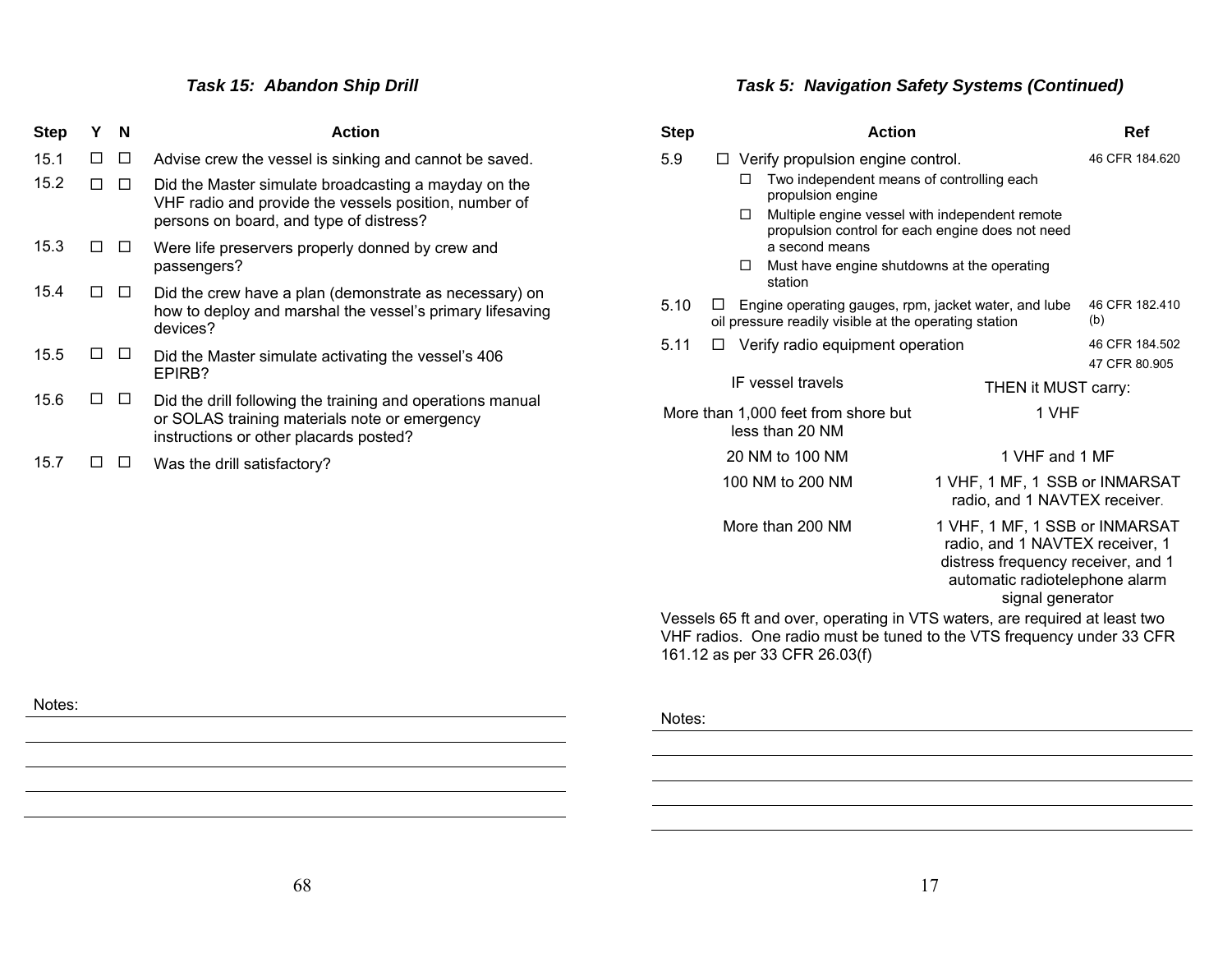# *Task 15: Abandon Ship Drill*

| <b>Step</b> | Υ | N  | <b>Action</b>                                                                                                                                            |
|-------------|---|----|----------------------------------------------------------------------------------------------------------------------------------------------------------|
| 15.1        | П | IJ | Advise crew the vessel is sinking and cannot be saved.                                                                                                   |
| 15.2        |   |    | Did the Master simulate broadcasting a mayday on the<br>VHF radio and provide the vessels position, number of<br>persons on board, and type of distress? |
| 15.3        |   |    | Were life preservers properly donned by crew and<br>passengers?                                                                                          |
| 15.4        |   |    | Did the crew have a plan (demonstrate as necessary) on<br>how to deploy and marshal the vessel's primary lifesaving<br>devices?                          |
| 15.5        |   |    | Did the Master simulate activating the vessel's 406<br>EPIRB?                                                                                            |
| 15.6        |   |    | Did the drill following the training and operations manual<br>or SOLAS training materials note or emergency<br>instructions or other placards posted?    |
| 15.7        |   |    | Was the drill satisfactory?                                                                                                                              |

# *Task 5: Navigation Safety Systems (Continued)*

| <b>Step</b>                                            |                                                                           |   | <b>Action</b>                                                                                                        |                                                                                                                                                               | Ref                             |  |  |  |
|--------------------------------------------------------|---------------------------------------------------------------------------|---|----------------------------------------------------------------------------------------------------------------------|---------------------------------------------------------------------------------------------------------------------------------------------------------------|---------------------------------|--|--|--|
| 5.9                                                    | IJ.                                                                       |   | Verify propulsion engine control.                                                                                    |                                                                                                                                                               | 46 CFR 184.620                  |  |  |  |
|                                                        |                                                                           | П | Two independent means of controlling each<br>propulsion engine                                                       |                                                                                                                                                               |                                 |  |  |  |
|                                                        |                                                                           | □ | Multiple engine vessel with independent remote<br>propulsion control for each engine does not need<br>a second means |                                                                                                                                                               |                                 |  |  |  |
|                                                        |                                                                           | □ | Must have engine shutdowns at the operating<br>station                                                               |                                                                                                                                                               |                                 |  |  |  |
| 5.10                                                   |                                                                           |   | oil pressure readily visible at the operating station                                                                | 46 CFR 182.410<br>Engine operating gauges, rpm, jacket water, and lube<br>(b)                                                                                 |                                 |  |  |  |
| 5.11                                                   | ⊔                                                                         |   | Verify radio equipment operation                                                                                     |                                                                                                                                                               | 46 CFR 184.502<br>47 CFR 80.905 |  |  |  |
|                                                        |                                                                           |   | IF vessel travels                                                                                                    | THEN it MUST carry:                                                                                                                                           |                                 |  |  |  |
| More than 1,000 feet from shore but<br>less than 20 NM |                                                                           |   |                                                                                                                      | 1 VHF                                                                                                                                                         |                                 |  |  |  |
|                                                        |                                                                           |   | 20 NM to 100 NM                                                                                                      | 1 VHF and 1 MF                                                                                                                                                |                                 |  |  |  |
|                                                        |                                                                           |   | 100 NM to 200 NM                                                                                                     | 1 VHF, 1 MF, 1 SSB or INMARSAT<br>radio, and 1 NAVTEX receiver.                                                                                               |                                 |  |  |  |
| More than 200 NM                                       |                                                                           |   |                                                                                                                      | 1 VHF, 1 MF, 1 SSB or INMARSAT<br>radio, and 1 NAVTEX receiver, 1<br>distress frequency receiver, and 1<br>automatic radiotelephone alarm<br>signal generator |                                 |  |  |  |
|                                                        | Vegaale 65 ft and over aperating in VTC waters, are required at least two |   |                                                                                                                      |                                                                                                                                                               |                                 |  |  |  |

Vessels 65 ft and over, operating in VTS waters, are required at least two VHF radios. One radio must be tuned to the VTS frequency under 33 CFR 161.12 as per 33 CFR 26.03(f)

Notes: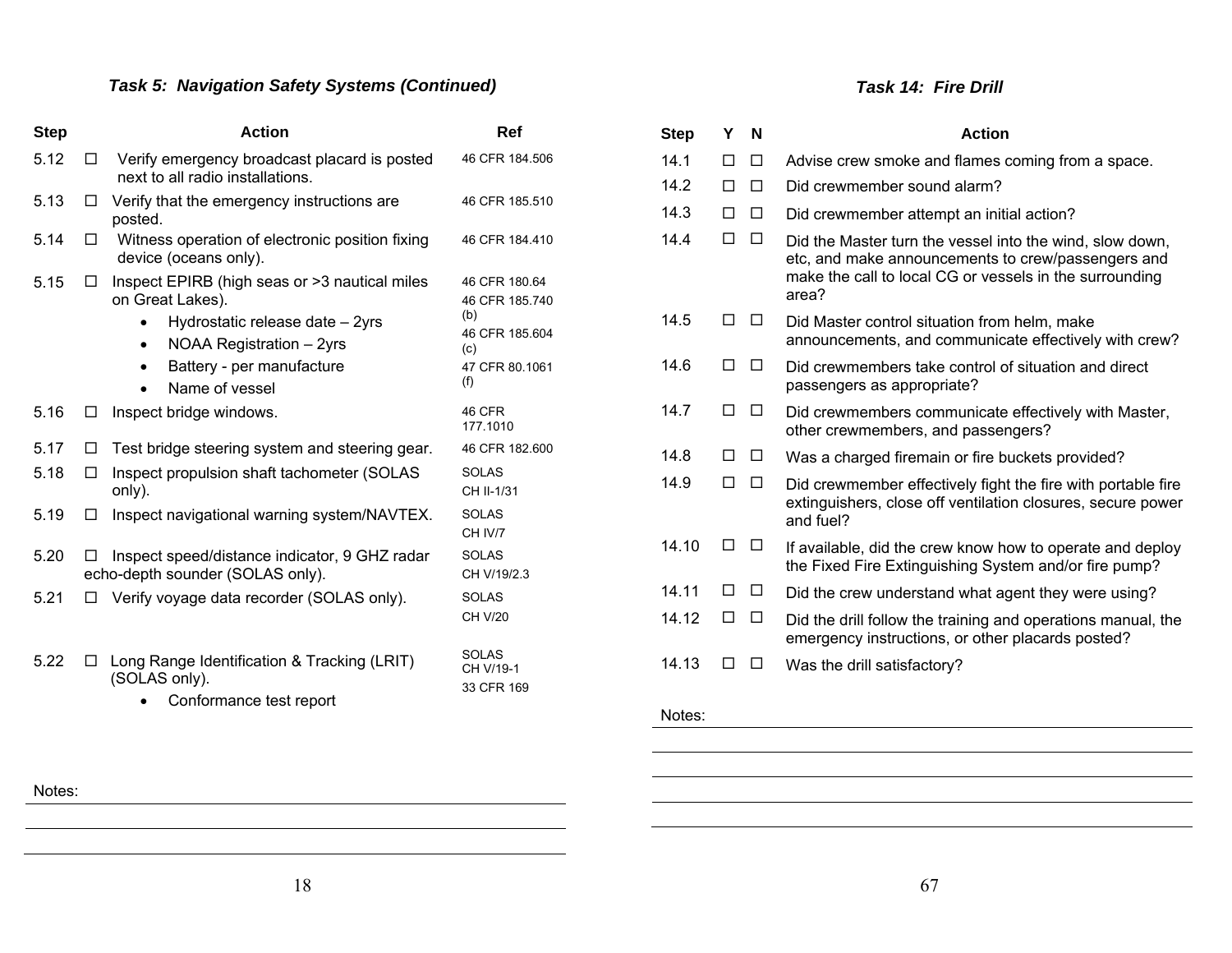# *Task 5: Navigation Safety Systems (Continued)*

| <b>Step</b> |              | <b>Action</b>                                                                                                                                                                                | Ref                                                                                      |
|-------------|--------------|----------------------------------------------------------------------------------------------------------------------------------------------------------------------------------------------|------------------------------------------------------------------------------------------|
| 5.12        | LΙ           | Verify emergency broadcast placard is posted<br>next to all radio installations.                                                                                                             | 46 CFR 184.506                                                                           |
| 5.13        | □            | Verify that the emergency instructions are<br>posted.                                                                                                                                        | 46 CFR 185.510                                                                           |
| 5.14        | LΙ           | Witness operation of electronic position fixing<br>device (oceans only).                                                                                                                     | 46 CFR 184.410                                                                           |
| 5.15        | П            | Inspect EPIRB (high seas or >3 nautical miles<br>on Great Lakes).<br>Hydrostatic release date - 2yrs<br>NOAA Registration - 2yrs<br>$\bullet$<br>Battery - per manufacture<br>Name of vessel | 46 CFR 180.64<br>46 CFR 185.740<br>(b)<br>46 CFR 185.604<br>(c)<br>47 CFR 80.1061<br>(f) |
| 5.16        | $\mathsf{L}$ | Inspect bridge windows.                                                                                                                                                                      | 46 CFR<br>177.1010                                                                       |
| 5.17        | □            | Test bridge steering system and steering gear.                                                                                                                                               | 46 CFR 182,600                                                                           |
| 5.18        | ΙI           | Inspect propulsion shaft tachometer (SOLAS<br>only).                                                                                                                                         | <b>SOLAS</b><br>CH II-1/31                                                               |
| 5.19        | П            | Inspect navigational warning system/NAVTEX.                                                                                                                                                  | <b>SOLAS</b><br>CH IV/7                                                                  |
| 5.20        |              | Inspect speed/distance indicator, 9 GHZ radar<br>echo-depth sounder (SOLAS only).                                                                                                            | <b>SOLAS</b><br>CH V/19/2.3                                                              |
| 5.21        |              | Verify voyage data recorder (SOLAS only).                                                                                                                                                    | <b>SOLAS</b><br>CH V/20                                                                  |
| 5.22        |              | Long Range Identification & Tracking (LRIT)<br>(SOLAS only).<br>Conformance test report                                                                                                      | <b>SOLAS</b><br>CH V/19-1<br>33 CFR 169                                                  |

#### *Task 14: Fire Drill*

| <b>Step</b> | Υ | N       | <b>Action</b>                                                                                                                                                                      |
|-------------|---|---------|------------------------------------------------------------------------------------------------------------------------------------------------------------------------------------|
| 14.1        | П | □       | Advise crew smoke and flames coming from a space.                                                                                                                                  |
| 14.2        | П | П       | Did crewmember sound alarm?                                                                                                                                                        |
| 14.3        | п | п       | Did crewmember attempt an initial action?                                                                                                                                          |
| 14.4        | П | П       | Did the Master turn the vessel into the wind, slow down,<br>etc, and make announcements to crew/passengers and<br>make the call to local CG or vessels in the surrounding<br>area? |
| 14.5        | П | $\perp$ | Did Master control situation from helm, make<br>announcements, and communicate effectively with crew?                                                                              |
| 14.6        | п | П       | Did crewmembers take control of situation and direct<br>passengers as appropriate?                                                                                                 |
| 14.7        | п | □       | Did crewmembers communicate effectively with Master,<br>other crewmembers, and passengers?                                                                                         |
| 14.8        | П | П       | Was a charged firemain or fire buckets provided?                                                                                                                                   |
| 14.9        | П | п       | Did crewmember effectively fight the fire with portable fire<br>extinguishers, close off ventilation closures, secure power<br>and fuel?                                           |
| 14.10       | П | $\perp$ | If available, did the crew know how to operate and deploy<br>the Fixed Fire Extinguishing System and/or fire pump?                                                                 |
| 14.11       | П | □       | Did the crew understand what agent they were using?                                                                                                                                |
| 14.12       | П | п       | Did the drill follow the training and operations manual, the<br>emergency instructions, or other placards posted?                                                                  |
| 14.13       | п | П       | Was the drill satisfactory?                                                                                                                                                        |
| Notes:      |   |         |                                                                                                                                                                                    |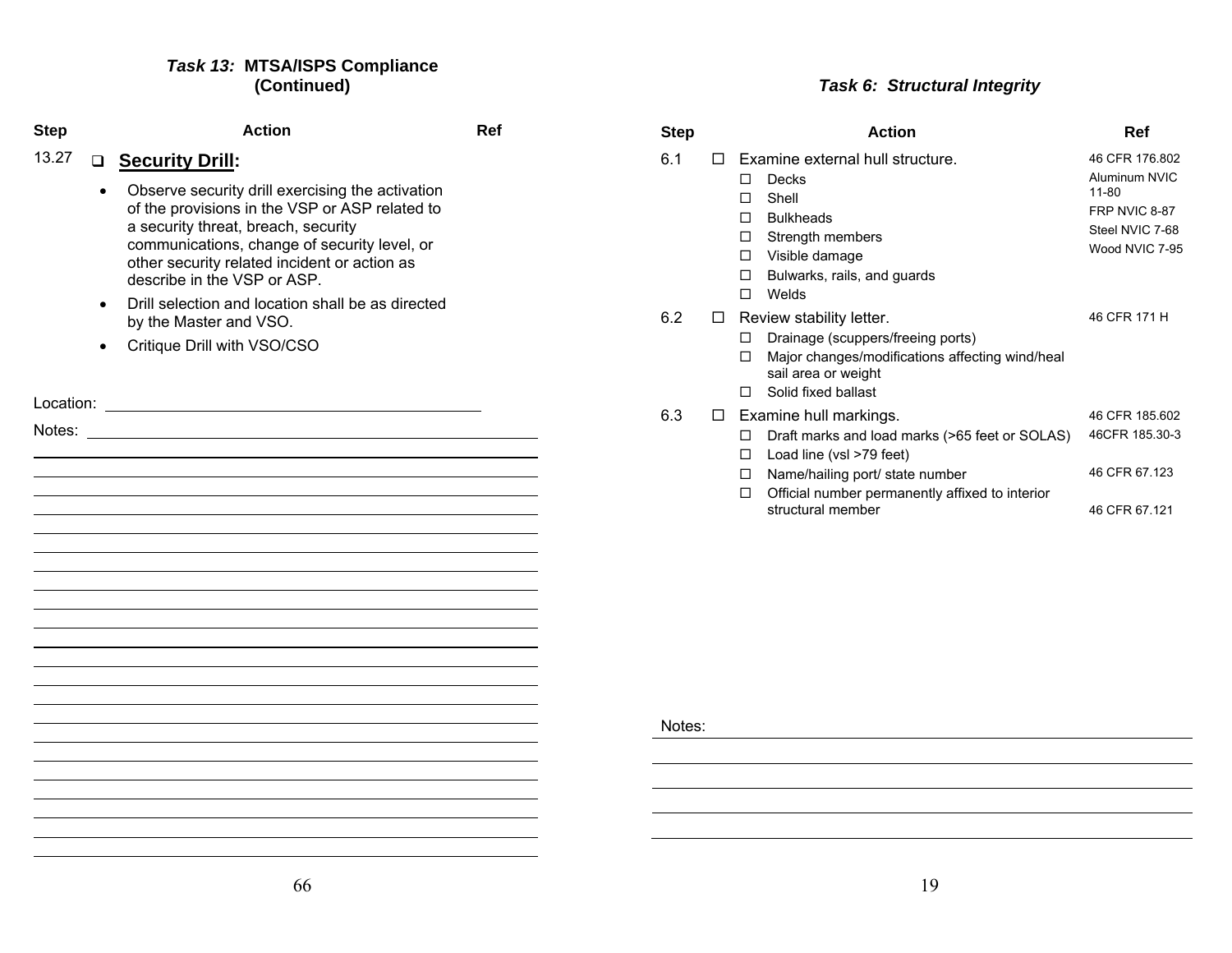#### *Task 13:* **MTSA/ISPS Compliance (Continued)**

| <b>Step</b> |                        | <b>Action</b>                                                                                                                                                                                                                                                                                                                                      | Ref | <b>Step</b> |        |                                                                                                                                                                               |
|-------------|------------------------|----------------------------------------------------------------------------------------------------------------------------------------------------------------------------------------------------------------------------------------------------------------------------------------------------------------------------------------------------|-----|-------------|--------|-------------------------------------------------------------------------------------------------------------------------------------------------------------------------------|
| 13.27       | $\bullet$              | □ Security Drill:<br>Observe security drill exercising the activation<br>of the provisions in the VSP or ASP related to<br>a security threat, breach, security<br>communications, change of security level, or<br>other security related incident or action as<br>describe in the VSP or ASP.<br>Drill selection and location shall be as directed |     | 6.1         | $\Box$ | Examine external hi<br>Decks<br>$\Box$<br>Shell<br>П.<br><b>Bulkheads</b><br>П.<br>Strength member<br>□<br>Visible damage<br>$\Box$<br>Bulwarks, rails, a<br>□<br>Welds<br>П. |
|             | $\bullet$<br>$\bullet$ | by the Master and VSO.<br>Critique Drill with VSO/CSO                                                                                                                                                                                                                                                                                              |     | 6.2         | $\Box$ | Review stability lette<br>Drainage (scuppe<br>□<br>Major changes/m<br>$\Box$<br>sail area or weigh<br>Solid fixed ballast<br>П.                                               |
|             |                        | Notes: when the contract of the contract of the contract of the contract of the contract of the contract of the contract of the contract of the contract of the contract of the contract of the contract of the contract of th                                                                                                                     |     | 6.3         | $\Box$ | Examine hull markir<br>$\Box$ Draft marks and $\Box$<br>$\square$ Load line (vsl >79<br>□ Name/hailing port<br>Official number po<br>$\Box$<br>structural membe               |
|             |                        |                                                                                                                                                                                                                                                                                                                                                    |     | Notes:      |        |                                                                                                                                                                               |
|             |                        |                                                                                                                                                                                                                                                                                                                                                    |     |             |        |                                                                                                                                                                               |
|             |                        |                                                                                                                                                                                                                                                                                                                                                    |     |             |        |                                                                                                                                                                               |
|             |                        |                                                                                                                                                                                                                                                                                                                                                    |     |             |        |                                                                                                                                                                               |
|             |                        |                                                                                                                                                                                                                                                                                                                                                    |     |             |        |                                                                                                                                                                               |

# *Task 6: Structural Integrity*

| <b>Step</b> |   | <b>Action</b>                                                                                                                                                                                                                       | Ref                                                                                            |
|-------------|---|-------------------------------------------------------------------------------------------------------------------------------------------------------------------------------------------------------------------------------------|------------------------------------------------------------------------------------------------|
| 6.1         |   | Examine external hull structure.<br>Decks<br>п<br>Shell<br>п<br><b>Bulkheads</b><br>п<br>Strength members<br>◻<br>Visible damage<br>□<br>Bulwarks, rails, and guards<br>п<br>Welds<br>п                                             | 46 CFR 176.802<br>Aluminum NVIC<br>11-80<br>FRP NVIC 8-87<br>Steel NVIC 7-68<br>Wood NVIC 7-95 |
| 6.2         |   | Review stability letter.<br>Drainage (scuppers/freeing ports)<br>$\mathsf{L}$<br>Major changes/modifications affecting wind/heal<br>п<br>sail area or weight<br>Solid fixed ballast<br>П                                            | 46 CFR 171 H                                                                                   |
| 6.3         | ⊔ | Examine hull markings.<br>Draft marks and load marks (>65 feet or SOLAS)<br>□<br>Load line (vsl >79 feet)<br>◻<br>Name/hailing port/ state number<br>◻<br>Official number permanently affixed to interior<br>п<br>structural member | 46 CFR 185.602<br>46CFR 185.30-3<br>46 CFR 67.123<br>46 CFR 67.121                             |

19

66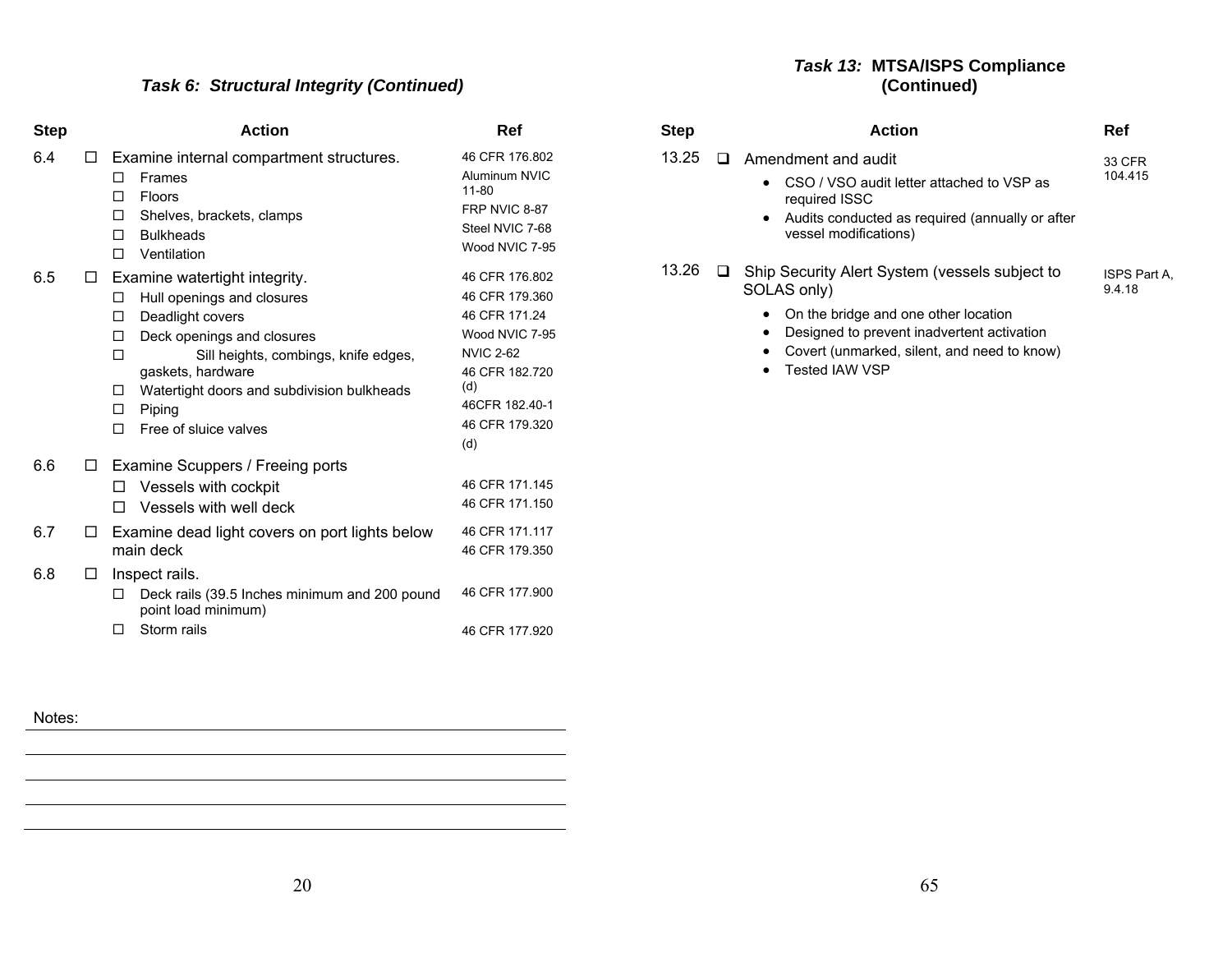# *Task 6: Structural Integrity (Continued)*

| <b>Step</b> |        | <b>Action</b>                                                                                                                                                                                                                                                                                             | Ref                                                                                                                                                         |
|-------------|--------|-----------------------------------------------------------------------------------------------------------------------------------------------------------------------------------------------------------------------------------------------------------------------------------------------------------|-------------------------------------------------------------------------------------------------------------------------------------------------------------|
| 6.4         | □      | Examine internal compartment structures.<br>Frames<br>п<br>Floors<br>п<br>Shelves, brackets, clamps<br>п<br><b>Bulkheads</b><br>п<br>Ventilation<br>п                                                                                                                                                     | 46 CFR 176.802<br>Aluminum NVIC<br>$11 - 80$<br>FRP NVIC 8-87<br>Steel NVIC 7-68<br>Wood NVIC 7-95                                                          |
| 6.5         | □      | Examine watertight integrity.<br>Hull openings and closures<br>□<br>Deadlight covers<br>□<br>Deck openings and closures<br>п<br>п<br>Sill heights, combings, knife edges,<br>gaskets, hardware<br>Watertight doors and subdivision bulkheads<br>$\mathsf{L}$<br>Piping<br>□<br>Free of sluice valves<br>п | 46 CFR 176.802<br>46 CFR 179.360<br>46 CFR 171.24<br>Wood NVIC 7-95<br><b>NVIC 2-62</b><br>46 CFR 182.720<br>(d)<br>46CFR 182.40-1<br>46 CFR 179.320<br>(d) |
| 6.6<br>6.7  | □<br>□ | Examine Scuppers / Freeing ports<br>Vessels with cockpit<br>Vessels with well deck<br>$\mathsf{L}$<br>Examine dead light covers on port lights below<br>main deck                                                                                                                                         | 46 CFR 171.145<br>46 CFR 171.150<br>46 CFR 171.117<br>46 CFR 179.350                                                                                        |
| 6.8         | □      | Inspect rails.<br>Deck rails (39.5 Inches minimum and 200 pound<br>□<br>point load minimum)<br>Storm rails<br>п                                                                                                                                                                                           | 46 CFR 177.900<br>46 CFR 177.920                                                                                                                            |

#### *Task 13:* **MTSA/ISPS Compliance (Continued)**

| Step  | <b>Action</b>                                                                                                                                                              | Ref                    |
|-------|----------------------------------------------------------------------------------------------------------------------------------------------------------------------------|------------------------|
| 13.25 | $\Box$ Amendment and audit                                                                                                                                                 | 33 CFR                 |
|       | CSO / VSO audit letter attached to VSP as<br>$\bullet$<br>required ISSC<br>Audits conducted as required (annually or after<br>$\bullet$<br>vessel modifications)           | 104.415                |
| 13.26 | Ship Security Alert System (vessels subject to<br>SOLAS only)                                                                                                              | ISPS Part A.<br>9.4.18 |
|       | On the bridge and one other location<br>٠<br>Designed to prevent inadvertent activation<br>٠<br>Covert (unmarked, silent, and need to know)<br>Tested IAW VSP<br>$\bullet$ |                        |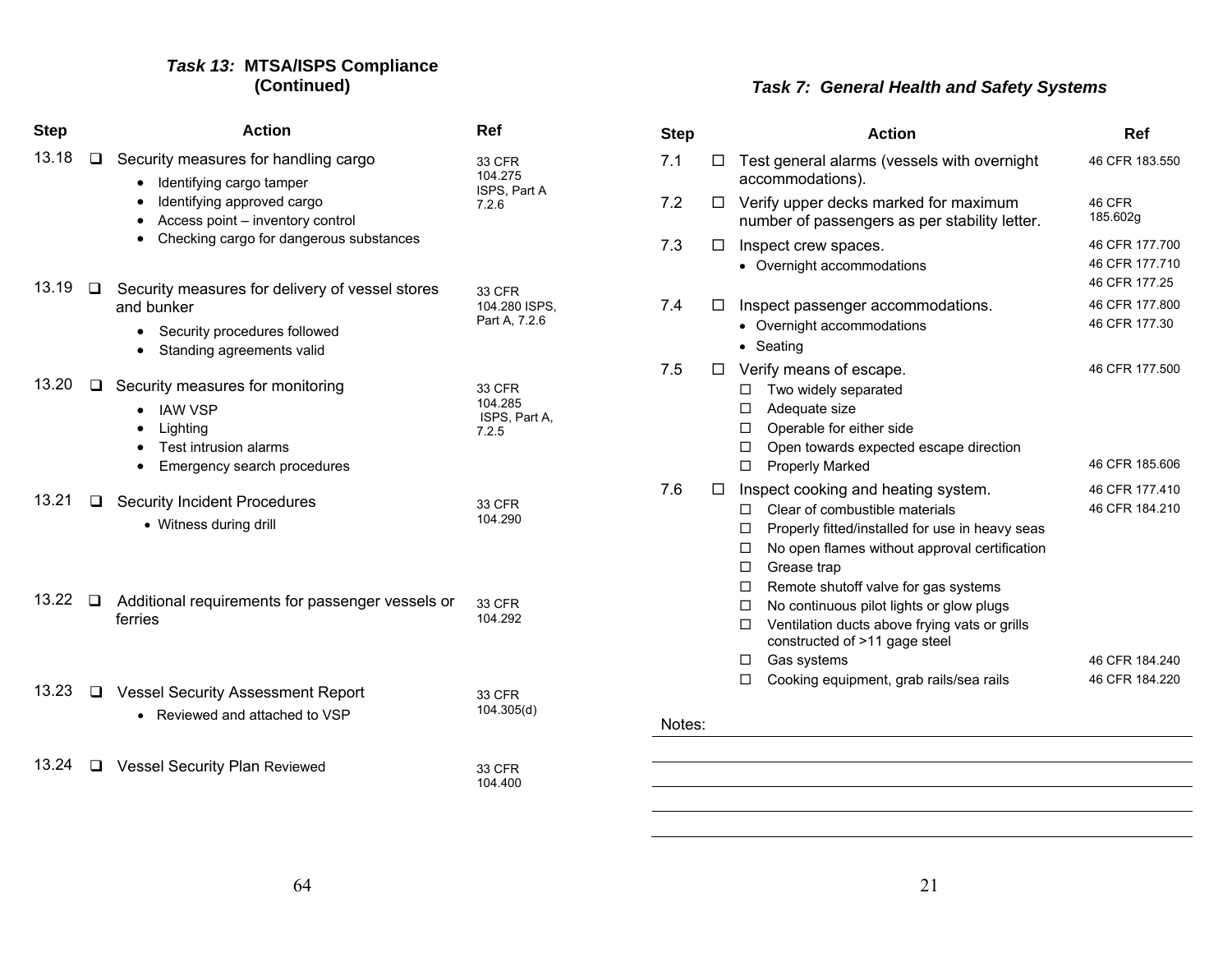#### *Task 13:* **MTSA/ISPS Compliance (Continued)**

| <b>Step</b> |        | <b>Action</b>                                                                                                                                                                                                                     | <b>Ref</b>                                  |
|-------------|--------|-----------------------------------------------------------------------------------------------------------------------------------------------------------------------------------------------------------------------------------|---------------------------------------------|
| 13.18       | $\Box$ | Security measures for handling cargo<br>Identifying cargo tamper<br>$\bullet$<br>Identifying approved cargo<br>$\bullet$<br>Access point - inventory control<br>$\bullet$<br>Checking cargo for dangerous substances<br>$\bullet$ | 33 CFR<br>104.275<br>ISPS, Part A<br>7.2.6  |
| 13.19       | □      | Security measures for delivery of vessel stores<br>and bunker<br>Security procedures followed<br>Standing agreements valid                                                                                                        | 33 CFR<br>104.280 ISPS,<br>Part A, 7.2.6    |
| 13.20       |        | $\Box$ Security measures for monitoring<br><b>IAW VSP</b><br>Lighting<br>$\bullet$<br>Test intrusion alarms<br>$\bullet$<br>Emergency search procedures                                                                           | 33 CFR<br>104.285<br>ISPS, Part A,<br>7.2.5 |
| 13.21       | ப      | <b>Security Incident Procedures</b><br>• Witness during drill                                                                                                                                                                     | 33 CFR<br>104.290                           |
| 13.22       | □      | Additional requirements for passenger vessels or<br>ferries                                                                                                                                                                       | 33 CFR<br>104.292                           |
| 13.23       |        | □ Vessel Security Assessment Report<br>Reviewed and attached to VSP                                                                                                                                                               | 33 CFR<br>104.305(d)                        |
| 13.24       | ⊔      | <b>Vessel Security Plan Reviewed</b>                                                                                                                                                                                              | 33 CFR<br>104.400                           |

# *Task 7: General Health and Safety Systems*

| <b>Step</b> |   | <b>Action</b>                                                                                                                                                                                                                                                                                                                                                                                                                                                                                         | Ref                                                                   |
|-------------|---|-------------------------------------------------------------------------------------------------------------------------------------------------------------------------------------------------------------------------------------------------------------------------------------------------------------------------------------------------------------------------------------------------------------------------------------------------------------------------------------------------------|-----------------------------------------------------------------------|
| 7.1         | П | Test general alarms (vessels with overnight<br>accommodations).                                                                                                                                                                                                                                                                                                                                                                                                                                       | 46 CFR 183.550                                                        |
| 7.2         | □ | Verify upper decks marked for maximum<br>number of passengers as per stability letter.                                                                                                                                                                                                                                                                                                                                                                                                                | 46 CFR<br>185.602g                                                    |
| 7.3         | □ | Inspect crew spaces.<br>• Overnight accommodations                                                                                                                                                                                                                                                                                                                                                                                                                                                    | 46 CFR 177.700<br>46 CFR 177.710<br>46 CFR 177.25                     |
| 7.4         | ⊔ | Inspect passenger accommodations.<br>Overnight accommodations<br>Seating                                                                                                                                                                                                                                                                                                                                                                                                                              | 46 CFR 177.800<br>46 CFR 177.30                                       |
| 7.5         | □ | Verify means of escape.<br>Two widely separated<br>П<br>Adequate size<br>□<br>Operable for either side<br>П.<br>Open towards expected escape direction<br>□                                                                                                                                                                                                                                                                                                                                           | 46 CFR 177,500<br>46 CFR 185.606                                      |
| 7.6         | □ | <b>Properly Marked</b><br>п<br>Inspect cooking and heating system.<br>Clear of combustible materials<br>п<br>Properly fitted/installed for use in heavy seas<br>п<br>No open flames without approval certification<br>п<br>Grease trap<br>□<br>Remote shutoff valve for gas systems<br>□<br>No continuous pilot lights or glow plugs<br>□<br>Ventilation ducts above frying vats or grills<br>□<br>constructed of >11 gage steel<br>Gas systems<br>П.<br>Cooking equipment, grab rails/sea rails<br>□ | 46 CFR 177.410<br>46 CFR 184.210<br>46 CFR 184, 240<br>46 CFR 184.220 |
| Notes:      |   |                                                                                                                                                                                                                                                                                                                                                                                                                                                                                                       |                                                                       |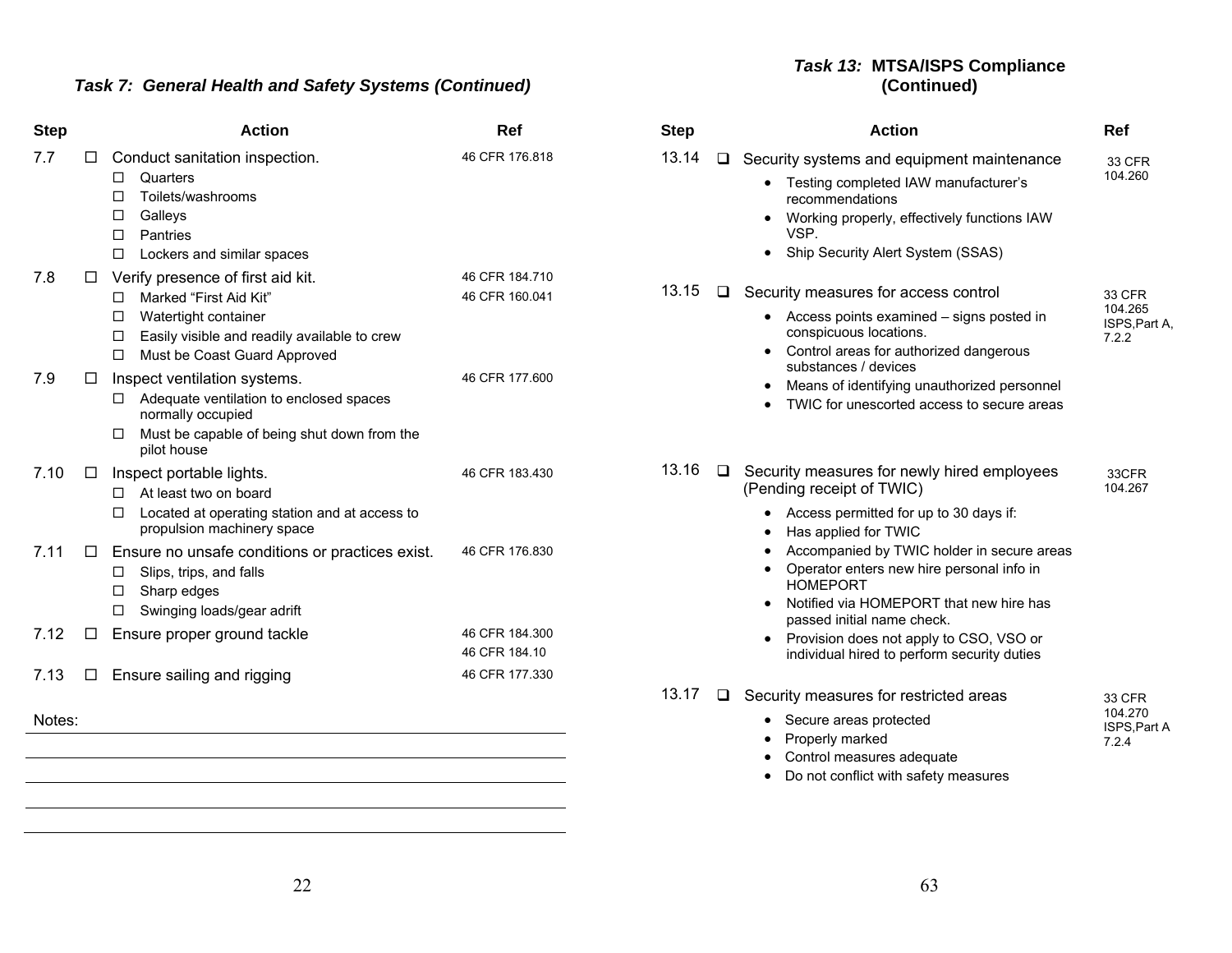# *Task 7: General Health and Safety Systems (Continued)*

#### *Task 13:* **MTSA/ISPS Compliance (Continued)**

| <b>Step</b> |        | <b>Action</b>                                                                                                                                                                                | Ref                              | <b>Step</b> |        | <b>Action</b>                                                                                                                                                                                         | Ref                                                |
|-------------|--------|----------------------------------------------------------------------------------------------------------------------------------------------------------------------------------------------|----------------------------------|-------------|--------|-------------------------------------------------------------------------------------------------------------------------------------------------------------------------------------------------------|----------------------------------------------------|
| 7.7         | □      | Conduct sanitation inspection.<br>Quarters<br>□<br>Toilets/washrooms<br>□<br>Galleys<br>□<br>□<br>Pantries<br>□<br>Lockers and similar spaces                                                | 46 CFR 176.818                   | 13.14       | $\Box$ | Security systems and equipment maintenance<br>• Testing completed IAW manufacturer's<br>recommendations<br>Working properly, effectively functions IAW<br>VSP.<br>• Ship Security Alert System (SSAS) | <b>33 CFR</b><br>104.260                           |
| 7.8         | $\Box$ | Verify presence of first aid kit.<br>Marked "First Aid Kit"<br>□<br>Watertight container<br>□<br>Easily visible and readily available to crew<br>□<br>Must be Coast Guard Approved<br>$\Box$ | 46 CFR 184.710<br>46 CFR 160.041 | 13.15       | $\Box$ | Security measures for access control<br>• Access points examined – signs posted in<br>conspicuous locations.<br>Control areas for authorized dangerous<br>$\bullet$<br>substances / devices           | <b>33 CFR</b><br>104.265<br>ISPS, Part A,<br>7.2.2 |
| 7.9         | □      | Inspect ventilation systems.<br>Adequate ventilation to enclosed spaces<br>□<br>normally occupied<br>Must be capable of being shut down from the<br>pilot house                              | 46 CFR 177,600                   |             |        | Means of identifying unauthorized personnel<br>TWIC for unescorted access to secure areas                                                                                                             |                                                    |
| 7.10        | □      | Inspect portable lights.<br>At least two on board<br>П<br>Located at operating station and at access to<br>□<br>propulsion machinery space                                                   | 46 CFR 183.430                   | 13.16       | $\Box$ | Security measures for newly hired employees<br>(Pending receipt of TWIC)<br>• Access permitted for up to 30 days if:<br>Has applied for TWIC<br>$\bullet$                                             | 33CFR<br>104.267                                   |
| 7.11        | □      | Ensure no unsafe conditions or practices exist.<br>Slips, trips, and falls<br>□<br>Sharp edges<br>□<br>Swinging loads/gear adrift<br>□                                                       | 46 CFR 176.830                   |             |        | Accompanied by TWIC holder in secure areas<br>Operator enters new hire personal info in<br><b>HOMEPORT</b><br>Notified via HOMEPORT that new hire has<br>passed initial name check.                   |                                                    |
| 7.12        | □      | Ensure proper ground tackle                                                                                                                                                                  | 46 CFR 184.300<br>46 CFR 184.10  |             |        | • Provision does not apply to CSO, VSO or<br>individual hired to perform security duties                                                                                                              |                                                    |
| 7.13        | □      | Ensure sailing and rigging                                                                                                                                                                   | 46 CFR 177.330                   | 13.17       | $\Box$ | Security measures for restricted areas                                                                                                                                                                | 33 CFR                                             |
| Notes:      |        |                                                                                                                                                                                              |                                  |             |        | • Secure areas protected<br>Properly marked<br>Control measures adequate<br>• Do not conflict with safety measures                                                                                    | 104.270<br>ISPS, Part A<br>7.2.4                   |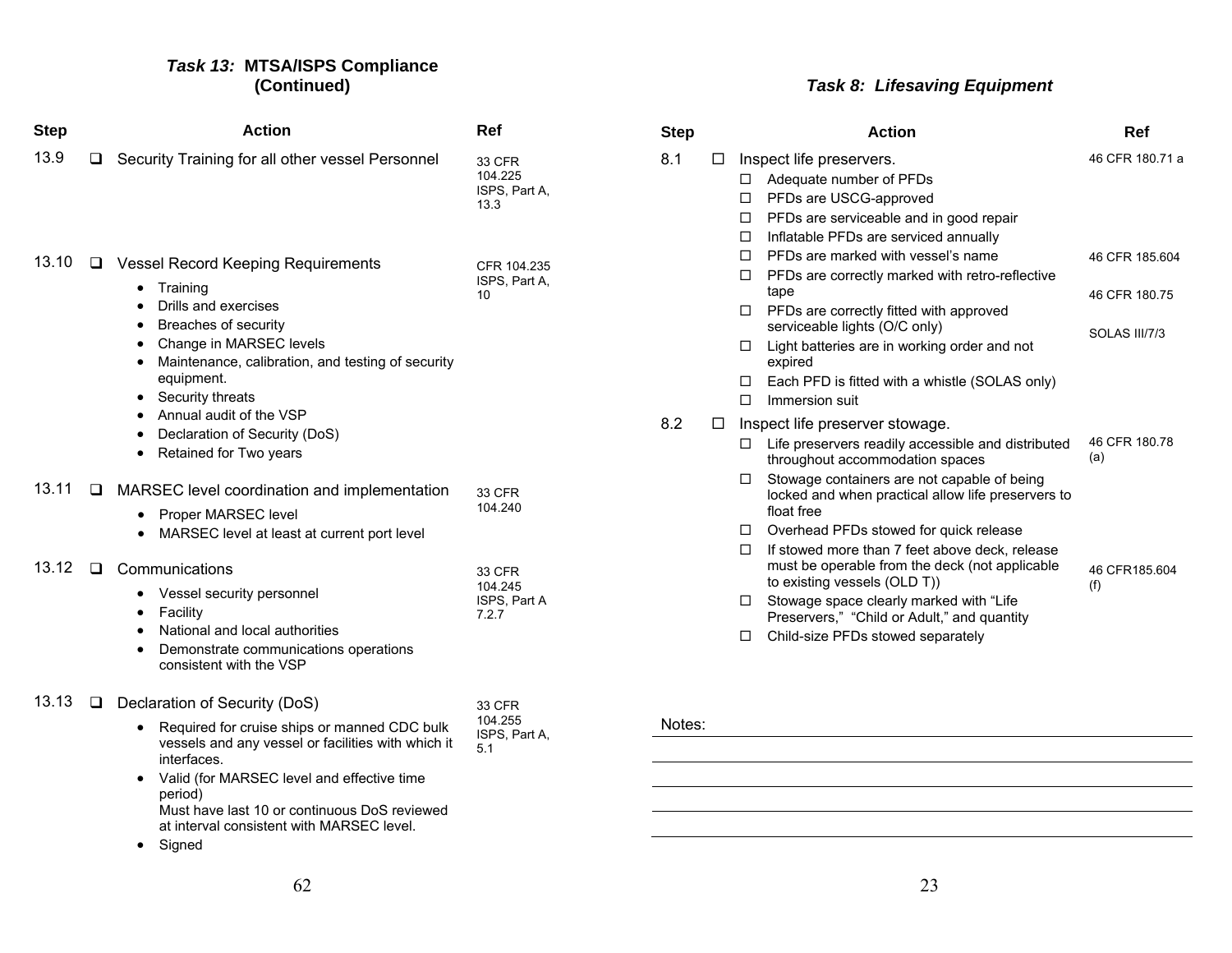#### *Task 13:* **MTSA/ISPS Compliance (Continued)**

| <b>Step</b> |        | <b>Action</b>                                                                                                                                                                                                                                                                                                                                                                                          | Ref                                        |
|-------------|--------|--------------------------------------------------------------------------------------------------------------------------------------------------------------------------------------------------------------------------------------------------------------------------------------------------------------------------------------------------------------------------------------------------------|--------------------------------------------|
| 13.9        | ⊔      | Security Training for all other vessel Personnel                                                                                                                                                                                                                                                                                                                                                       | 33 CFR<br>104.225<br>ISPS, Part A,<br>13.3 |
| 13.10       | ⊔      | <b>Vessel Record Keeping Requirements</b><br>Training<br>$\bullet$<br>Drills and exercises<br>$\bullet$<br><b>Breaches of security</b><br>$\bullet$<br>Change in MARSEC levels<br>$\bullet$<br>Maintenance, calibration, and testing of security<br>٠<br>equipment.<br>Security threats<br>٠<br>• Annual audit of the VSP<br>Declaration of Security (DoS)<br>$\bullet$<br>Retained for Two years<br>٠ | CFR 104.235<br>ISPS, Part A.<br>10         |
| 13.11       | $\Box$ | MARSEC level coordination and implementation<br>Proper MARSEC level<br>MARSEC level at least at current port level<br>$\bullet$                                                                                                                                                                                                                                                                        | 33 CFR<br>104.240                          |
| 13.12       | $\Box$ | Communications<br>Vessel security personnel<br>$\bullet$<br>Facility<br>٠<br>National and local authorities<br>$\bullet$<br>Demonstrate communications operations<br>$\bullet$<br>consistent with the VSP                                                                                                                                                                                              | 33 CFR<br>104.245<br>ISPS, Part A<br>7.2.7 |
| 13.13       | ப      | Declaration of Security (DoS)<br>Required for cruise ships or manned CDC bulk<br>٠<br>vessels and any vessel or facilities with which it<br>interfaces.<br>Valid (for MARSEC level and effective time<br>٠<br>period)<br>Must have last 10 or continuous DoS reviewed<br>at interval consistent with MARSEC level.<br>Signed                                                                           | 33 CFR<br>104.255<br>ISPS, Part A.<br>5.1  |

# *Task 8: Lifesaving Equipment*

| <b>Step</b> |   | <b>Action</b>                                                                                                                                                                                                                           | Ref                  |
|-------------|---|-----------------------------------------------------------------------------------------------------------------------------------------------------------------------------------------------------------------------------------------|----------------------|
| 8.1         | П | Inspect life preservers.<br>Adequate number of PFDs<br>п<br>PFDs are USCG-approved<br>п<br>PFDs are serviceable and in good repair<br>□<br>Inflatable PFDs are serviced annually<br>П                                                   | 46 CFR 180.71 a      |
|             |   | PFDs are marked with vessel's name<br>п<br>П<br>PFDs are correctly marked with retro-reflective                                                                                                                                         | 46 CFR 185,604       |
|             |   | tape<br>PFDs are correctly fitted with approved<br>□                                                                                                                                                                                    | 46 CFR 180.75        |
|             |   | serviceable lights (O/C only)<br>Light batteries are in working order and not<br>□<br>expired                                                                                                                                           | SOLAS III/7/3        |
|             |   | Each PFD is fitted with a whistle (SOLAS only)<br>□<br>Immersion suit<br>П                                                                                                                                                              |                      |
| 8.2         | П | Inspect life preserver stowage.<br>Life preservers readily accessible and distributed<br>□<br>throughout accommodation spaces<br>Stowage containers are not capable of being<br>0<br>locked and when practical allow life preservers to | 46 CFR 180.78<br>(a) |
|             |   | float free<br>Overhead PFDs stowed for quick release<br>$\Box$<br>П<br>If stowed more than 7 feet above deck, release<br>must be operable from the deck (not applicable<br>to existing vessels (OLD T))                                 | 46 CFR185 604<br>(f) |
|             |   | Stowage space clearly marked with "Life"<br>□<br>Preservers," "Child or Adult," and quantity<br>Child-size PFDs stowed separately<br>□                                                                                                  |                      |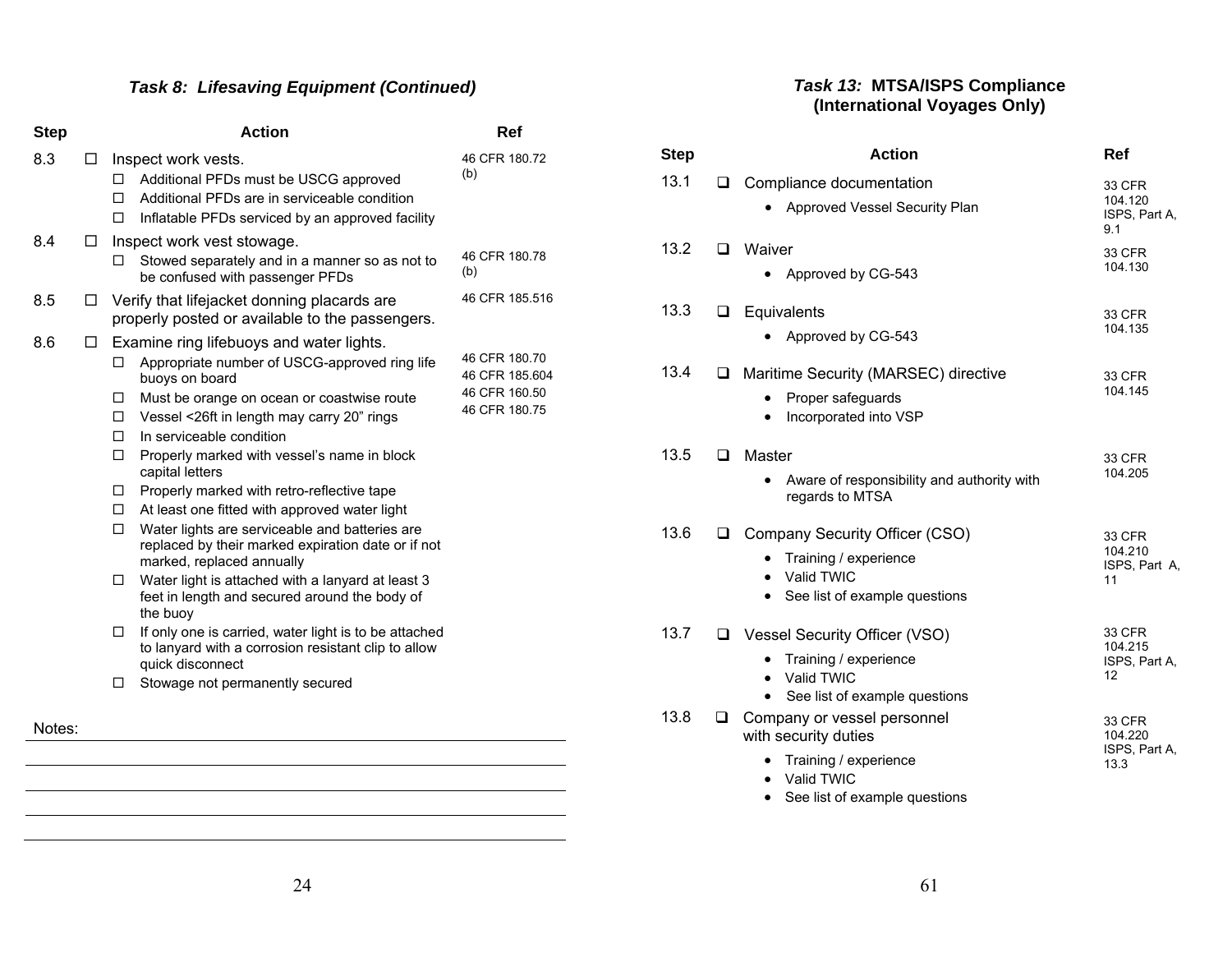| <b>Step</b> |   | <b>Action</b>                                                                                                                                                                                                                                                                                                                                                                                                                                                                                                                                                                                                                                                                                                                                                                                                                                                                                   | Ref                                                               |
|-------------|---|-------------------------------------------------------------------------------------------------------------------------------------------------------------------------------------------------------------------------------------------------------------------------------------------------------------------------------------------------------------------------------------------------------------------------------------------------------------------------------------------------------------------------------------------------------------------------------------------------------------------------------------------------------------------------------------------------------------------------------------------------------------------------------------------------------------------------------------------------------------------------------------------------|-------------------------------------------------------------------|
| 8.3         | □ | Inspect work vests.<br>Additional PFDs must be USCG approved<br>□<br>Additional PFDs are in serviceable condition<br>п<br>□<br>Inflatable PFDs serviced by an approved facility                                                                                                                                                                                                                                                                                                                                                                                                                                                                                                                                                                                                                                                                                                                 | 46 CFR 180.72<br>(b)                                              |
| 8.4         | □ | Inspect work vest stowage.<br>Stowed separately and in a manner so as not to<br>□<br>be confused with passenger PFDs                                                                                                                                                                                                                                                                                                                                                                                                                                                                                                                                                                                                                                                                                                                                                                            | 46 CFR 180.78<br>(b)                                              |
| 8.5         | □ | Verify that lifejacket donning placards are<br>properly posted or available to the passengers.                                                                                                                                                                                                                                                                                                                                                                                                                                                                                                                                                                                                                                                                                                                                                                                                  | 46 CFR 185.516                                                    |
| 8.6         | ப | Examine ring lifebuoys and water lights.<br>Appropriate number of USCG-approved ring life<br>□<br>buoys on board<br>Must be orange on ocean or coastwise route<br>□<br>Vessel <26ft in length may carry 20" rings<br>□<br>In serviceable condition<br>П.<br>Properly marked with vessel's name in block<br>□<br>capital letters<br>Properly marked with retro-reflective tape<br>□<br>At least one fitted with approved water light<br>$\Box$<br>Water lights are serviceable and batteries are<br>□<br>replaced by their marked expiration date or if not<br>marked, replaced annually<br>Water light is attached with a lanyard at least 3<br>□<br>feet in length and secured around the body of<br>the buoy<br>If only one is carried, water light is to be attached<br>□<br>to lanyard with a corrosion resistant clip to allow<br>quick disconnect<br>Stowage not permanently secured<br>□ | 46 CFR 180.70<br>46 CFR 185.604<br>46 CFR 160.50<br>46 CFR 180.75 |
| Notes:      |   |                                                                                                                                                                                                                                                                                                                                                                                                                                                                                                                                                                                                                                                                                                                                                                                                                                                                                                 |                                                                   |
|             |   |                                                                                                                                                                                                                                                                                                                                                                                                                                                                                                                                                                                                                                                                                                                                                                                                                                                                                                 |                                                                   |

#### *Task 13:* **MTSA/ISPS Compliance (International Voyages Only)**

| <b>Step</b> |        | <b>Action</b>                                                                                                                                                                  | Ref                                        |
|-------------|--------|--------------------------------------------------------------------------------------------------------------------------------------------------------------------------------|--------------------------------------------|
| 13.1        | ◻      | Compliance documentation<br>Approved Vessel Security Plan                                                                                                                      | 33 CFR<br>104.120<br>ISPS, Part A,<br>9.1  |
| 13.2        | □      | Waiver<br>Approved by CG-543                                                                                                                                                   | 33 CFR<br>104.130                          |
| 13.3        | $\Box$ | Equivalents<br>Approved by CG-543                                                                                                                                              | 33 CFR<br>104.135                          |
| 13.4        | ❏      | Maritime Security (MARSEC) directive<br>Proper safeguards<br>Incorporated into VSP<br>$\bullet$                                                                                | 33 CFR<br>104.145                          |
| 13.5        | $\Box$ | Master<br>Aware of responsibility and authority with<br>regards to MTSA                                                                                                        | <b>33 CFR</b><br>104.205                   |
| 13.6        | □      | Company Security Officer (CSO)<br>Training / experience<br>$\bullet$<br>Valid TWIC<br>$\bullet$<br>See list of example questions<br>$\bullet$                                  | 33 CFR<br>104.210<br>ISPS, Part A,<br>11   |
| 13.7        | $\Box$ | Vessel Security Officer (VSO)<br>Training / experience<br>Valid TWIC<br>$\bullet$<br>See list of example questions                                                             | 33 CFR<br>104.215<br>ISPS, Part A,<br>12   |
| 13.8        | ❏      | Company or vessel personnel<br>with security duties<br>Training / experience<br>Valid TWIC<br>$\bullet$<br>$\sim$ $\sim$ $\sim$ $\sim$ $\sim$<br>the set of the company of the | 33 CFR<br>104.220<br>ISPS, Part A,<br>13.3 |

• See list of example questions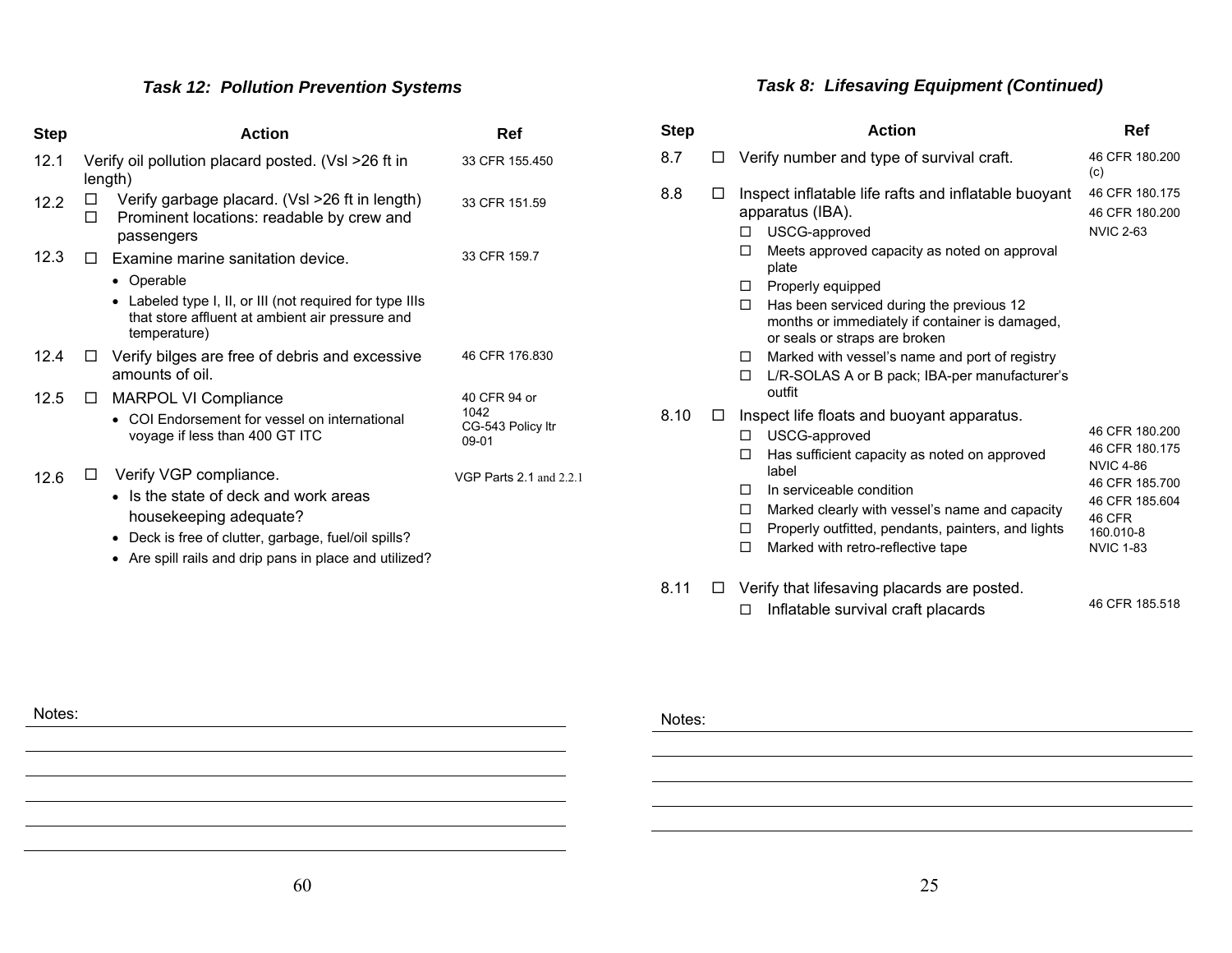# *Task 12: Pollution Prevention Systems*

| <b>Step</b> |        | <b>Action</b>                                                                                                               | Ref                                    |
|-------------|--------|-----------------------------------------------------------------------------------------------------------------------------|----------------------------------------|
| 12.1        |        | Verify oil pollution placard posted. (VsI >26 ft in<br>length)                                                              | 33 CFR 155.450                         |
| 12.2        | □<br>п | Verify garbage placard. (Vsl >26 ft in length)<br>Prominent locations: readable by crew and<br>passengers                   | 33 CFR 151.59                          |
| 12.3        | П.     | Examine marine sanitation device.                                                                                           | 33 CFR 159.7                           |
|             |        | • Operable                                                                                                                  |                                        |
|             |        | • Labeled type I, II, or III (not required for type IIIs<br>that store affluent at ambient air pressure and<br>temperature) |                                        |
| 12.4        | $\Box$ | Verify bilges are free of debris and excessive<br>amounts of oil.                                                           | 46 CFR 176,830                         |
| 12.5        | $\Box$ | <b>MARPOL VI Compliance</b>                                                                                                 | 40 CFR 94 or                           |
|             |        | COI Endorsement for vessel on international<br>voyage if less than 400 GT ITC                                               | 1042<br>CG-543 Policy Itr<br>$09 - 01$ |
| 12.6        | ப      | Verify VGP compliance.                                                                                                      | VGP Parts $2.1$ and $2.2.1$            |
|             |        | • Is the state of deck and work areas                                                                                       |                                        |
|             |        | housekeeping adequate?                                                                                                      |                                        |
|             |        | • Deck is free of clutter, garbage, fuel/oil spills?                                                                        |                                        |
|             |        | • Are spill rails and drip pans in place and utilized?                                                                      |                                        |
|             |        |                                                                                                                             |                                        |

# *Task 8: Lifesaving Equipment (Continued)*

| <b>Step</b> |    | <b>Action</b>                                                                                                                                                                                                                                                                                                                                                                                                                                      | Ref                                                                                                                                 |
|-------------|----|----------------------------------------------------------------------------------------------------------------------------------------------------------------------------------------------------------------------------------------------------------------------------------------------------------------------------------------------------------------------------------------------------------------------------------------------------|-------------------------------------------------------------------------------------------------------------------------------------|
| 8.7         |    | Verify number and type of survival craft.                                                                                                                                                                                                                                                                                                                                                                                                          | 46 CFR 180.200<br>(c)                                                                                                               |
| 8.8         |    | Inspect inflatable life rafts and inflatable buoyant<br>apparatus (IBA).<br>USCG-approved<br>п<br>Meets approved capacity as noted on approval<br>п<br>plate<br>Properly equipped<br>П.<br>□<br>Has been serviced during the previous 12<br>months or immediately if container is damaged,<br>or seals or straps are broken<br>Marked with vessel's name and port of registry<br>□<br>L/R-SOLAS A or B pack; IBA-per manufacturer's<br>□<br>outfit | 46 CFR 180.175<br>46 CFR 180.200<br><b>NVIC 2-63</b>                                                                                |
| 8.10        | ΙI | Inspect life floats and buoyant apparatus.<br>USCG-approved<br>□<br>Has sufficient capacity as noted on approved<br>п<br>label<br>In serviceable condition<br>п<br>Marked clearly with vessel's name and capacity<br>□<br>Properly outfitted, pendants, painters, and lights<br>□<br>□<br>Marked with retro-reflective tape                                                                                                                        | 46 CFR 180,200<br>46 CFR 180.175<br><b>NVIC 4-86</b><br>46 CFR 185,700<br>46 CFR 185.604<br>46 CFR<br>160.010-8<br><b>NVIC 1-83</b> |
| 8.11        | LΙ | Verify that lifesaving placards are posted.<br>Inflatable survival craft placards<br>$\Box$                                                                                                                                                                                                                                                                                                                                                        | 46 CFR 185.518                                                                                                                      |

Notes: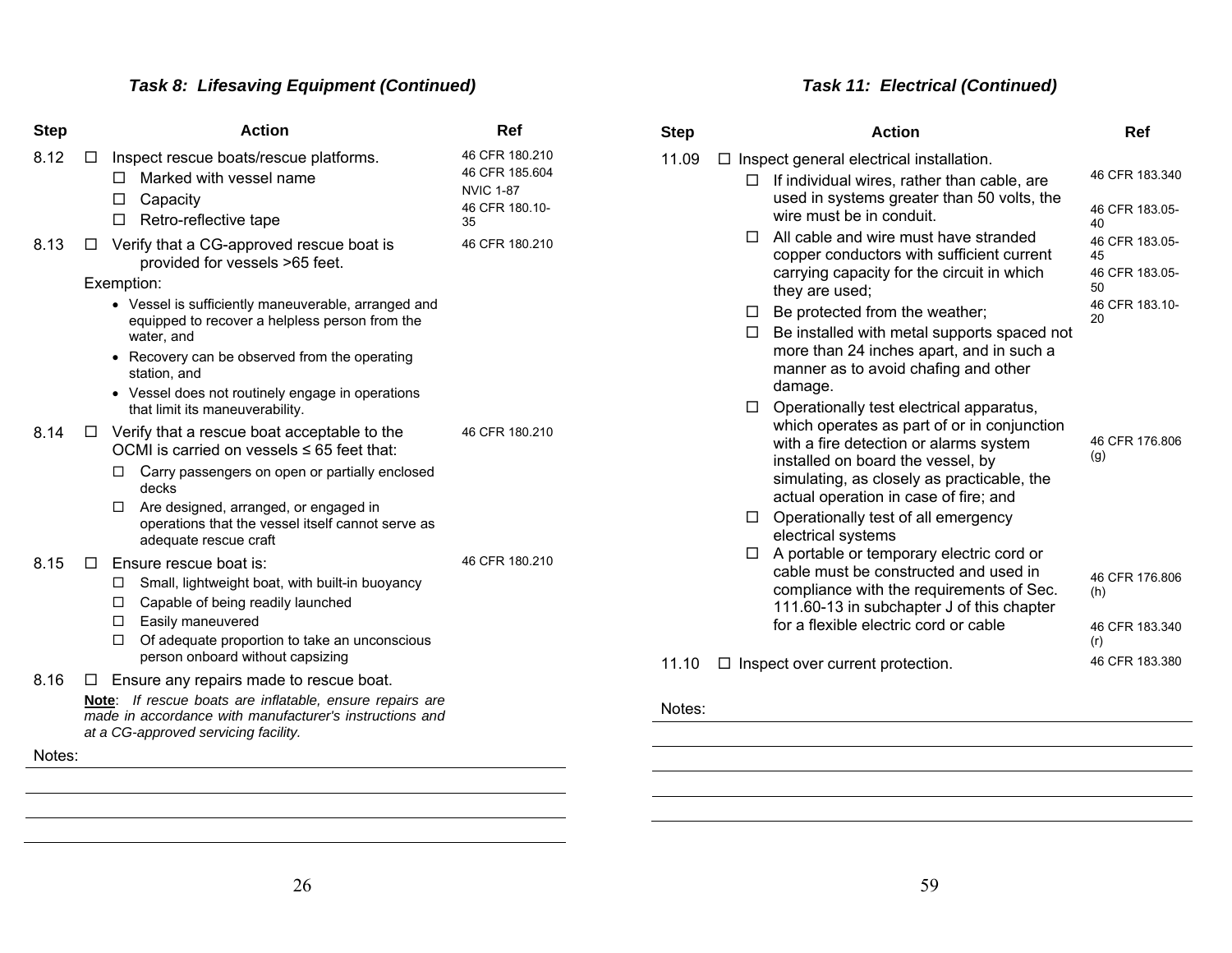| Step   |              | <b>Action</b>                                                                                                                                                  | Ref                                                                          |
|--------|--------------|----------------------------------------------------------------------------------------------------------------------------------------------------------------|------------------------------------------------------------------------------|
| 8.12   | □            | Inspect rescue boats/rescue platforms.<br>Marked with vessel name<br>Capacity<br>ப<br>Retro-reflective tape<br>□                                               | 46 CFR 180.210<br>46 CFR 185.604<br><b>NVIC 1-87</b><br>46 CFR 180.10-<br>35 |
| 8.13   | П            | Verify that a CG-approved rescue boat is<br>provided for vessels >65 feet.                                                                                     | 46 CFR 180.210                                                               |
|        |              | Exemption:                                                                                                                                                     |                                                                              |
|        |              | • Vessel is sufficiently maneuverable, arranged and<br>equipped to recover a helpless person from the<br>water, and                                            |                                                                              |
|        |              | • Recovery can be observed from the operating<br>station, and                                                                                                  |                                                                              |
|        |              | • Vessel does not routinely engage in operations<br>that limit its maneuverability.                                                                            |                                                                              |
| 8.14   | ⊔            | Verify that a rescue boat acceptable to the<br>OCMI is carried on vessels $\leq 65$ feet that:                                                                 | 46 CFR 180.210                                                               |
|        |              | Carry passengers on open or partially enclosed<br>□<br>decks                                                                                                   |                                                                              |
|        |              | Are designed, arranged, or engaged in<br>□<br>operations that the vessel itself cannot serve as<br>adequate rescue craft                                       |                                                                              |
| 8.15   | $\mathsf{L}$ | Ensure rescue boat is:                                                                                                                                         | 46 CFR 180.210                                                               |
|        |              | Small, lightweight boat, with built-in buoyancy<br>◻                                                                                                           |                                                                              |
|        |              | Capable of being readily launched<br>□                                                                                                                         |                                                                              |
|        |              | $\Box$ Easily maneuvered                                                                                                                                       |                                                                              |
|        |              | Of adequate proportion to take an unconscious<br>□<br>person onboard without capsizing                                                                         |                                                                              |
| 8.16   | ⊔            | Ensure any repairs made to rescue boat.                                                                                                                        |                                                                              |
|        |              | If rescue boats are inflatable, ensure repairs are<br>Note:<br>made in accordance with manufacturer's instructions and<br>at a CG-approved servicing facility. |                                                                              |
| Notes: |              |                                                                                                                                                                |                                                                              |

# *Task 11: Electrical (Continued)*

| <b>Step</b> |              | <b>Action</b>                                                                                                                                                                                                                                                 | Ref                              |
|-------------|--------------|---------------------------------------------------------------------------------------------------------------------------------------------------------------------------------------------------------------------------------------------------------------|----------------------------------|
| 11.09       |              | Inspect general electrical installation.                                                                                                                                                                                                                      |                                  |
|             | п            | If individual wires, rather than cable, are<br>used in systems greater than 50 volts, the                                                                                                                                                                     | 46 CFR 183.340<br>46 CFR 183.05- |
|             |              | wire must be in conduit.                                                                                                                                                                                                                                      | 40                               |
|             | $\mathsf{L}$ | All cable and wire must have stranded<br>copper conductors with sufficient current                                                                                                                                                                            | 46 CFR 183.05-<br>45             |
|             |              | carrying capacity for the circuit in which<br>they are used;                                                                                                                                                                                                  | 46 CFR 183.05-<br>50             |
|             | $\Box$       | Be protected from the weather;                                                                                                                                                                                                                                | 46 CFR 183.10-<br>20             |
|             | $\Box$       | Be installed with metal supports spaced not<br>more than 24 inches apart, and in such a<br>manner as to avoid chafing and other<br>damage.                                                                                                                    |                                  |
|             | $\Box$       | Operationally test electrical apparatus,<br>which operates as part of or in conjunction<br>with a fire detection or alarms system<br>installed on board the vessel, by<br>simulating, as closely as practicable, the<br>actual operation in case of fire; and | 46 CFR 176,806<br>(g)            |
|             | □            | Operationally test of all emergency                                                                                                                                                                                                                           |                                  |
|             | □            | electrical systems<br>A portable or temporary electric cord or                                                                                                                                                                                                |                                  |
|             |              | cable must be constructed and used in<br>compliance with the requirements of Sec.<br>111.60-13 in subchapter J of this chapter                                                                                                                                | 46 CFR 176,806<br>(h)            |
|             |              | for a flexible electric cord or cable                                                                                                                                                                                                                         | 46 CFR 183.340<br>(r)            |
| 11.10       |              | $\Box$ Inspect over current protection.                                                                                                                                                                                                                       | 46 CFR 183.380                   |

#### Notes:

 $\overline{\phantom{0}}$ 

26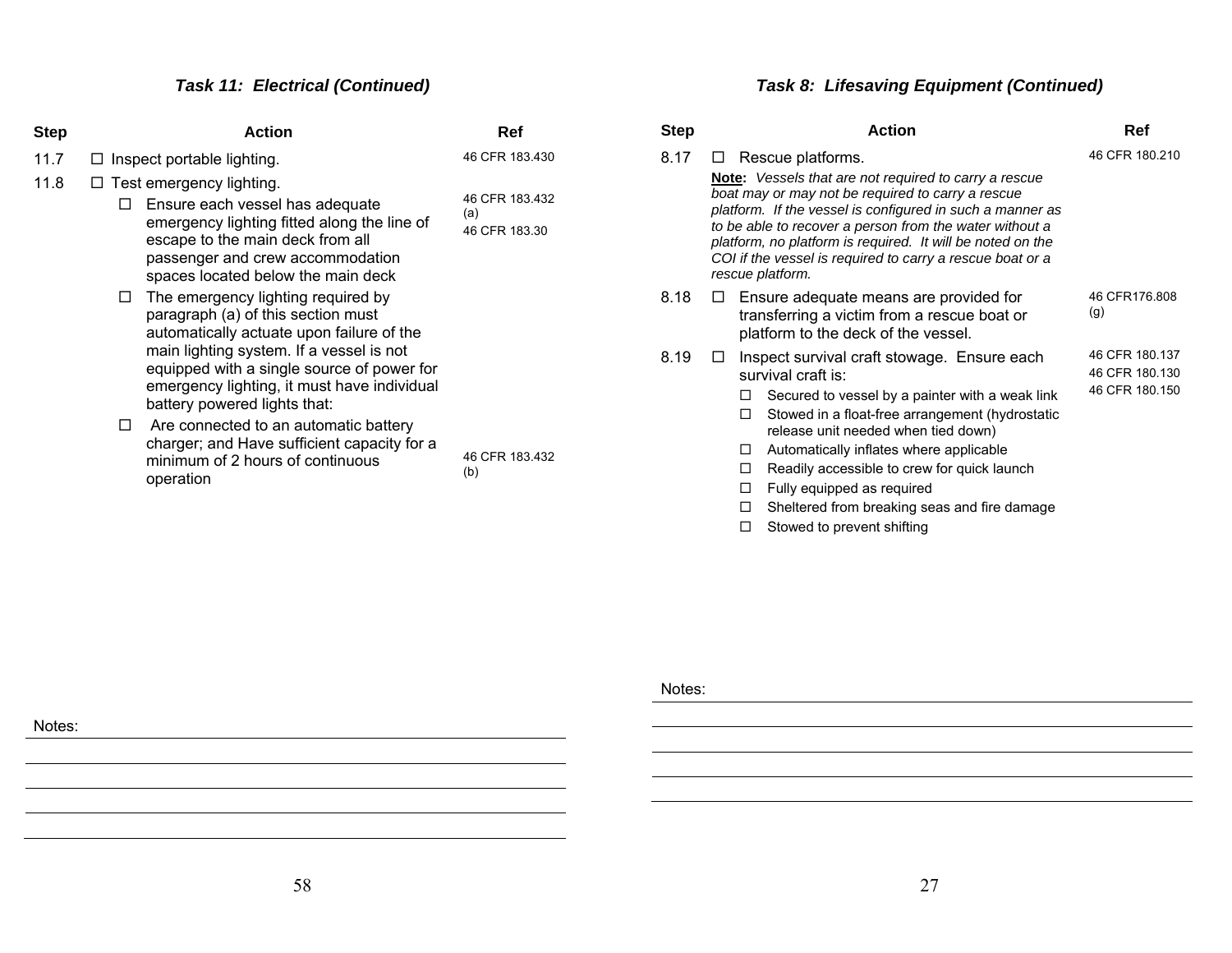# *Task 11: Electrical (Continued)*

| Step | <b>Action</b>                                                                                                                                                                                                                                                                                                                                                                                                                                                                                                                                                                                                                                                                                         | Ref                                                             |
|------|-------------------------------------------------------------------------------------------------------------------------------------------------------------------------------------------------------------------------------------------------------------------------------------------------------------------------------------------------------------------------------------------------------------------------------------------------------------------------------------------------------------------------------------------------------------------------------------------------------------------------------------------------------------------------------------------------------|-----------------------------------------------------------------|
| 11.7 | $\Box$ Inspect portable lighting.                                                                                                                                                                                                                                                                                                                                                                                                                                                                                                                                                                                                                                                                     | 46 CFR 183.430                                                  |
| 11.8 | $\Box$ Test emergency lighting.<br>Ensure each vessel has adequate<br>LI<br>emergency lighting fitted along the line of<br>escape to the main deck from all<br>passenger and crew accommodation<br>spaces located below the main deck<br>The emergency lighting required by<br>Ħ<br>paragraph (a) of this section must<br>automatically actuate upon failure of the<br>main lighting system. If a vessel is not<br>equipped with a single source of power for<br>emergency lighting, it must have individual<br>battery powered lights that:<br>Are connected to an automatic battery<br>$\mathsf{L}$<br>charger; and Have sufficient capacity for a<br>minimum of 2 hours of continuous<br>operation | 46 CFR 183.432<br>(a)<br>46 CFR 183.30<br>46 CFR 183.432<br>(b) |

# *Task 8: Lifesaving Equipment (Continued)*

| <b>Step</b> | <b>Action</b>                                                                                                                                                                                                                                                                                                                                                                                                                                           | Ref                                                |
|-------------|---------------------------------------------------------------------------------------------------------------------------------------------------------------------------------------------------------------------------------------------------------------------------------------------------------------------------------------------------------------------------------------------------------------------------------------------------------|----------------------------------------------------|
| 8.17        | Rescue platforms.<br>LI<br><b>Note:</b> Vessels that are not required to carry a rescue<br>boat may or may not be required to carry a rescue<br>platform. If the vessel is configured in such a manner as<br>to be able to recover a person from the water without a<br>platform, no platform is required. It will be noted on the<br>COI if the vessel is required to carry a rescue boat or a<br>rescue platform.                                     | 46 CFR 180.210                                     |
| 8.18        | Ensure adequate means are provided for<br>ப<br>transferring a victim from a rescue boat or<br>platform to the deck of the vessel.                                                                                                                                                                                                                                                                                                                       | 46 CFR176.808<br>(g)                               |
| 8.19        | Inspect survival craft stowage. Ensure each<br>survival craft is:<br>Secured to vessel by a painter with a weak link<br>П<br>Stowed in a float-free arrangement (hydrostatic<br>п<br>release unit needed when tied down)<br>Automatically inflates where applicable<br>П<br>Readily accessible to crew for quick launch<br>□<br>п<br>Fully equipped as required<br>Sheltered from breaking seas and fire damage<br>□<br>Stowed to prevent shifting<br>П | 46 CFR 180.137<br>46 CFR 180.130<br>46 CFR 180.150 |

Notes: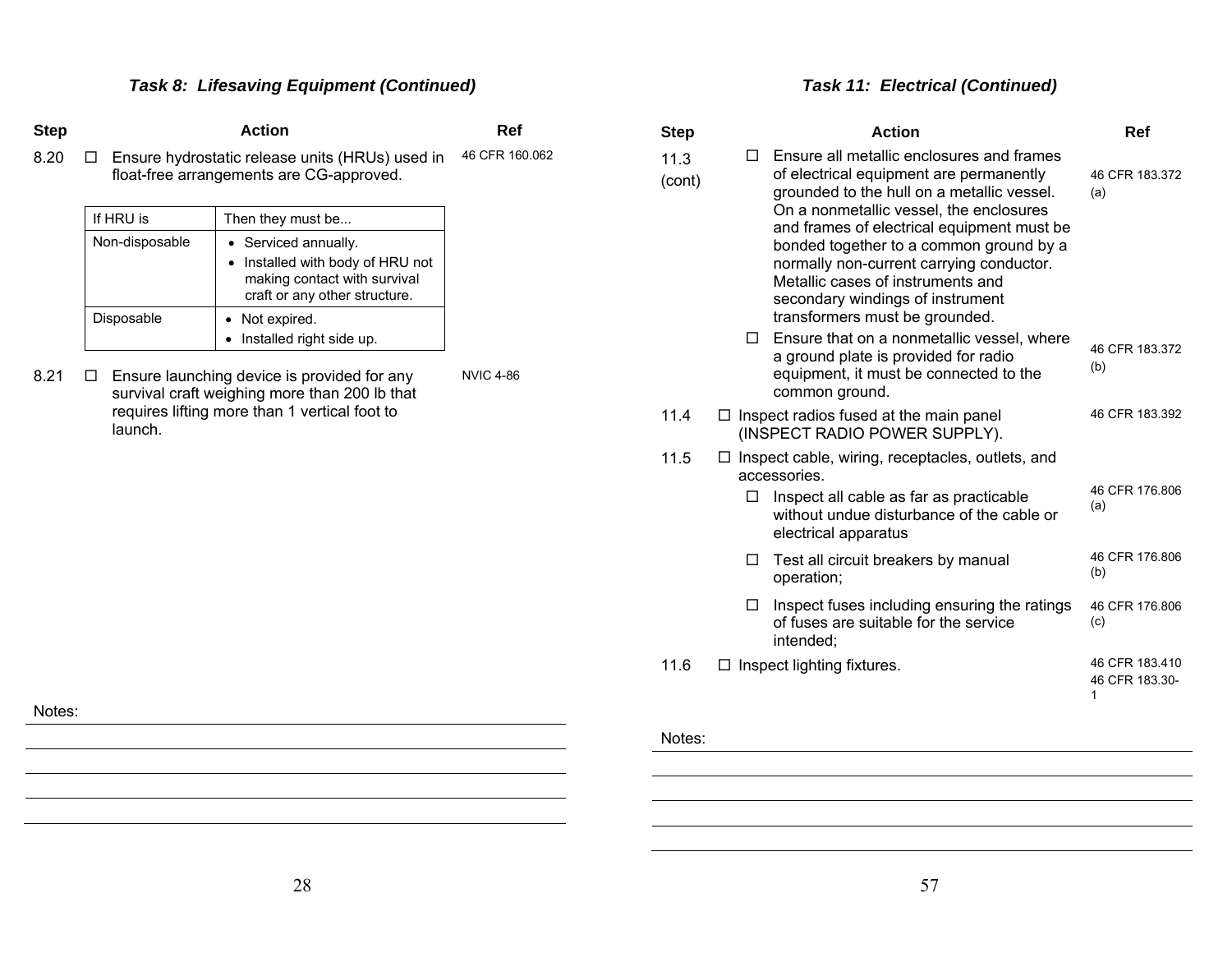| <b>Step</b>                                              |                                           | <b>Action</b>                                                                                                                                                    | Ref                              | <b>Step</b> |                                                                                                                                                                                                                                                                                         | <b>Action</b>                                                                                                                                                                           | <b>Ref</b>            |
|----------------------------------------------------------|-------------------------------------------|------------------------------------------------------------------------------------------------------------------------------------------------------------------|----------------------------------|-------------|-----------------------------------------------------------------------------------------------------------------------------------------------------------------------------------------------------------------------------------------------------------------------------------------|-----------------------------------------------------------------------------------------------------------------------------------------------------------------------------------------|-----------------------|
| 8.20                                                     | □                                         | Ensure hydrostatic release units (HRUs) used in<br>float-free arrangements are CG-approved.                                                                      | 46 CFR 160.062<br>11.3<br>(cont) |             | Ensure all metallic enclosures and frames<br>of electrical equipment are permanently<br>grounded to the hull on a metallic vessel.                                                                                                                                                      | 46 CFR 183.372<br>(a)                                                                                                                                                                   |                       |
|                                                          | If HRU is<br>Non-disposable<br>Disposable | Then they must be<br>• Serviced annually.<br>• Installed with body of HRU not<br>making contact with survival<br>craft or any other structure.<br>• Not expired. |                                  |             | On a nonmetallic vessel, the enclosures<br>and frames of electrical equipment must be<br>bonded together to a common ground by a<br>normally non-current carrying conductor.<br>Metallic cases of instruments and<br>secondary windings of instrument<br>transformers must be grounded. |                                                                                                                                                                                         |                       |
| 8.21                                                     | ⊔                                         | • Installed right side up.<br>Ensure launching device is provided for any<br>survival craft weighing more than 200 lb that                                       | <b>NVIC 4-86</b>                 |             |                                                                                                                                                                                                                                                                                         | Ensure that on a nonmetallic vessel, where<br>a ground plate is provided for radio<br>equipment, it must be connected to the<br>common ground.                                          | 46 CFR 183.372<br>(b) |
| requires lifting more than 1 vertical foot to<br>launch. |                                           |                                                                                                                                                                  | 11.4                             |             | $\Box$ Inspect radios fused at the main panel<br>(INSPECT RADIO POWER SUPPLY).                                                                                                                                                                                                          | 46 CFR 183.392                                                                                                                                                                          |                       |
|                                                          |                                           |                                                                                                                                                                  |                                  | 11.5        | $\Box$                                                                                                                                                                                                                                                                                  | $\Box$ Inspect cable, wiring, receptacles, outlets, and<br>accessories.<br>Inspect all cable as far as practicable<br>without undue disturbance of the cable or<br>electrical apparatus | 46 CFR 176,806<br>(a) |
|                                                          |                                           |                                                                                                                                                                  |                                  |             | Test all circuit breakers by manual<br>operation;                                                                                                                                                                                                                                       |                                                                                                                                                                                         | 46 CFR 176.806<br>(b) |
|                                                          |                                           |                                                                                                                                                                  |                                  |             | Inspect fuses including ensuring the ratings<br>of fuses are suitable for the service<br>intended;                                                                                                                                                                                      | 46 CFR 176.806<br>(c)                                                                                                                                                                   |                       |
|                                                          |                                           |                                                                                                                                                                  | 11.6                             |             | $\Box$ Inspect lighting fixtures.                                                                                                                                                                                                                                                       | 46 CFR 183.410<br>46 CFR 183.30-                                                                                                                                                        |                       |
| Notes:                                                   |                                           |                                                                                                                                                                  |                                  |             |                                                                                                                                                                                                                                                                                         |                                                                                                                                                                                         |                       |
|                                                          |                                           |                                                                                                                                                                  |                                  | Notes:      |                                                                                                                                                                                                                                                                                         |                                                                                                                                                                                         |                       |
|                                                          |                                           |                                                                                                                                                                  |                                  |             |                                                                                                                                                                                                                                                                                         |                                                                                                                                                                                         |                       |

*Task 11: Electrical (Continued)*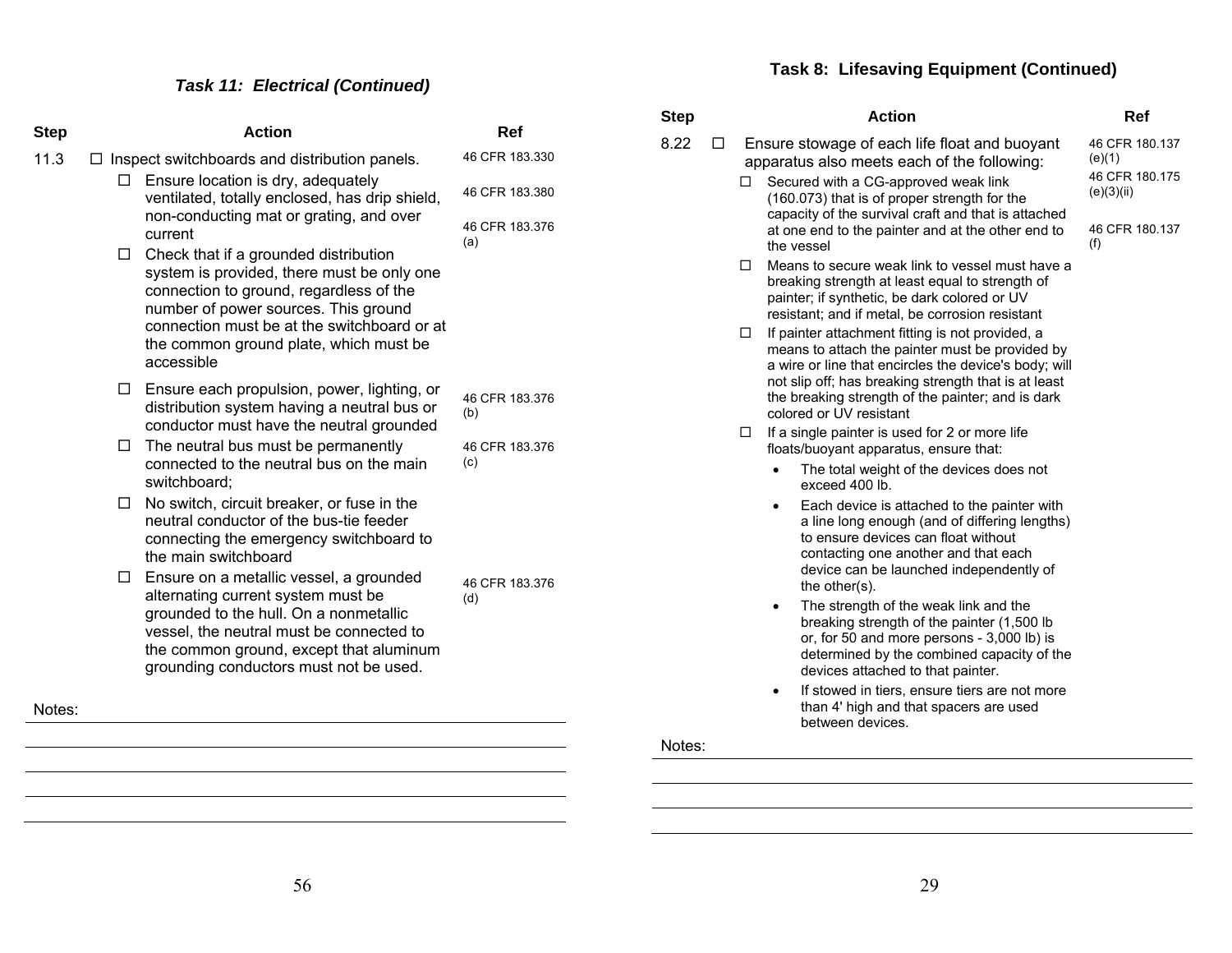# *Task 11: Electrical (Continued)*

| <b>Step</b> |        | <b>Action</b>                                                                                                                                                                                                                                                                 | Ref                              |  |
|-------------|--------|-------------------------------------------------------------------------------------------------------------------------------------------------------------------------------------------------------------------------------------------------------------------------------|----------------------------------|--|
| 11.3        |        | $\Box$ Inspect switchboards and distribution panels.                                                                                                                                                                                                                          | 46 CFR 183.330                   |  |
|             | ப      | Ensure location is dry, adequately<br>ventilated, totally enclosed, has drip shield,<br>non-conducting mat or grating, and over<br>current                                                                                                                                    | 46 CFR 183.380<br>46 CFR 183.376 |  |
|             | $\Box$ | Check that if a grounded distribution<br>system is provided, there must be only one<br>connection to ground, regardless of the<br>number of power sources. This ground<br>connection must be at the switchboard or at<br>the common ground plate, which must be<br>accessible | (a)                              |  |
|             | $\Box$ | Ensure each propulsion, power, lighting, or<br>distribution system having a neutral bus or<br>conductor must have the neutral grounded                                                                                                                                        | 46 CFR 183.376<br>(b)            |  |
|             | $\Box$ | The neutral bus must be permanently<br>connected to the neutral bus on the main<br>switchboard;                                                                                                                                                                               | 46 CFR 183.376<br>(c)            |  |
|             | $\Box$ | No switch, circuit breaker, or fuse in the<br>neutral conductor of the bus-tie feeder<br>connecting the emergency switchboard to<br>the main switchboard                                                                                                                      |                                  |  |
|             | $\Box$ | Ensure on a metallic vessel, a grounded<br>alternating current system must be<br>grounded to the hull. On a nonmetallic<br>vessel, the neutral must be connected to<br>the common ground, except that aluminum<br>grounding conductors must not be used.                      | 46 CFR 183.376<br>(d)            |  |
|             | Notes: |                                                                                                                                                                                                                                                                               |                                  |  |

| Step |   |   | <b>Action</b>                                                                                                                                                                                                                                                                                                                                                                                                                                                                                                                               | Ref                                                                        |
|------|---|---|---------------------------------------------------------------------------------------------------------------------------------------------------------------------------------------------------------------------------------------------------------------------------------------------------------------------------------------------------------------------------------------------------------------------------------------------------------------------------------------------------------------------------------------------|----------------------------------------------------------------------------|
| 8.22 | □ | П | Ensure stowage of each life float and buoyant<br>apparatus also meets each of the following:<br>Secured with a CG-approved weak link<br>(160.073) that is of proper strength for the<br>capacity of the survival craft and that is attached<br>at one end to the painter and at the other end to                                                                                                                                                                                                                                            | 46 CFR 180.137<br>(e)(1)<br>46 CFR 180.175<br>(e)(3)(ii)<br>46 CFR 180.137 |
|      |   | □ | the vessel<br>Means to secure weak link to vessel must have a<br>breaking strength at least equal to strength of<br>painter; if synthetic, be dark colored or UV<br>resistant; and if metal, be corrosion resistant                                                                                                                                                                                                                                                                                                                         | (f)                                                                        |
|      |   | □ | If painter attachment fitting is not provided, a<br>means to attach the painter must be provided by<br>a wire or line that encircles the device's body; will<br>not slip off; has breaking strength that is at least<br>the breaking strength of the painter; and is dark<br>colored or UV resistant                                                                                                                                                                                                                                        |                                                                            |
|      |   | □ | If a single painter is used for 2 or more life<br>floats/buoyant apparatus, ensure that:<br>The total weight of the devices does not<br>exceed 400 lb.<br>Each device is attached to the painter with<br>a line long enough (and of differing lengths)<br>to ensure devices can float without<br>contacting one another and that each<br>device can be launched independently of<br>the other(s).<br>The strength of the weak link and the<br>٠<br>breaking strength of the painter (1,500 lb<br>or, for 50 and more persons - 3,000 lb) is |                                                                            |
|      |   |   | determined by the combined capacity of the<br>devices attached to that painter.<br>If stowed in tiers, ensure tiers are not more<br>٠<br>than 4' high and that spacers are used                                                                                                                                                                                                                                                                                                                                                             |                                                                            |

#### Notes:

between devices.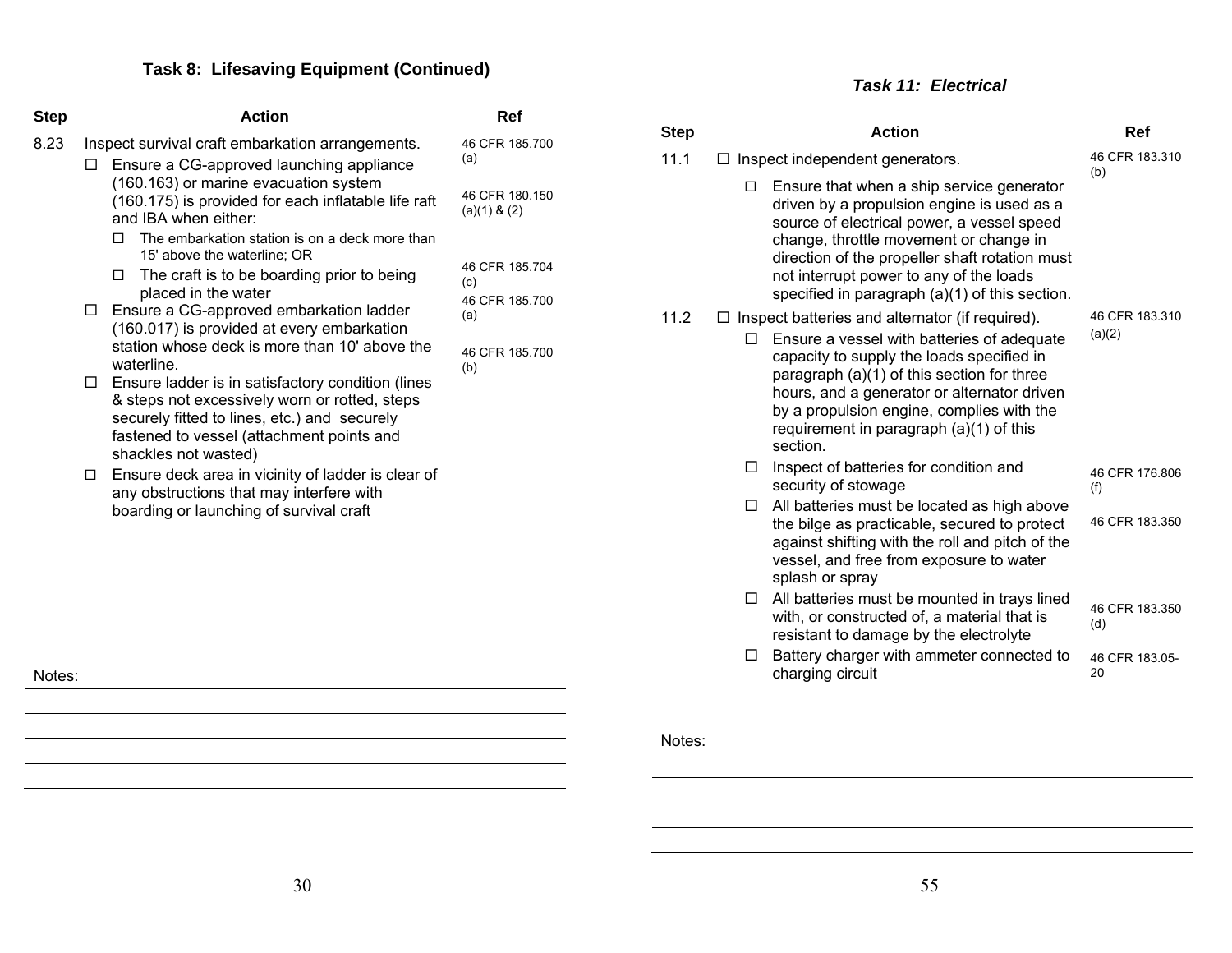| <b>Step</b> | <b>Action</b>                                                                                                                                                                                                                                                                                                                                                                                                                                                                                                                                                                                                                                                                                       | Ref                                                                     |
|-------------|-----------------------------------------------------------------------------------------------------------------------------------------------------------------------------------------------------------------------------------------------------------------------------------------------------------------------------------------------------------------------------------------------------------------------------------------------------------------------------------------------------------------------------------------------------------------------------------------------------------------------------------------------------------------------------------------------------|-------------------------------------------------------------------------|
| 8.23<br>LI  | Inspect survival craft embarkation arrangements.<br>Ensure a CG-approved launching appliance<br>(160.163) or marine evacuation system<br>(160.175) is provided for each inflatable life raft<br>and IBA when either:                                                                                                                                                                                                                                                                                                                                                                                                                                                                                | 46 CFR 185,700<br>(a)<br>46 CFR 180.150<br>$(a)(1)$ & $(2)$             |
| П.<br>П.    | The embarkation station is on a deck more than<br>п<br>15' above the waterline; OR<br>The craft is to be boarding prior to being<br>П<br>placed in the water<br>Ensure a CG-approved embarkation ladder<br>(160.017) is provided at every embarkation<br>station whose deck is more than 10' above the<br>waterline.<br>$\Box$ Ensure ladder is in satisfactory condition (lines<br>& steps not excessively worn or rotted, steps<br>securely fitted to lines, etc.) and securely<br>fastened to vessel (attachment points and<br>shackles not wasted)<br>Ensure deck area in vicinity of ladder is clear of<br>any obstructions that may interfere with<br>boarding or launching of survival craft | 46 CFR 185.704<br>(c)<br>46 CFR 185,700<br>(a)<br>46 CFR 185.700<br>(b) |

*Task 11: Electrical* 

| <b>Step</b> | <b>Action</b>                                                                                                                                                                                                                                                                                                                                           | Ref                      |
|-------------|---------------------------------------------------------------------------------------------------------------------------------------------------------------------------------------------------------------------------------------------------------------------------------------------------------------------------------------------------------|--------------------------|
| 11.1        | Inspect independent generators.<br>⊔                                                                                                                                                                                                                                                                                                                    | 46 CFR 183,310<br>(b)    |
|             | Ensure that when a ship service generator<br>п<br>driven by a propulsion engine is used as a<br>source of electrical power, a vessel speed<br>change, throttle movement or change in<br>direction of the propeller shaft rotation must<br>not interrupt power to any of the loads<br>specified in paragraph (a)(1) of this section.                     |                          |
| 11.2        | $\Box$ Inspect batteries and alternator (if required).<br>Ensure a vessel with batteries of adequate<br>П<br>capacity to supply the loads specified in<br>paragraph (a)(1) of this section for three<br>hours, and a generator or alternator driven<br>by a propulsion engine, complies with the<br>requirement in paragraph (a)(1) of this<br>section. | 46 CFR 183.310<br>(a)(2) |
|             | Inspect of batteries for condition and<br>□<br>security of stowage                                                                                                                                                                                                                                                                                      | 46 CFR 176,806<br>(f)    |
|             | All batteries must be located as high above<br>□<br>the bilge as practicable, secured to protect<br>against shifting with the roll and pitch of the<br>vessel, and free from exposure to water<br>splash or spray                                                                                                                                       | 46 CFR 183.350           |
|             | All batteries must be mounted in trays lined<br>□<br>with, or constructed of, a material that is<br>resistant to damage by the electrolyte                                                                                                                                                                                                              | 46 CFR 183.350<br>(d)    |
|             | Battery charger with ammeter connected to<br>□<br>charging circuit                                                                                                                                                                                                                                                                                      | 46 CFR 183.05-<br>20     |

Notes: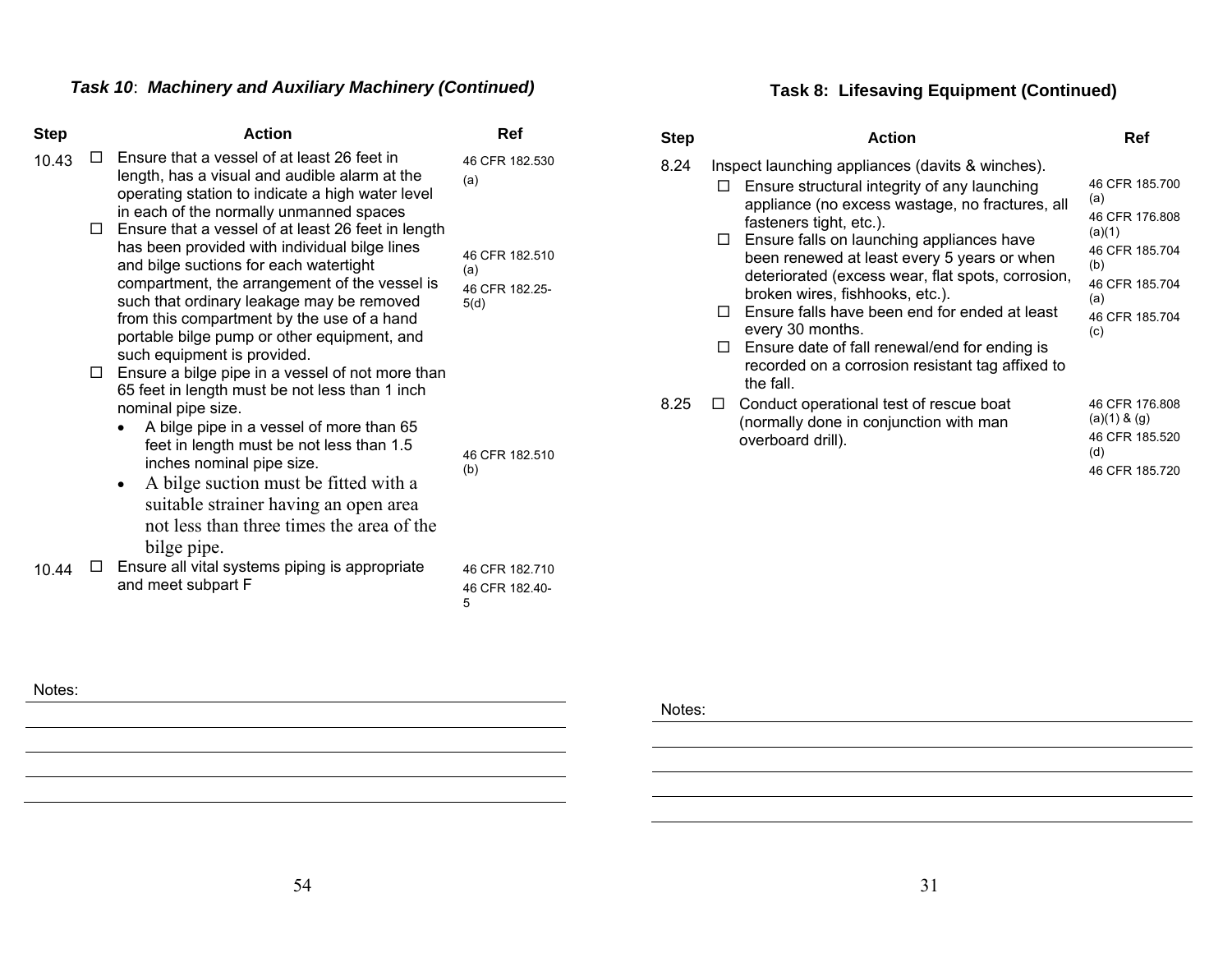# *Task 10*: *Machinery and Auxiliary Machinery (Continued)*

| <b>Step</b> |        | <b>Action</b>                                                                                                                                                                                                                                                                                                                                                                                    | Ref                                             |
|-------------|--------|--------------------------------------------------------------------------------------------------------------------------------------------------------------------------------------------------------------------------------------------------------------------------------------------------------------------------------------------------------------------------------------------------|-------------------------------------------------|
| 10.43       |        | Ensure that a vessel of at least 26 feet in<br>length, has a visual and audible alarm at the<br>operating station to indicate a high water level<br>in each of the normally unmanned spaces                                                                                                                                                                                                      | 46 CFR 182.530<br>(a)                           |
|             |        | $\Box$ Ensure that a vessel of at least 26 feet in length<br>has been provided with individual bilge lines<br>and bilge suctions for each watertight<br>compartment, the arrangement of the vessel is<br>such that ordinary leakage may be removed<br>from this compartment by the use of a hand<br>portable bilge pump or other equipment, and<br>such equipment is provided.                   | 46 CFR 182.510<br>(a)<br>46 CFR 182.25-<br>5(d) |
|             | $\Box$ | Ensure a bilge pipe in a vessel of not more than<br>65 feet in length must be not less than 1 inch<br>nominal pipe size.<br>A bilge pipe in a vessel of more than 65<br>feet in length must be not less than 1.5<br>inches nominal pipe size.<br>A bilge suction must be fitted with a<br>٠<br>suitable strainer having an open area<br>not less than three times the area of the<br>bilge pipe. | 46 CFR 182.510<br>(b)                           |
| 10.44       |        | Ensure all vital systems piping is appropriate<br>and meet subpart F                                                                                                                                                                                                                                                                                                                             | 46 CFR 182.710<br>46 CFR 182.40-<br>5           |

# **Task 8: Lifesaving Equipment (Continued)**

| Step | <b>Action</b>                                                                                                                                                                                                                                                                                                                                                                                                                                                                                                                                                                      | Ref                                                                                                                          |
|------|------------------------------------------------------------------------------------------------------------------------------------------------------------------------------------------------------------------------------------------------------------------------------------------------------------------------------------------------------------------------------------------------------------------------------------------------------------------------------------------------------------------------------------------------------------------------------------|------------------------------------------------------------------------------------------------------------------------------|
| 8.24 | Inspect launching appliances (davits & winches).<br>Ensure structural integrity of any launching<br>appliance (no excess wastage, no fractures, all<br>fasteners tight, etc.).<br>Ensure falls on launching appliances have<br>$\Box$<br>been renewed at least every 5 years or when<br>deteriorated (excess wear, flat spots, corrosion,<br>broken wires, fishhooks, etc.).<br>Ensure falls have been end for ended at least<br>П<br>every 30 months.<br>Ensure date of fall renewal/end for ending is<br>$\Box$<br>recorded on a corrosion resistant tag affixed to<br>the fall. | 46 CFR 185.700<br>(a)<br>46 CFR 176,808<br>(a)(1)<br>46 CFR 185.704<br>(b)<br>46 CFR 185.704<br>(a)<br>46 CFR 185.704<br>(c) |
| 8.25 | Conduct operational test of rescue boat<br>(normally done in conjunction with man<br>overboard drill).                                                                                                                                                                                                                                                                                                                                                                                                                                                                             | 46 CFR 176,808<br>$(a)(1)$ & $(g)$<br>46 CFR 185.520<br>(d)<br>46 CFR 185.720                                                |

Notes: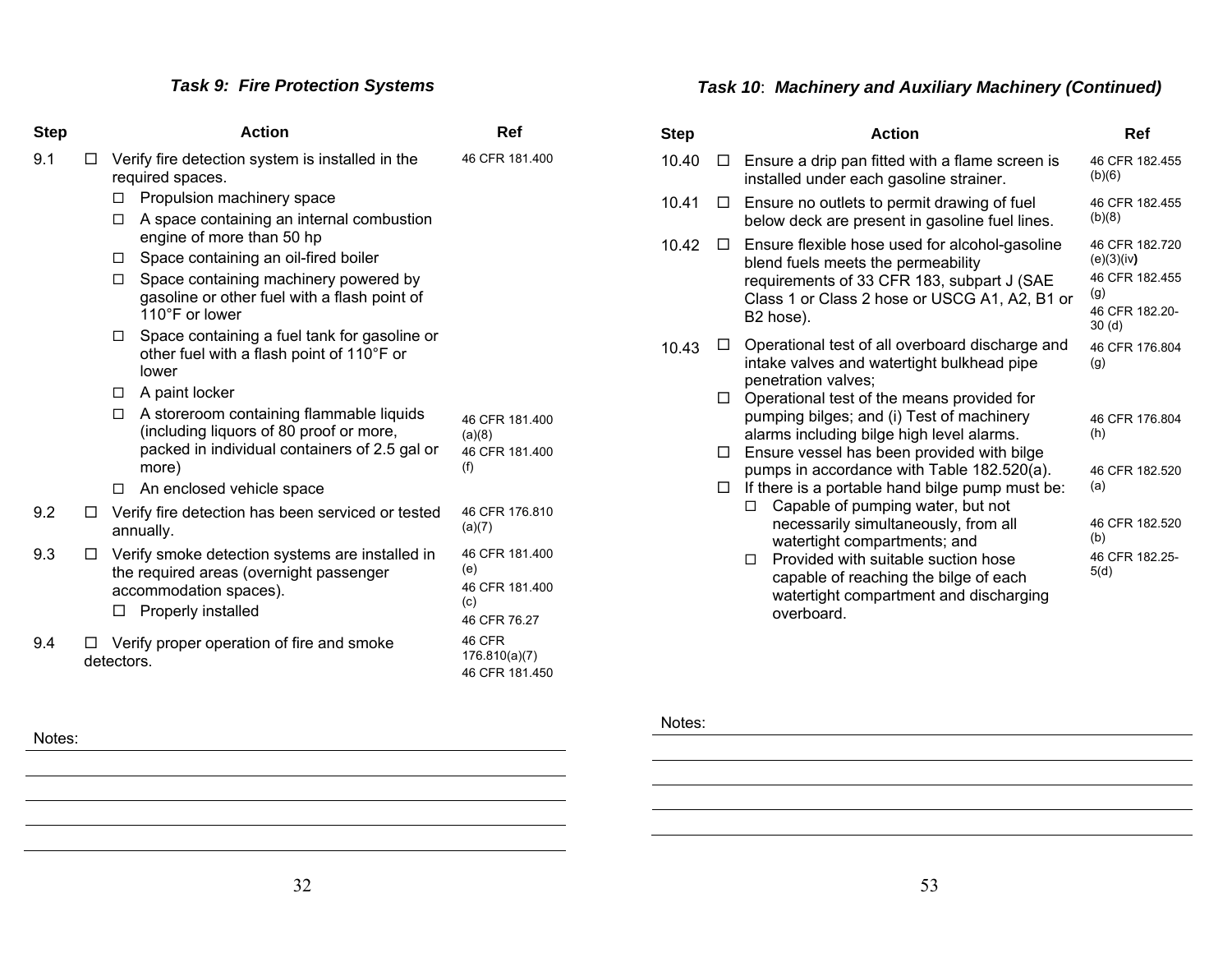# *Task 9: Fire Protection Systems*

| <b>Step</b> |        | <b>Action</b>                                                                                                                                      | Ref                                                            |
|-------------|--------|----------------------------------------------------------------------------------------------------------------------------------------------------|----------------------------------------------------------------|
| 9.1         | $\Box$ | Verify fire detection system is installed in the<br>required spaces.                                                                               | 46 CFR 181.400                                                 |
|             |        | Propulsion machinery space<br>□                                                                                                                    |                                                                |
|             |        | A space containing an internal combustion<br>п<br>engine of more than 50 hp                                                                        |                                                                |
|             |        | Space containing an oil-fired boiler<br>□                                                                                                          |                                                                |
|             |        | Space containing machinery powered by<br>П.<br>gasoline or other fuel with a flash point of<br>110°F or lower                                      |                                                                |
|             |        | Space containing a fuel tank for gasoline or<br>□<br>other fuel with a flash point of 110°F or<br>lower                                            |                                                                |
|             |        | A paint locker<br>$\Box$                                                                                                                           |                                                                |
|             |        | A storeroom containing flammable liquids<br>□<br>(including liquors of 80 proof or more,<br>packed in individual containers of 2.5 gal or<br>more) | 46 CFR 181.400<br>(a)(8)<br>46 CFR 181.400<br>(f)              |
|             |        | An enclosed vehicle space<br>п                                                                                                                     |                                                                |
| 9.2         | $\Box$ | Verify fire detection has been serviced or tested<br>annually.                                                                                     | 46 CFR 176.810<br>(a)(7)                                       |
| 9.3         | □      | Verify smoke detection systems are installed in<br>the required areas (overnight passenger<br>accommodation spaces).<br>Properly installed<br>□    | 46 CFR 181.400<br>(e)<br>46 CFR 181.400<br>(c)<br>46 CFR 76.27 |
| 9.4         |        | Verify proper operation of fire and smoke<br>detectors.                                                                                            | 46 CFR<br>176.810(a)(7)<br>46 CFR 181.450                      |

# *Task 10*: *Machinery and Auxiliary Machinery (Continued)*

| <b>Step</b> |    | <b>Action</b>                                                                                                                                                                                    | Ref                                                                                          |
|-------------|----|--------------------------------------------------------------------------------------------------------------------------------------------------------------------------------------------------|----------------------------------------------------------------------------------------------|
| 10.40       | LΙ | Ensure a drip pan fitted with a flame screen is<br>installed under each gasoline strainer.                                                                                                       | 46 CFR 182.455<br>(b)(6)                                                                     |
| 10.41       | ப  | Ensure no outlets to permit drawing of fuel<br>below deck are present in gasoline fuel lines.                                                                                                    | 46 CFR 182.455<br>(b)(8)                                                                     |
| 10.42       | п  | Ensure flexible hose used for alcohol-gasoline<br>blend fuels meets the permeability<br>requirements of 33 CFR 183, subpart J (SAE<br>Class 1 or Class 2 hose or USCG A1, A2, B1 or<br>B2 hose). | 46 CFR 182.720<br>(e)(3)(iv)<br>46 CFR 182.455<br>(g)<br>46 CFR 182.20-<br>30 <sub>(d)</sub> |
| 10.43       | ΙI | Operational test of all overboard discharge and<br>intake valves and watertight bulkhead pipe<br>penetration valves;                                                                             | 46 CFR 176.804<br>(g)                                                                        |
|             | □  | Operational test of the means provided for<br>pumping bilges; and (i) Test of machinery<br>alarms including bilge high level alarms.                                                             | 46 CFR 176.804<br>(h)                                                                        |
|             | □  | Ensure vessel has been provided with bilge                                                                                                                                                       |                                                                                              |
|             | □  | pumps in accordance with Table 182.520(a).<br>If there is a portable hand bilge pump must be:<br>Capable of pumping water, but not<br>п                                                          | 46 CFR 182.520<br>(a)                                                                        |
|             |    | necessarily simultaneously, from all<br>watertight compartments; and                                                                                                                             | 46 CFR 182.520<br>(b)                                                                        |
|             |    | Provided with suitable suction hose<br>П.<br>capable of reaching the bilge of each<br>watertight compartment and discharging<br>overboard.                                                       | 46 CFR 182.25-<br>5(d)                                                                       |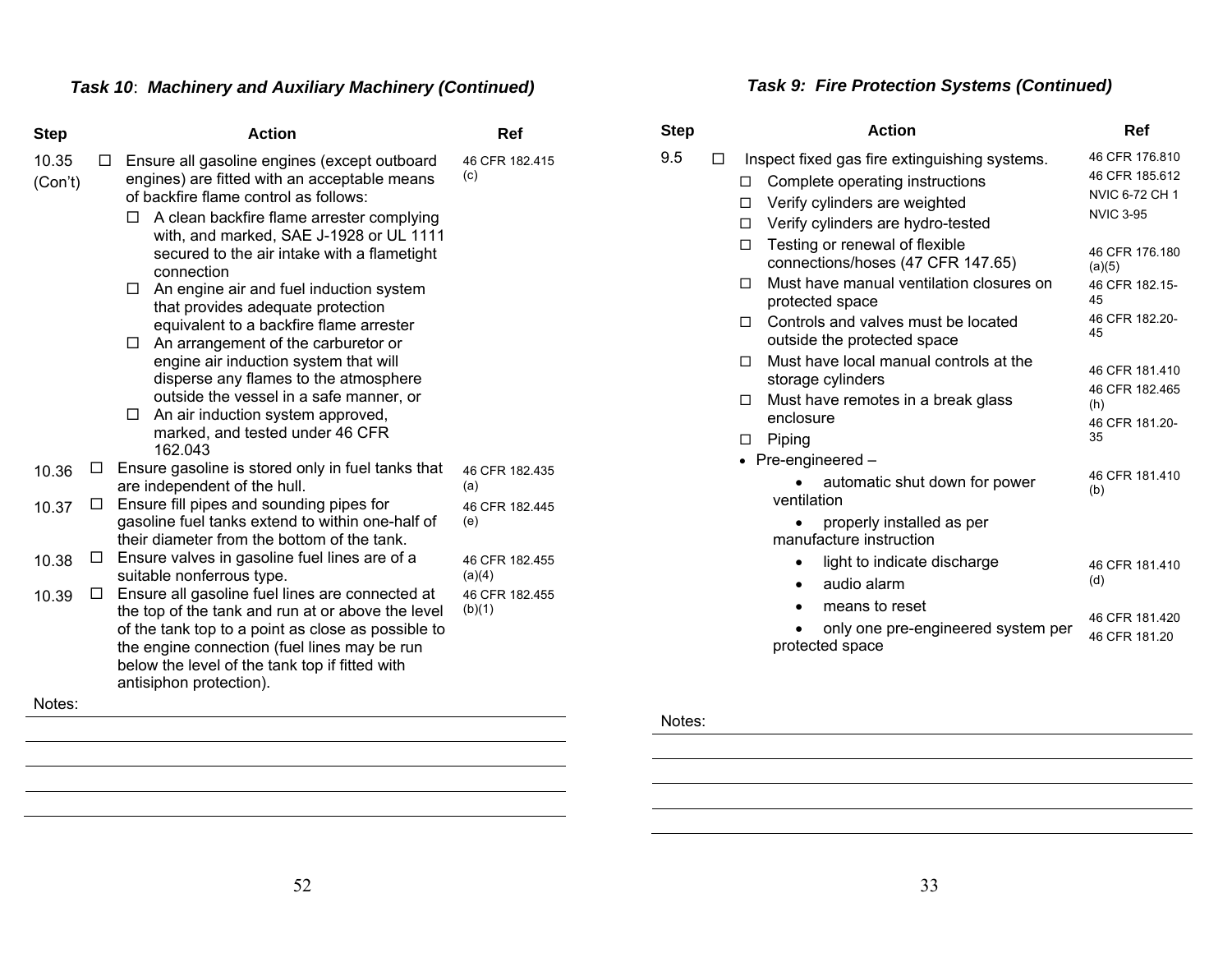# *Task 10*: *Machinery and Auxiliary Machinery (Continued)*

| <b>Step</b>           | <b>Action</b>                                                                                                                                                                                                                                                                                                                                                                                                                                                                                                                                                                                                                                                                                                | Ref                      |
|-----------------------|--------------------------------------------------------------------------------------------------------------------------------------------------------------------------------------------------------------------------------------------------------------------------------------------------------------------------------------------------------------------------------------------------------------------------------------------------------------------------------------------------------------------------------------------------------------------------------------------------------------------------------------------------------------------------------------------------------------|--------------------------|
| 10.35<br>□<br>(Con't) | Ensure all gasoline engines (except outboard<br>engines) are fitted with an acceptable means<br>of backfire flame control as follows:<br>A clean backfire flame arrester complying<br>П<br>with, and marked, SAE J-1928 or UL 1111<br>secured to the air intake with a flametight<br>connection<br>An engine air and fuel induction system<br>L I<br>that provides adequate protection<br>equivalent to a backfire flame arrester<br>An arrangement of the carburetor or<br>$\Box$<br>engine air induction system that will<br>disperse any flames to the atmosphere<br>outside the vessel in a safe manner, or<br>An air induction system approved,<br>$\Box$<br>marked, and tested under 46 CFR<br>162.043 | 46 CFR 182.415<br>(c)    |
| □<br>10.36            | Ensure gasoline is stored only in fuel tanks that<br>are independent of the hull.                                                                                                                                                                                                                                                                                                                                                                                                                                                                                                                                                                                                                            | 46 CFR 182.435<br>(a)    |
| ⊔<br>10.37            | Ensure fill pipes and sounding pipes for<br>gasoline fuel tanks extend to within one-half of<br>their diameter from the bottom of the tank.                                                                                                                                                                                                                                                                                                                                                                                                                                                                                                                                                                  | 46 CFR 182.445<br>(e)    |
| □<br>10.38            | Ensure valves in gasoline fuel lines are of a<br>suitable nonferrous type.                                                                                                                                                                                                                                                                                                                                                                                                                                                                                                                                                                                                                                   | 46 CFR 182.455<br>(a)(4) |
| □<br>10.39            | Ensure all gasoline fuel lines are connected at<br>the top of the tank and run at or above the level<br>of the tank top to a point as close as possible to<br>the engine connection (fuel lines may be run<br>below the level of the tank top if fitted with<br>antisiphon protection).                                                                                                                                                                                                                                                                                                                                                                                                                      | 46 CFR 182.455<br>(b)(1) |
| Notes:                |                                                                                                                                                                                                                                                                                                                                                                                                                                                                                                                                                                                                                                                                                                              |                          |

# *Task 9: Fire Protection Systems (Continued)*

| Step |   |             | <b>Action</b>                                                                                                                                          | Ref                                                                    |
|------|---|-------------|--------------------------------------------------------------------------------------------------------------------------------------------------------|------------------------------------------------------------------------|
| 9.5  | П | П<br>П<br>П | Inspect fixed gas fire extinguishing systems.<br>Complete operating instructions<br>Verify cylinders are weighted<br>Verify cylinders are hydro-tested | 46 CFR 176.810<br>46 CFR 185.612<br>NVIC 6-72 CH 1<br><b>NVIC 3-95</b> |
|      |   | п<br>п      | Testing or renewal of flexible<br>connections/hoses (47 CFR 147.65)<br>Must have manual ventilation closures on<br>protected space                     | 46 CFR 176.180<br>(a)(5)<br>46 CFR 182.15-<br>45                       |
|      |   | П           | Controls and valves must be located<br>outside the protected space                                                                                     | 46 CFR 182.20-<br>45                                                   |
|      |   | п           | Must have local manual controls at the<br>storage cylinders                                                                                            | 46 CFR 181.410<br>46 CFR 182.465                                       |
|      |   | п<br>П      | Must have remotes in a break glass<br>enclosure<br>Piping                                                                                              | (h)<br>46 CFR 181.20-<br>35                                            |
|      |   |             | • Pre-engineered $-$                                                                                                                                   |                                                                        |
|      |   |             | automatic shut down for power<br>ventilation                                                                                                           | 46 CFR 181 410<br>(b)                                                  |
|      |   |             | properly installed as per<br>manufacture instruction                                                                                                   |                                                                        |
|      |   |             | light to indicate discharge<br>audio alarm<br>٠                                                                                                        | 46 CFR 181.410<br>(d)                                                  |
|      |   |             | means to reset<br>only one pre-engineered system per<br>protected space                                                                                | 46 CFR 181.420<br>46 CFR 181.20                                        |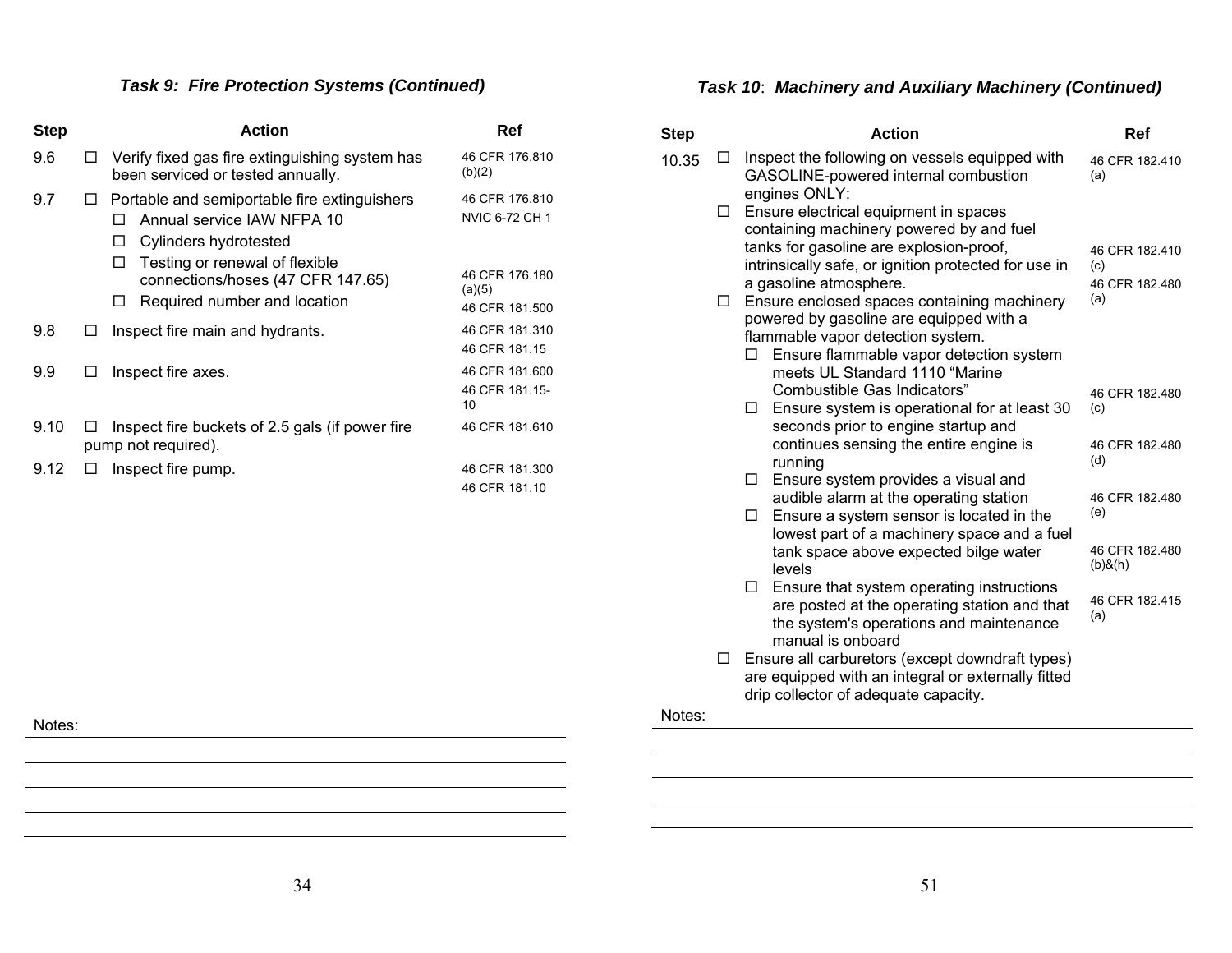# *Task 9: Fire Protection Systems (Continued)*

| <b>Step</b> |     | <b>Action</b>                                                                                                                                                                                                             | Ref                                                          |
|-------------|-----|---------------------------------------------------------------------------------------------------------------------------------------------------------------------------------------------------------------------------|--------------------------------------------------------------|
| 9.6         | L I | Verify fixed gas fire extinguishing system has<br>been serviced or tested annually.                                                                                                                                       | 46 CFR 176.810<br>(b)(2)                                     |
| 9.7         | □   | Portable and semiportable fire extinguishers<br>Annual service IAW NFPA 10<br>Cylinders hydrotested<br>□<br>Testing or renewal of flexible<br>П<br>connections/hoses (47 CFR 147.65)<br>Required number and location<br>□ | 46 CFR 176.810<br>NVIC 6-72 CH 1<br>46 CFR 176.180<br>(a)(5) |
|             |     |                                                                                                                                                                                                                           | 46 CFR 181.500                                               |
| 9.8         | □   | Inspect fire main and hydrants.                                                                                                                                                                                           | 46 CFR 181.310<br>46 CFR 181.15                              |
| 9.9         | □   | Inspect fire axes.                                                                                                                                                                                                        | 46 CFR 181,600<br>46 CFR 181.15-<br>10                       |
| 9.10        | Ш   | Inspect fire buckets of 2.5 gals (if power fire<br>pump not required).                                                                                                                                                    | 46 CFR 181.610                                               |
| 9.12        | LI  | Inspect fire pump.                                                                                                                                                                                                        | 46 CFR 181.300                                               |
|             |     |                                                                                                                                                                                                                           | 46 CFR 181.10                                                |
|             |     |                                                                                                                                                                                                                           |                                                              |

# *Task 10*: *Machinery and Auxiliary Machinery (Continued)*

| <b>Step</b> |        | <b>Action</b>                                                                                           | Ref                   |
|-------------|--------|---------------------------------------------------------------------------------------------------------|-----------------------|
| 10.35       | L I    | Inspect the following on vessels equipped with<br>GASOLINE-powered internal combustion<br>engines ONLY: | 46 CFR 182.410<br>(a) |
|             | □      | Ensure electrical equipment in spaces                                                                   |                       |
|             |        | containing machinery powered by and fuel                                                                |                       |
|             |        | tanks for gasoline are explosion-proof,                                                                 | 46 CFR 182.410        |
|             |        | intrinsically safe, or ignition protected for use in                                                    | (c)                   |
|             |        | a gasoline atmosphere.                                                                                  | 46 CFR 182.480<br>(a) |
|             | $\Box$ | Ensure enclosed spaces containing machinery<br>powered by gasoline are equipped with a                  |                       |
|             |        | flammable vapor detection system.                                                                       |                       |
|             |        | Ensure flammable vapor detection system<br>□                                                            |                       |
|             |        | meets UL Standard 1110 "Marine                                                                          |                       |
|             |        | Combustible Gas Indicators"                                                                             | 46 CFR 182.480        |
|             |        | Ensure system is operational for at least 30<br>□                                                       | (c)                   |
|             |        | seconds prior to engine startup and                                                                     |                       |
|             |        | continues sensing the entire engine is                                                                  | 46 CFR 182.480        |
|             |        | running                                                                                                 | (d)                   |
|             |        | Ensure system provides a visual and<br>$\Box$                                                           |                       |
|             |        | audible alarm at the operating station<br>Ensure a system sensor is located in the<br>П                 | 46 CFR 182.480<br>(e) |
|             |        | lowest part of a machinery space and a fuel                                                             |                       |
|             |        | tank space above expected bilge water                                                                   | 46 CFR 182.480        |
|             |        | levels                                                                                                  | $(b)$ & $(h)$         |
|             |        | Ensure that system operating instructions<br>$\Box$                                                     |                       |
|             |        | are posted at the operating station and that                                                            | 46 CFR 182.415<br>(a) |
|             |        | the system's operations and maintenance                                                                 |                       |
|             |        | manual is onboard                                                                                       |                       |
|             | □      | Ensure all carburetors (except downdraft types)                                                         |                       |
|             |        | are equipped with an integral or externally fitted<br>drip collector of adequate capacity.              |                       |
| Notes:      |        |                                                                                                         |                       |
|             |        |                                                                                                         |                       |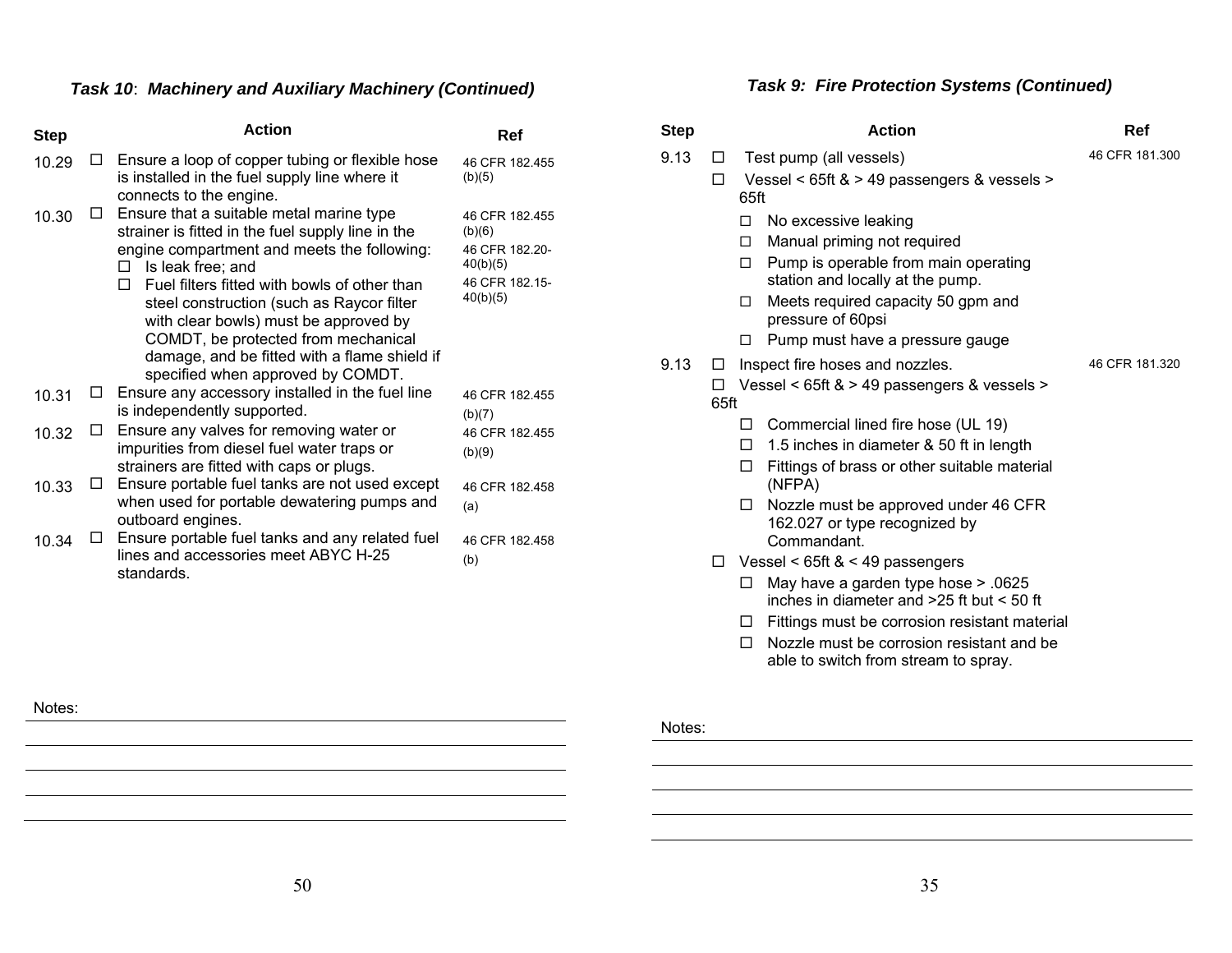# *Task 10*: *Machinery and Auxiliary Machinery (Continued)*

| <b>Step</b> |   | <b>Action</b>                                                                                                                                                                                                                 | Ref                                                                                  |
|-------------|---|-------------------------------------------------------------------------------------------------------------------------------------------------------------------------------------------------------------------------------|--------------------------------------------------------------------------------------|
| 10.29       |   | Ensure a loop of copper tubing or flexible hose<br>is installed in the fuel supply line where it<br>connects to the engine.                                                                                                   | 46 CFR 182 455<br>(b)(5)                                                             |
| 10.30       | U | Ensure that a suitable metal marine type<br>strainer is fitted in the fuel supply line in the<br>engine compartment and meets the following:<br>Is leak free; and<br>□  <br>Fuel filters fitted with bowls of other than<br>п | 46 CFR 182.455<br>(b)(6)<br>46 CFR 182.20-<br>40(b)(5)<br>46 CFR 182.15-<br>40(b)(5) |
|             |   | steel construction (such as Raycor filter<br>with clear bowls) must be approved by<br>COMDT, be protected from mechanical<br>damage, and be fitted with a flame shield if<br>specified when approved by COMDT.                |                                                                                      |
| 10.31       |   | Ensure any accessory installed in the fuel line<br>is independently supported.                                                                                                                                                | 46 CFR 182.455<br>(b)(7)                                                             |
| 10.32       |   | Ensure any valves for removing water or<br>impurities from diesel fuel water traps or<br>strainers are fitted with caps or plugs.                                                                                             | 46 CFR 182.455<br>(b)(9)                                                             |
| 10.33       |   | Ensure portable fuel tanks are not used except<br>when used for portable dewatering pumps and<br>outboard engines.                                                                                                            | 46 CFR 182.458<br>(a)                                                                |
| 10.34       |   | Ensure portable fuel tanks and any related fuel<br>lines and accessories meet ABYC H-25<br>standards.                                                                                                                         | 46 CFR 182.458<br>(b)                                                                |

# *Task 9: Fire Protection Systems (Continued)*

| Step |                     | <b>Action</b>                                                                                                                                                                                                                                                                                                                                                                          | Ref            |
|------|---------------------|----------------------------------------------------------------------------------------------------------------------------------------------------------------------------------------------------------------------------------------------------------------------------------------------------------------------------------------------------------------------------------------|----------------|
| 9.13 | $\Box$              | Test pump (all vessels)                                                                                                                                                                                                                                                                                                                                                                | 46 CFR 181,300 |
|      | $\Box$              | Vessel < 65ft & > 49 passengers & vessels ><br>65ft                                                                                                                                                                                                                                                                                                                                    |                |
|      |                     | $\Box$<br>No excessive leaking<br>Manual priming not required<br>П.<br>Pump is operable from main operating<br>П.<br>station and locally at the pump.<br>Meets required capacity 50 gpm and<br>П.<br>pressure of 60psi<br>Pump must have a pressure gauge<br>П                                                                                                                         |                |
| 9.13 | $\Box$<br>п<br>65ft | Inspect fire hoses and nozzles.<br>Vessel < 65ft & > 49 passengers & vessels >                                                                                                                                                                                                                                                                                                         | 46 CFR 181.320 |
|      | □                   | Commercial lined fire hose (UL 19)<br>□<br>1.5 inches in diameter & 50 ft in length<br>П.<br>Fittings of brass or other suitable material<br>П.<br>(NFPA)<br>Nozzle must be approved under 46 CFR<br>П<br>162.027 or type recognized by<br>Commandant.<br>Vessel < $65ft < 49$ passengers<br>May have a garden type hose > .0625<br>□<br>inches in diameter and $>25$ ft but $< 50$ ft |                |
|      |                     | Fittings must be corrosion resistant material<br>ப<br>Nozzle must be corrosion resistant and be<br>П<br>able to switch from stream to spray.                                                                                                                                                                                                                                           |                |

Notes: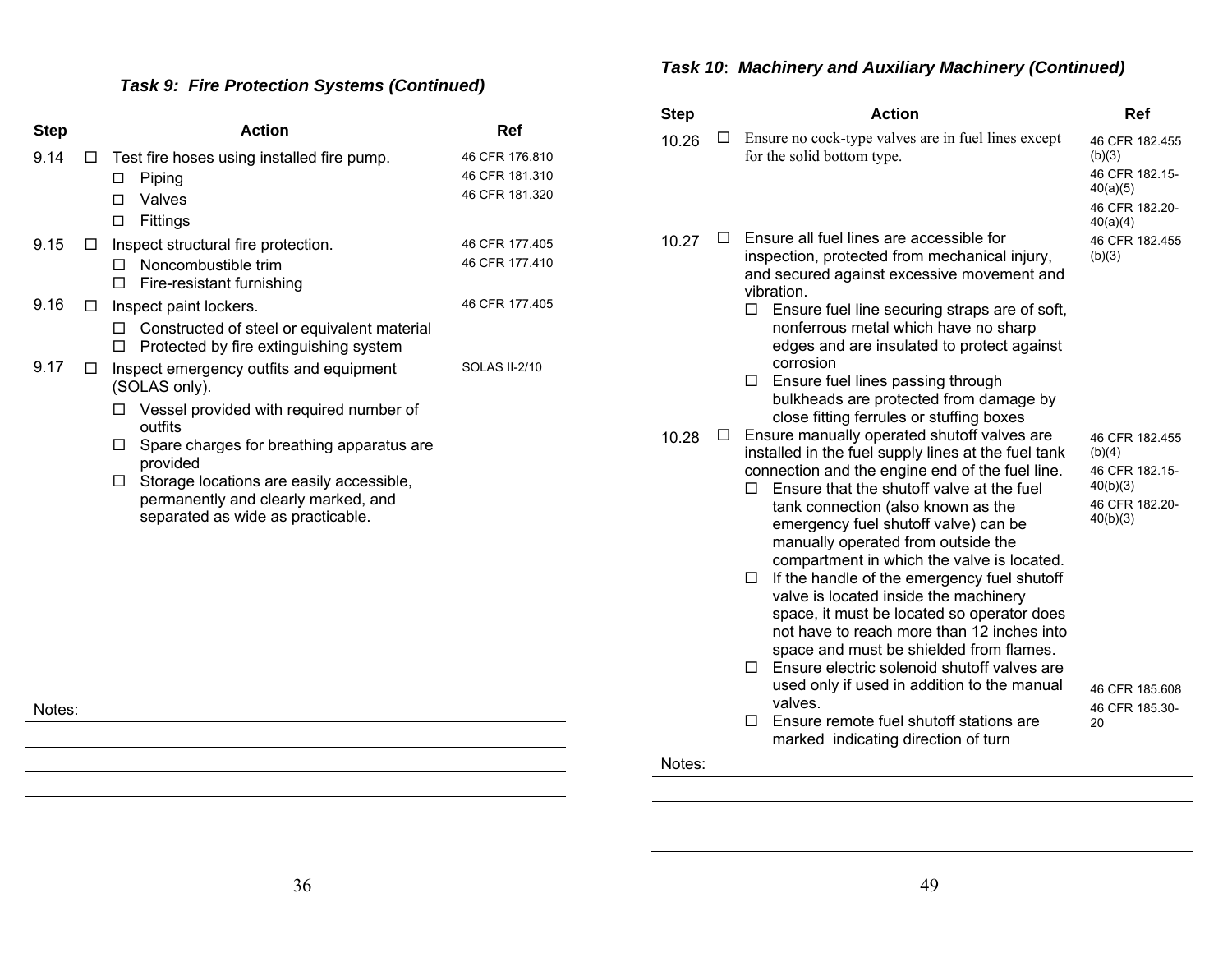# *Task 9: Fire Protection Systems (Continued)*

| <b>Step</b> |        | <b>Action</b>                                                                                                                                                                                                                                                                                               | Ref                                                |
|-------------|--------|-------------------------------------------------------------------------------------------------------------------------------------------------------------------------------------------------------------------------------------------------------------------------------------------------------------|----------------------------------------------------|
| 9.14        | $\Box$ | Test fire hoses using installed fire pump.<br>Piping<br>□<br>Valves<br>П.                                                                                                                                                                                                                                   | 46 CFR 176.810<br>46 CFR 181.310<br>46 CFR 181.320 |
| 9.15        | □      | Fittings<br>◻<br>Inspect structural fire protection.<br>Noncombustible trim<br>П<br>Fire-resistant furnishing<br>П                                                                                                                                                                                          | 46 CFR 177.405<br>46 CFR 177.410                   |
| 9.16        | П      | Inspect paint lockers.<br>Constructed of steel or equivalent material<br>П<br>Protected by fire extinguishing system<br>□                                                                                                                                                                                   | 46 CFR 177.405                                     |
| 9.17        | П      | Inspect emergency outfits and equipment<br>(SOLAS only).<br>Vessel provided with required number of<br>outfits<br>Spare charges for breathing apparatus are<br>L I<br>provided<br>Storage locations are easily accessible,<br>□<br>permanently and clearly marked, and<br>separated as wide as practicable. | <b>SOLAS II-2/10</b>                               |
|             |        |                                                                                                                                                                                                                                                                                                             |                                                    |
| Notes:      |        |                                                                                                                                                                                                                                                                                                             |                                                    |

# *Task 10*: *Machinery and Auxiliary Machinery (Continued)*

| <b>Step</b> |   | <b>Action</b>                                                                                                                                                                                                                                                                                                                                                                                                                                                                                                                                                                                                                                                     | Ref                                                                                  |
|-------------|---|-------------------------------------------------------------------------------------------------------------------------------------------------------------------------------------------------------------------------------------------------------------------------------------------------------------------------------------------------------------------------------------------------------------------------------------------------------------------------------------------------------------------------------------------------------------------------------------------------------------------------------------------------------------------|--------------------------------------------------------------------------------------|
| 10.26       | ⊔ | Ensure no cock-type valves are in fuel lines except<br>for the solid bottom type.                                                                                                                                                                                                                                                                                                                                                                                                                                                                                                                                                                                 | 46 CFR 182.455<br>(b)(3)<br>46 CFR 182.15-<br>40(a)(5)<br>46 CFR 182.20-<br>40(a)(4) |
| 10.27       | ⊔ | Ensure all fuel lines are accessible for<br>inspection, protected from mechanical injury,<br>and secured against excessive movement and<br>vibration.<br>п<br>Ensure fuel line securing straps are of soft,<br>nonferrous metal which have no sharp<br>edges and are insulated to protect against<br>corrosion<br>Ensure fuel lines passing through<br>□<br>bulkheads are protected from damage by<br>close fitting ferrules or stuffing boxes                                                                                                                                                                                                                    | 46 CFR 182.455<br>(b)(3)                                                             |
| 10.28       | ⊔ | Ensure manually operated shutoff valves are<br>installed in the fuel supply lines at the fuel tank<br>connection and the engine end of the fuel line.<br>Ensure that the shutoff valve at the fuel<br>п<br>tank connection (also known as the<br>emergency fuel shutoff valve) can be<br>manually operated from outside the<br>compartment in which the valve is located.<br>If the handle of the emergency fuel shutoff<br>□<br>valve is located inside the machinery<br>space, it must be located so operator does<br>not have to reach more than 12 inches into<br>space and must be shielded from flames.<br>Ensure electric solenoid shutoff valves are<br>□ | 46 CFR 182.455<br>(b)(4)<br>46 CFR 182.15-<br>40(b)(3)<br>46 CFR 182.20-<br>40(b)(3) |
|             |   | used only if used in addition to the manual<br>valves.<br>Ensure remote fuel shutoff stations are<br>□<br>marked indicating direction of turn                                                                                                                                                                                                                                                                                                                                                                                                                                                                                                                     | 46 CFR 185.608<br>46 CFR 185.30-<br>20                                               |
| Notes:      |   |                                                                                                                                                                                                                                                                                                                                                                                                                                                                                                                                                                                                                                                                   |                                                                                      |

 $\sim$  $\overline{\phantom{a}}$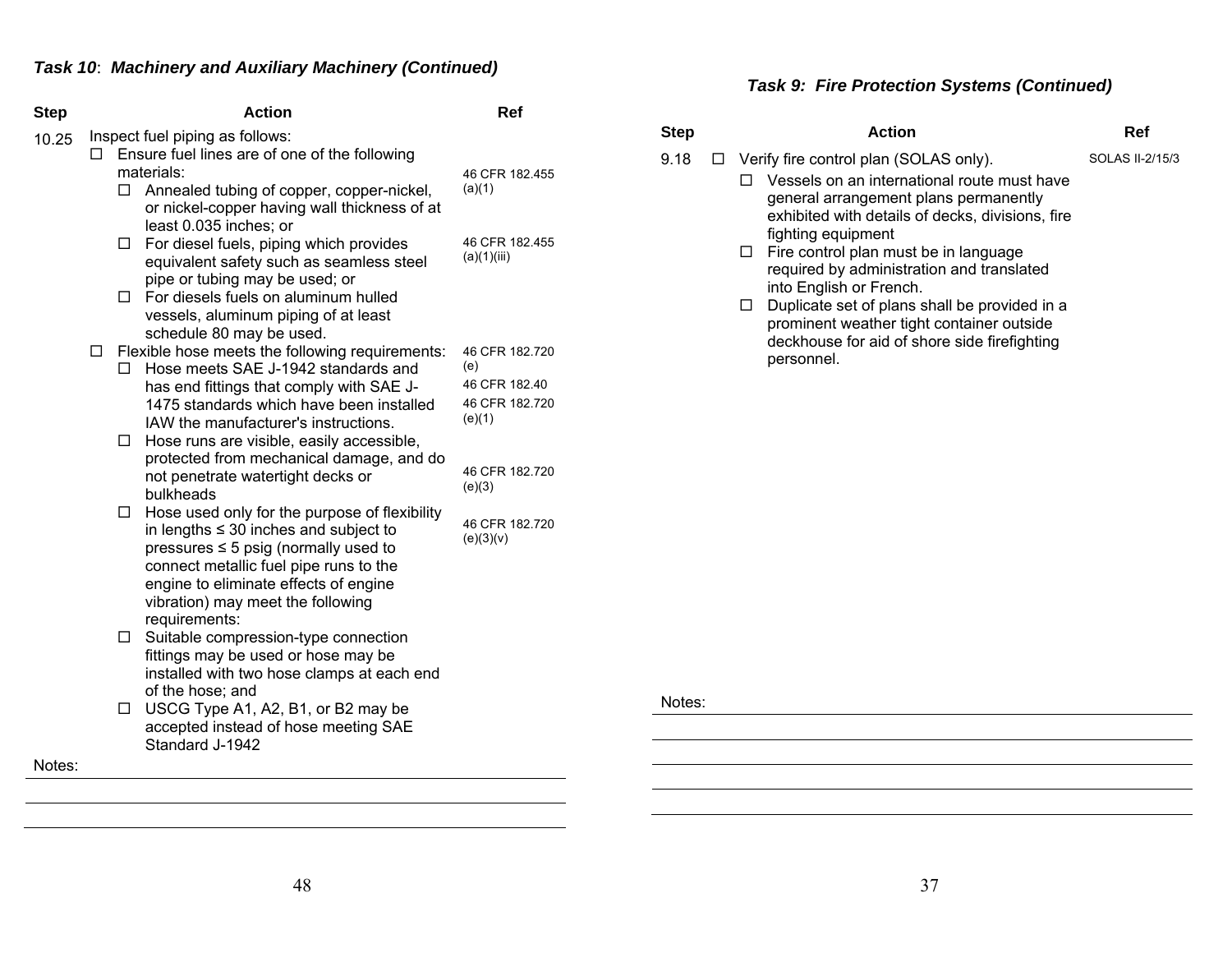| <b>Step</b> |   |        | <b>Action</b>                                                                                                                                                                                                                                                                     | Ref                           |
|-------------|---|--------|-----------------------------------------------------------------------------------------------------------------------------------------------------------------------------------------------------------------------------------------------------------------------------------|-------------------------------|
| 10.25       | п |        | Inspect fuel piping as follows:<br>Ensure fuel lines are of one of the following<br>materials:                                                                                                                                                                                    |                               |
|             |   | $\Box$ | Annealed tubing of copper, copper-nickel,<br>or nickel-copper having wall thickness of at<br>least 0.035 inches; or                                                                                                                                                               | 46 CFR 182.455<br>(a)(1)      |
|             |   | □      | For diesel fuels, piping which provides<br>equivalent safety such as seamless steel<br>pipe or tubing may be used; or                                                                                                                                                             | 46 CFR 182.455<br>(a)(1)(iii) |
|             |   |        | $\Box$ For diesels fuels on aluminum hulled<br>vessels, aluminum piping of at least<br>schedule 80 may be used.                                                                                                                                                                   |                               |
|             | □ | п      | Flexible hose meets the following requirements:<br>Hose meets SAE J-1942 standards and                                                                                                                                                                                            | 46 CFR 182.720<br>(e)         |
|             |   |        | has end fittings that comply with SAE J-                                                                                                                                                                                                                                          | 46 CFR 182.40                 |
|             |   | $\Box$ | 1475 standards which have been installed<br>IAW the manufacturer's instructions.<br>Hose runs are visible, easily accessible,                                                                                                                                                     | 46 CFR 182.720<br>(e)(1)      |
|             |   |        | protected from mechanical damage, and do<br>not penetrate watertight decks or<br>bulkheads                                                                                                                                                                                        | 46 CFR 182.720<br>(e)(3)      |
|             |   | $\Box$ | Hose used only for the purpose of flexibility<br>in lengths $\leq$ 30 inches and subject to<br>pressures $\leq$ 5 psig (normally used to<br>connect metallic fuel pipe runs to the<br>engine to eliminate effects of engine<br>vibration) may meet the following<br>requirements: | 46 CFR 182.720<br>(e)(3)(v)   |
|             |   | $\Box$ | Suitable compression-type connection<br>fittings may be used or hose may be<br>installed with two hose clamps at each end<br>of the hose; and                                                                                                                                     |                               |
|             |   | □      | USCG Type A1, A2, B1, or B2 may be<br>accepted instead of hose meeting SAE<br>Standard J-1942                                                                                                                                                                                     |                               |
| Notes:      |   |        |                                                                                                                                                                                                                                                                                   |                               |

# *Task 9: Fire Protection Systems (Continued)*

| <b>Step</b>    | <b>Action</b>                                                                                                                                                                                                                                                                                                                                                                                                                                                                                             | Ref             |
|----------------|-----------------------------------------------------------------------------------------------------------------------------------------------------------------------------------------------------------------------------------------------------------------------------------------------------------------------------------------------------------------------------------------------------------------------------------------------------------------------------------------------------------|-----------------|
| 9.18<br>$\Box$ | Verify fire control plan (SOLAS only).<br>Vessels on an international route must have<br>п<br>general arrangement plans permanently<br>exhibited with details of decks, divisions, fire<br>fighting equipment<br>Fire control plan must be in language<br>□<br>required by administration and translated<br>into English or French.<br>Duplicate set of plans shall be provided in a<br>$\Box$<br>prominent weather tight container outside<br>deckhouse for aid of shore side firefighting<br>personnel. | SOLAS II-2/15/3 |
| Notes:         |                                                                                                                                                                                                                                                                                                                                                                                                                                                                                                           |                 |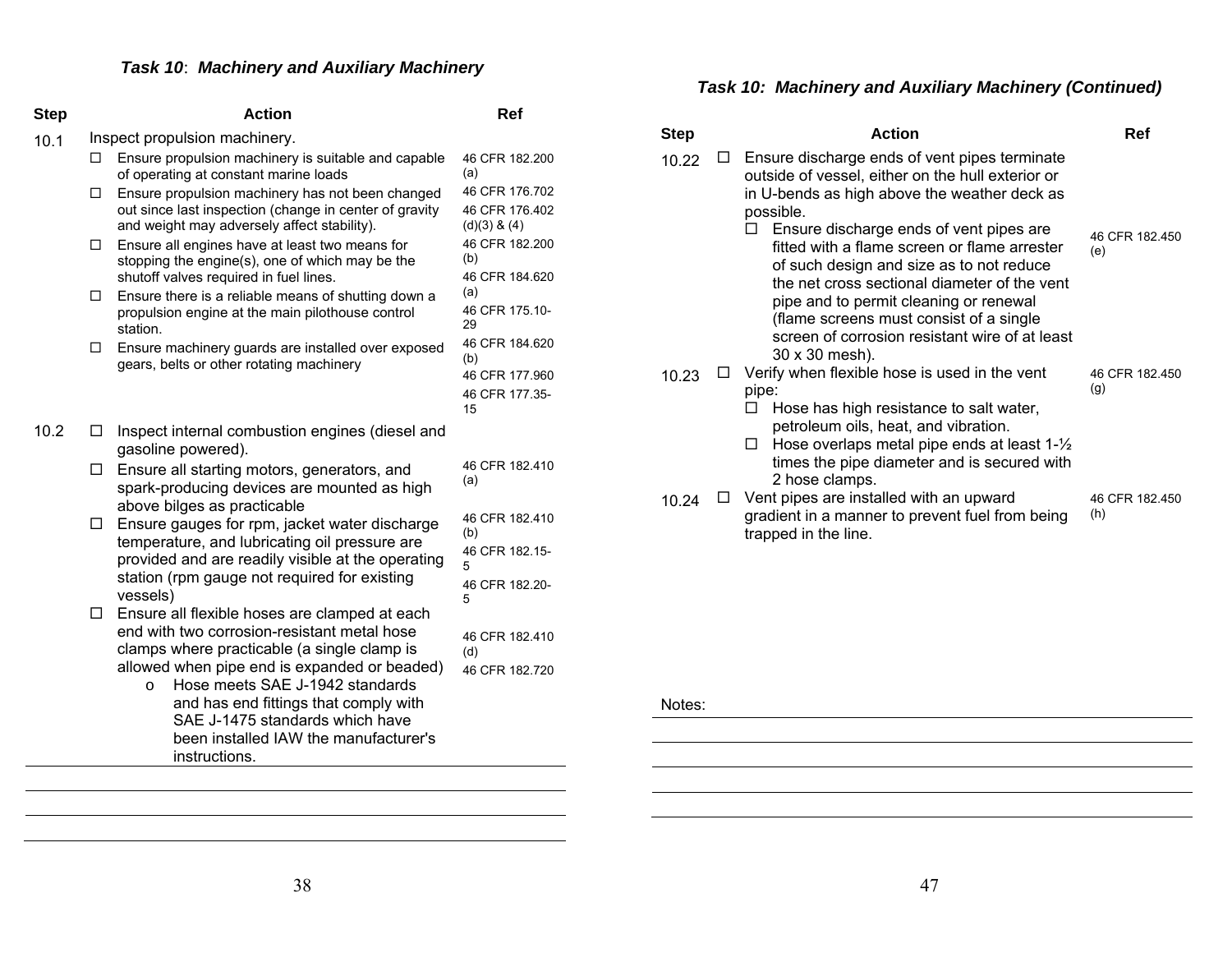# *Task 10*: *Machinery and Auxiliary Machinery*

| <b>Step</b> |   | <b>Action</b>                                                                                                                                                                                                                    | Ref                                                             |
|-------------|---|----------------------------------------------------------------------------------------------------------------------------------------------------------------------------------------------------------------------------------|-----------------------------------------------------------------|
| 10.1        |   | Inspect propulsion machinery.                                                                                                                                                                                                    |                                                                 |
|             | □ | Ensure propulsion machinery is suitable and capable<br>of operating at constant marine loads                                                                                                                                     | 46 CFR 182.200<br>(a)                                           |
|             | □ | Ensure propulsion machinery has not been changed<br>out since last inspection (change in center of gravity<br>and weight may adversely affect stability).                                                                        | 46 CFR 176.702<br>46 CFR 176.402<br>$(d)(3)$ & $(4)$            |
|             | □ | Ensure all engines have at least two means for<br>stopping the engine(s), one of which may be the<br>shutoff valves required in fuel lines.                                                                                      | 46 CFR 182.200<br>(b)<br>46 CFR 184.620                         |
|             | □ | Ensure there is a reliable means of shutting down a<br>propulsion engine at the main pilothouse control<br>station.                                                                                                              | (a)<br>46 CFR 175.10-<br>29                                     |
|             | □ | Ensure machinery guards are installed over exposed<br>gears, belts or other rotating machinery                                                                                                                                   | 46 CFR 184.620<br>(b)<br>46 CFR 177.960<br>46 CFR 177.35-<br>15 |
| 10.2        | □ | Inspect internal combustion engines (diesel and<br>gasoline powered).                                                                                                                                                            |                                                                 |
|             | □ | Ensure all starting motors, generators, and<br>spark-producing devices are mounted as high<br>above bilges as practicable                                                                                                        | 46 CFR 182.410<br>(a)                                           |
|             | □ | Ensure gauges for rpm, jacket water discharge<br>temperature, and lubricating oil pressure are                                                                                                                                   | 46 CFR 182.410<br>(b)<br>46 CFR 182.15-                         |
|             |   | provided and are readily visible at the operating<br>station (rpm gauge not required for existing<br>vessels)                                                                                                                    | 5<br>46 CFR 182.20-                                             |
|             | □ | Ensure all flexible hoses are clamped at each<br>end with two corrosion-resistant metal hose                                                                                                                                     | 5<br>46 CFR 182.410                                             |
|             |   | clamps where practicable (a single clamp is                                                                                                                                                                                      | (d)                                                             |
|             |   | allowed when pipe end is expanded or beaded)<br>Hose meets SAE J-1942 standards<br>$\circ$<br>and has end fittings that comply with<br>SAE J-1475 standards which have<br>been installed IAW the manufacturer's<br>instructions. | 46 CFR 182.720                                                  |

#### *Task 10: Machinery and Auxiliary Machinery (Continued)*

| <b>Step</b> | <b>Action</b>                                                                                                                                                                                                                                                                                                                                | Ref                   |
|-------------|----------------------------------------------------------------------------------------------------------------------------------------------------------------------------------------------------------------------------------------------------------------------------------------------------------------------------------------------|-----------------------|
| 10.22       | Ensure discharge ends of vent pipes terminate<br>outside of vessel, either on the hull exterior or<br>in U-bends as high above the weather deck as<br>possible.                                                                                                                                                                              |                       |
|             | Ensure discharge ends of vent pipes are<br>fitted with a flame screen or flame arrester<br>of such design and size as to not reduce<br>the net cross sectional diameter of the vent<br>pipe and to permit cleaning or renewal<br>(flame screens must consist of a single<br>screen of corrosion resistant wire of at least<br>30 x 30 mesh). | 46 CFR 182.450<br>(e) |
| 10.23       | Verify when flexible hose is used in the vent<br>pipe:                                                                                                                                                                                                                                                                                       | 46 CFR 182.450<br>(g) |
|             | Hose has high resistance to salt water,<br>petroleum oils, heat, and vibration.                                                                                                                                                                                                                                                              |                       |
|             | Hose overlaps metal pipe ends at least $1-\frac{1}{2}$<br>$\Box$<br>times the pipe diameter and is secured with<br>2 hose clamps.                                                                                                                                                                                                            |                       |
| 10.24       | Vent pipes are installed with an upward<br>gradient in a manner to prevent fuel from being<br>trapped in the line.                                                                                                                                                                                                                           | 46 CFR 182.450<br>(h) |

#### Notes:

<u> 1989 - Johann Stoff, deutscher Stoffen und der Stoffen und der Stoffen und der Stoffen und der Stoffen und der</u> <u> 1989 - Johann Barn, fransk politik (f. 1989)</u> <u> 1989 - Johann Barn, fransk politik (f. 1989)</u>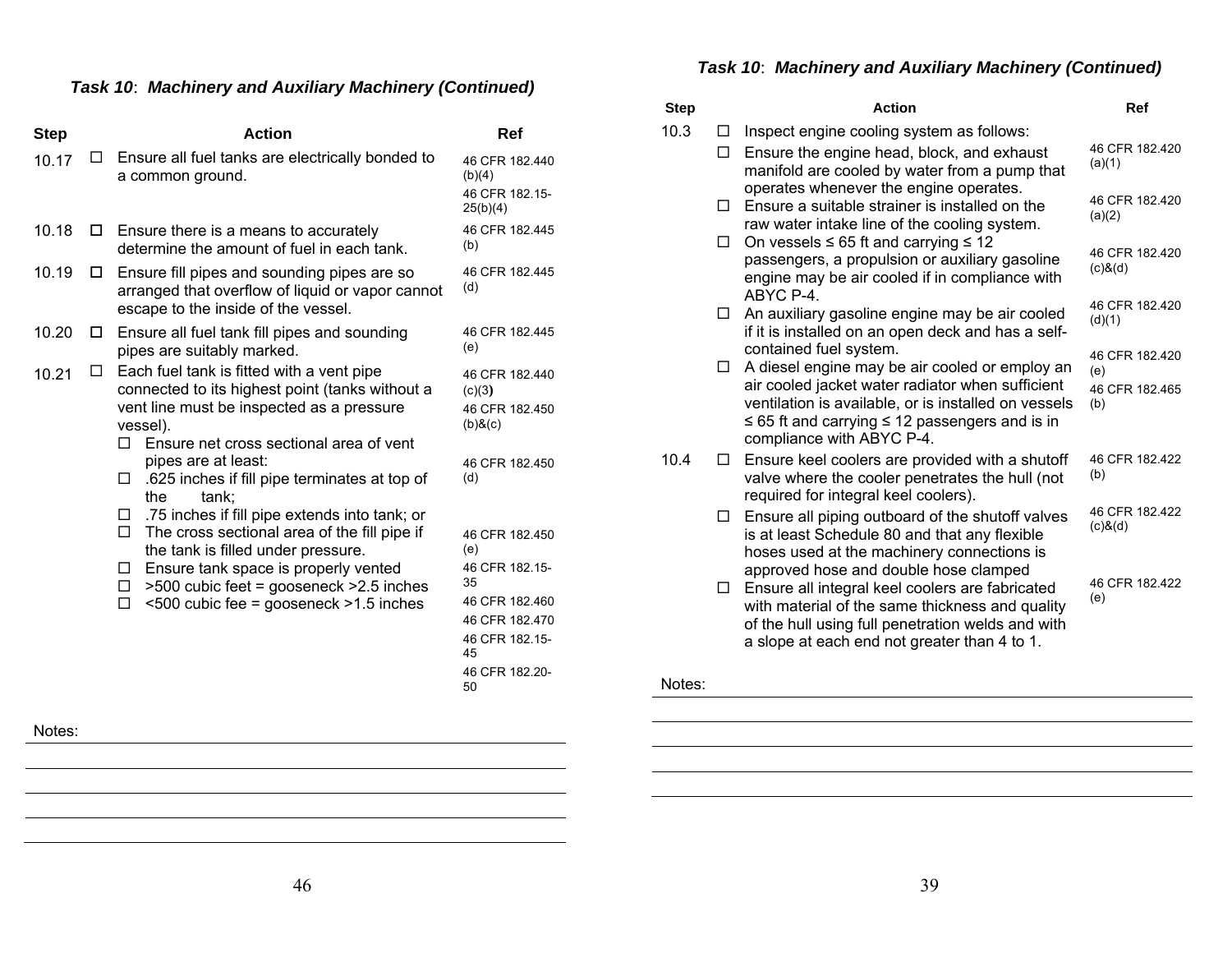# *Task 10*: *Machinery and Auxiliary Machinery (Continued)*

| <b>Step</b> | <b>Action</b>                                                                                                                                                                                                                                                                                                                                                                                                                                                                                                                                                                                             | Ref                                                                                                                                                                                                                       |
|-------------|-----------------------------------------------------------------------------------------------------------------------------------------------------------------------------------------------------------------------------------------------------------------------------------------------------------------------------------------------------------------------------------------------------------------------------------------------------------------------------------------------------------------------------------------------------------------------------------------------------------|---------------------------------------------------------------------------------------------------------------------------------------------------------------------------------------------------------------------------|
| LI<br>10.17 | Ensure all fuel tanks are electrically bonded to<br>a common ground.                                                                                                                                                                                                                                                                                                                                                                                                                                                                                                                                      | 46 CFR 182.440<br>(b)(4)<br>46 CFR 182.15-<br>25(b)(4)                                                                                                                                                                    |
| 10.18<br>◻  | Ensure there is a means to accurately<br>determine the amount of fuel in each tank.                                                                                                                                                                                                                                                                                                                                                                                                                                                                                                                       | 46 CFR 182.445<br>(b)                                                                                                                                                                                                     |
| 10.19<br>□  | Ensure fill pipes and sounding pipes are so<br>arranged that overflow of liquid or vapor cannot<br>escape to the inside of the vessel.                                                                                                                                                                                                                                                                                                                                                                                                                                                                    | 46 CFR 182.445<br>(d)                                                                                                                                                                                                     |
| 10.20<br>ப  | Ensure all fuel tank fill pipes and sounding<br>pipes are suitably marked.                                                                                                                                                                                                                                                                                                                                                                                                                                                                                                                                | 46 CFR 182.445<br>(e)                                                                                                                                                                                                     |
| □<br>10.21  | Each fuel tank is fitted with a vent pipe<br>connected to its highest point (tanks without a<br>vent line must be inspected as a pressure<br>vessel).<br>Ensure net cross sectional area of vent<br>П.<br>pipes are at least:<br>.625 inches if fill pipe terminates at top of<br>□<br>tank;<br>the<br>.75 inches if fill pipe extends into tank; or<br>ப<br>The cross sectional area of the fill pipe if<br>$\Box$<br>the tank is filled under pressure.<br>Ensure tank space is properly vented<br>ப<br>>500 cubic feet = gooseneck >2.5 inches<br>□<br>$<500$ cubic fee = gooseneck $>1.5$ inches<br>П | 46 CFR 182.440<br>(c)(3)<br>46 CFR 182.450<br>$(b)$ & $(c)$<br>46 CFR 182.450<br>(d)<br>46 CFR 182.450<br>(e)<br>46 CFR 182.15-<br>35<br>46 CFR 182.460<br>46 CFR 182.470<br>46 CFR 182.15-<br>45<br>46 CFR 182.20-<br>50 |

# *Task 10*: *Machinery and Auxiliary Machinery (Continued)*

| <b>Step</b> |           | <b>Action</b>                                                                                                                                                                                                                                                                 | <b>Ref</b>                                     |
|-------------|-----------|-------------------------------------------------------------------------------------------------------------------------------------------------------------------------------------------------------------------------------------------------------------------------------|------------------------------------------------|
| 10.3        | L L<br>П. | Inspect engine cooling system as follows:<br>Ensure the engine head, block, and exhaust<br>manifold are cooled by water from a pump that                                                                                                                                      | 46 CFR 182.420<br>(a)(1)                       |
|             | П.        | operates whenever the engine operates.<br>Ensure a suitable strainer is installed on the<br>raw water intake line of the cooling system.                                                                                                                                      | 46 CFR 182.420<br>(a)(2)                       |
|             | $\Box$    | On vessels $\leq 65$ ft and carrying $\leq 12$<br>passengers, a propulsion or auxiliary gasoline<br>engine may be air cooled if in compliance with<br>ABYC P-4.                                                                                                               | 46 CFR 182.420<br>$(c)$ & $(d)$                |
|             | $\Box$    | An auxiliary gasoline engine may be air cooled<br>if it is installed on an open deck and has a self-                                                                                                                                                                          | 46 CFR 182.420<br>(d)(1)                       |
|             | 0         | contained fuel system.<br>A diesel engine may be air cooled or employ an<br>air cooled jacket water radiator when sufficient<br>ventilation is available, or is installed on vessels<br>$\leq$ 65 ft and carrying $\leq$ 12 passengers and is in<br>compliance with ABYC P-4. | 46 CFR 182.420<br>(e)<br>46 CFR 182.465<br>(b) |
| 10.4        | п         | Ensure keel coolers are provided with a shutoff<br>valve where the cooler penetrates the hull (not<br>required for integral keel coolers).                                                                                                                                    | 46 CFR 182.422<br>(b)                          |
|             | $\Box$    | Ensure all piping outboard of the shutoff valves<br>is at least Schedule 80 and that any flexible<br>hoses used at the machinery connections is                                                                                                                               | 46 CFR 182.422<br>$(c)$ & $(d)$                |
|             | □         | approved hose and double hose clamped<br>Ensure all integral keel coolers are fabricated<br>with material of the same thickness and quality<br>of the hull using full penetration welds and with<br>a slope at each end not greater than 4 to 1.                              | 46 CFR 182.422<br>(e)                          |

#### Notes: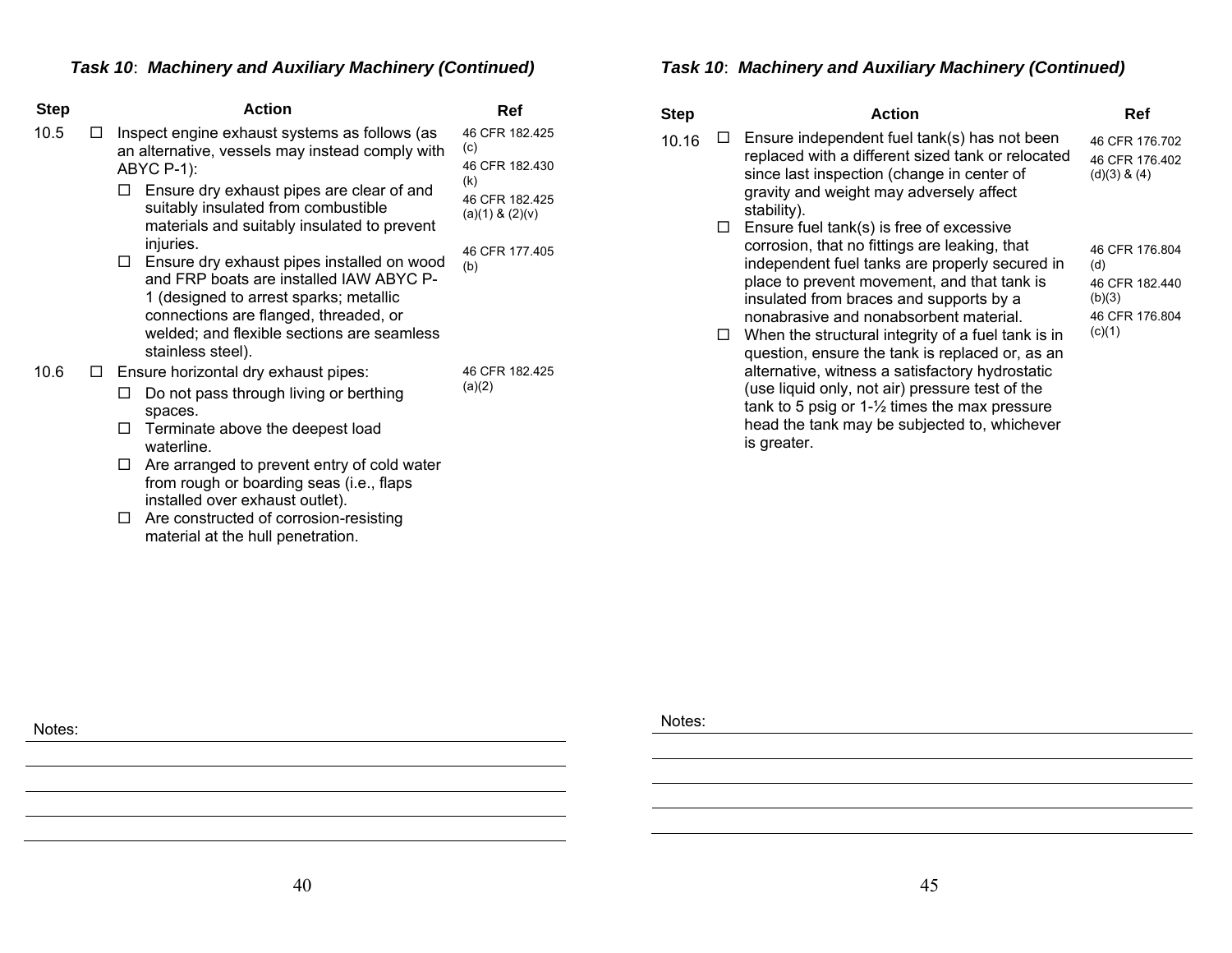# *Task 10*: *Machinery and Auxiliary Machinery (Continued)*

| <b>Step</b> |   | <b>Action</b>                                                                                                                                                                                                                                                 | Ref                                          |
|-------------|---|---------------------------------------------------------------------------------------------------------------------------------------------------------------------------------------------------------------------------------------------------------------|----------------------------------------------|
| 10.5        | П | Inspect engine exhaust systems as follows (as<br>an alternative, vessels may instead comply with<br>ABYC P-1):                                                                                                                                                | 46 CFR 182.425<br>(c)<br>46 CFR 182.430      |
|             |   | Ensure dry exhaust pipes are clear of and<br>suitably insulated from combustible<br>materials and suitably insulated to prevent                                                                                                                               | (k)<br>46 CFR 182.425<br>$(a)(1)$ & $(2)(v)$ |
|             |   | injuries.<br>Ensure dry exhaust pipes installed on wood<br>□<br>and FRP boats are installed IAW ABYC P-<br>1 (designed to arrest sparks; metallic<br>connections are flanged, threaded, or<br>welded; and flexible sections are seamless<br>stainless steel). | 46 CFR 177.405<br>(b)                        |
| 10.6        | ⊔ | Ensure horizontal dry exhaust pipes:                                                                                                                                                                                                                          | 46 CFR 182.425                               |
|             |   | Do not pass through living or berthing<br>Ш<br>spaces.                                                                                                                                                                                                        | (a)(2)                                       |
|             |   | Terminate above the deepest load<br>LI<br>waterline.                                                                                                                                                                                                          |                                              |
|             |   | Are arranged to prevent entry of cold water<br>ப<br>from rough or boarding seas (i.e., flaps<br>installed over exhaust outlet).                                                                                                                               |                                              |
|             |   |                                                                                                                                                                                                                                                               |                                              |

□ Are constructed of corrosion-resisting material at the hull penetration.

# *Task 10*: *Machinery and Auxiliary Machinery (Continued)*

| <b>Step</b> |             | <b>Action</b>                                                                                                                                                                                                                                                                                                                                                                                                                                                                                                                                                                                                             | Ref                                                                           |
|-------------|-------------|---------------------------------------------------------------------------------------------------------------------------------------------------------------------------------------------------------------------------------------------------------------------------------------------------------------------------------------------------------------------------------------------------------------------------------------------------------------------------------------------------------------------------------------------------------------------------------------------------------------------------|-------------------------------------------------------------------------------|
| 10.16       |             | Ensure independent fuel tank(s) has not been<br>replaced with a different sized tank or relocated<br>since last inspection (change in center of<br>gravity and weight may adversely affect<br>stability).                                                                                                                                                                                                                                                                                                                                                                                                                 | 46 CFR 176.702<br>46 CFR 176.402<br>$(d)(3)$ & $(4)$                          |
|             | $\Box$<br>ப | Ensure fuel tank(s) is free of excessive<br>corrosion, that no fittings are leaking, that<br>independent fuel tanks are properly secured in<br>place to prevent movement, and that tank is<br>insulated from braces and supports by a<br>nonabrasive and nonabsorbent material.<br>When the structural integrity of a fuel tank is in<br>question, ensure the tank is replaced or, as an<br>alternative, witness a satisfactory hydrostatic<br>(use liquid only, not air) pressure test of the<br>tank to 5 psig or $1-\frac{1}{2}$ times the max pressure<br>head the tank may be subjected to, whichever<br>is greater. | 46 CFR 176.804<br>(d)<br>46 CFR 182.440<br>(b)(3)<br>46 CFR 176.804<br>(c)(1) |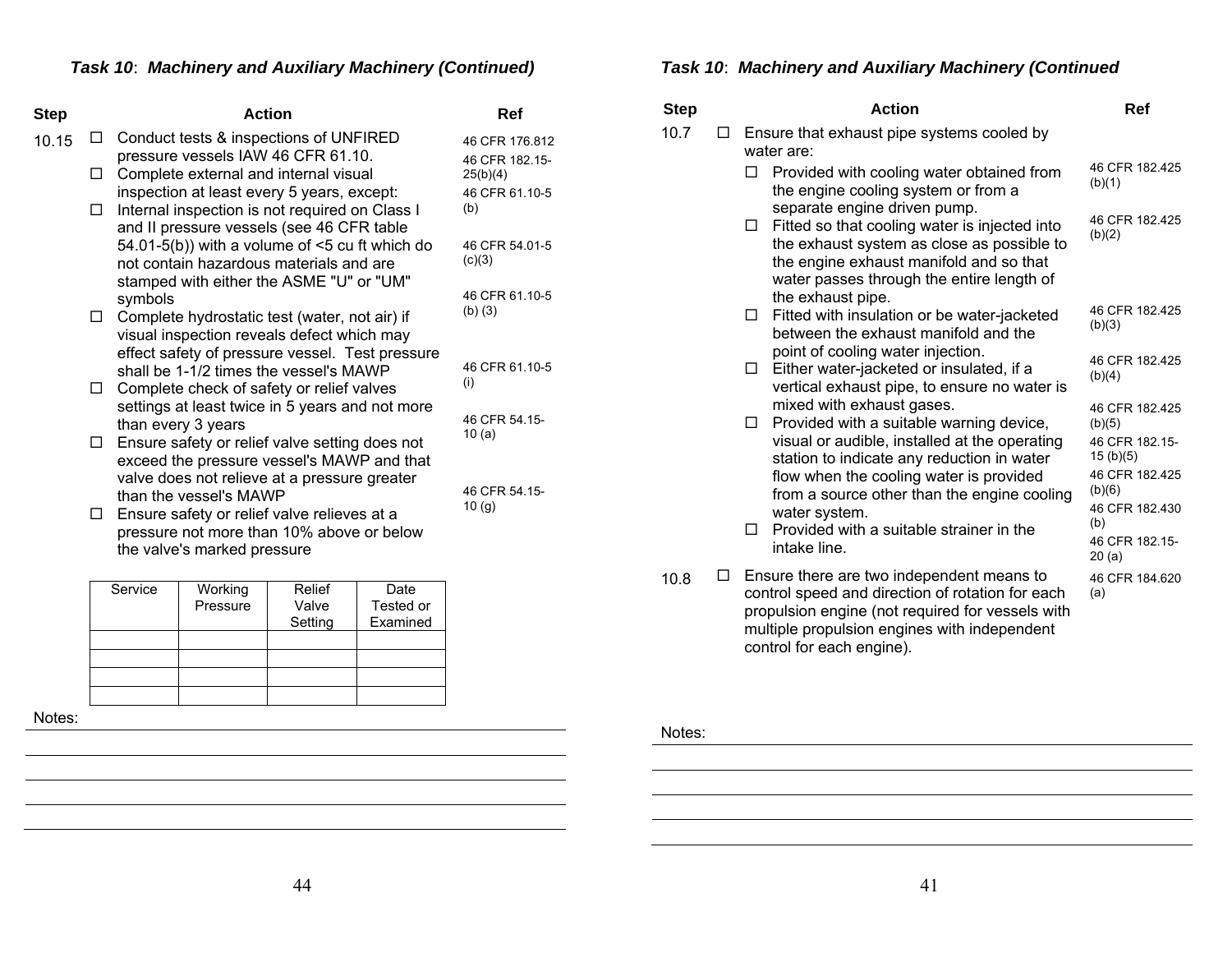| Step  |        | <b>Action</b>                                                                                   | Ref                           |
|-------|--------|-------------------------------------------------------------------------------------------------|-------------------------------|
| 10.15 | □      | Conduct tests & inspections of UNFIRED                                                          | 46 CFR 176.812                |
|       | □      | pressure vessels IAW 46 CFR 61.10.<br>Complete external and internal visual                     | 46 CFR 182.15-<br>25(b)(4)    |
|       | □      | inspection at least every 5 years, except:<br>Internal inspection is not required on Class I    | 46 CFR 61.10-5<br>(b)         |
|       |        | and II pressure vessels (see 46 CFR table<br>54.01-5(b)) with a volume of $\leq$ cu ft which do | 46 CFR 54 01-5                |
|       |        | not contain hazardous materials and are<br>stamped with either the ASME "U" or "UM"             | (c)(3)                        |
|       | $\Box$ | symbols<br>Complete hydrostatic test (water, not air) if                                        | 46 CFR 61.10-5<br>$(b)$ $(3)$ |
|       |        | visual inspection reveals defect which may<br>effect safety of pressure vessel. Test pressure   |                               |
|       | □      | shall be 1-1/2 times the vessel's MAWP<br>Complete check of safety or relief valves             | 46 CFR 61.10-5<br>(i)         |
|       |        | settings at least twice in 5 years and not more<br>than every 3 years                           | 46 CFR 54 15-                 |
|       | $\Box$ | Ensure safety or relief valve setting does not<br>exceed the pressure vessel's MAWP and that    | 10(a)                         |
|       |        | valve does not relieve at a pressure greater                                                    | 46 CFR 54.15-                 |
|       | □      | than the vessel's MAWP<br>Ensure safety or relief valve relieves at a                           | 10(g)                         |
|       |        | pressure not more than 10% above or below<br>the valve's marked pressure                        |                               |

| Service | Working  | Relief  | Date      |
|---------|----------|---------|-----------|
|         | Pressure | Valve   | Tested or |
|         |          | Setting | Examined  |
|         |          |         |           |
|         |          |         |           |
|         |          |         |           |
|         |          |         |           |

Notes:

# *Task 10*: *Machinery and Auxiliary Machinery (Continued*

| <b>Step</b> |   | <b>Action</b>                                                                                                                                                                                                            | Ref                                                    |
|-------------|---|--------------------------------------------------------------------------------------------------------------------------------------------------------------------------------------------------------------------------|--------------------------------------------------------|
| 10.7        | □ | Ensure that exhaust pipe systems cooled by<br>water are:                                                                                                                                                                 |                                                        |
|             |   | Provided with cooling water obtained from<br>П<br>the engine cooling system or from a                                                                                                                                    | 46 CFR 182.425<br>(b)(1)                               |
|             |   | separate engine driven pump.<br>Fitted so that cooling water is injected into<br>□<br>the exhaust system as close as possible to<br>the engine exhaust manifold and so that<br>water passes through the entire length of | 46 CFR 182.425<br>(b)(2)                               |
|             |   | the exhaust pipe.<br>Fitted with insulation or be water-jacketed<br>□<br>between the exhaust manifold and the                                                                                                            | 46 CFR 182.425<br>(b)(3)                               |
|             |   | point of cooling water injection.<br>Either water-jacketed or insulated, if a<br>$\Box$<br>vertical exhaust pipe, to ensure no water is                                                                                  | 46 CFR 182.425<br>(b)(4)                               |
|             |   | mixed with exhaust gases.<br>Provided with a suitable warning device,<br>□<br>visual or audible, installed at the operating<br>station to indicate any reduction in water                                                | 46 CFR 182.425<br>(b)(5)<br>46 CFR 182.15-<br>15(b)(5) |
|             |   | flow when the cooling water is provided<br>from a source other than the engine cooling<br>water system.                                                                                                                  | 46 CFR 182.425<br>(b)(6)<br>46 CFR 182.430             |
|             |   | Provided with a suitable strainer in the<br>п<br>intake line.                                                                                                                                                            | (b)<br>46 CFR 182.15-<br>20(a)                         |
| 10.8        |   | Ensure there are two independent means to<br>control speed and direction of rotation for each<br>propulsion engine (not required for vessels with<br>multiple propulsion engines with independent                        | 46 CFR 184.620<br>(a)                                  |

Notes:

control for each engine).